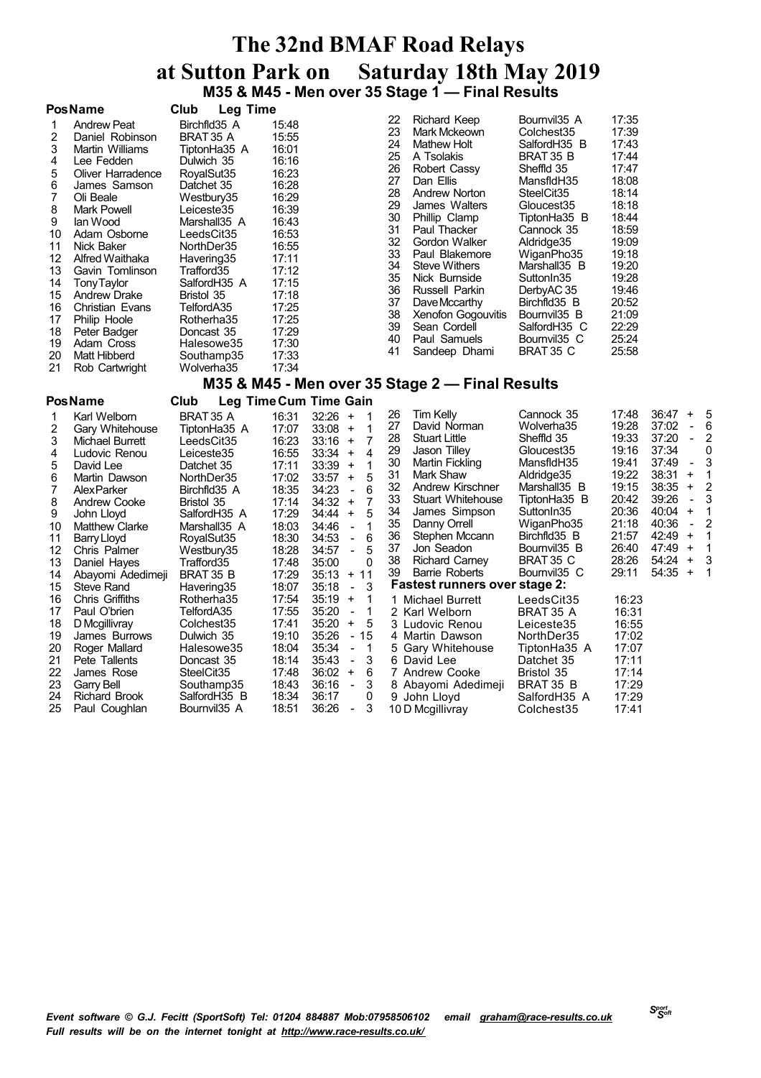## **The 32nd BMAF Road Relays at Sutton Park on Saturday 18th May 2019 M35 & M45 - Men over 35 Stage 1 — Final Results**

| <b>Pos Name</b> |  |  |
|-----------------|--|--|

|                                                                                                         | <b>PosName</b>                                                                                                                                                                                                                                                                                                                                       | Club<br><b>Leg Time</b>                                                                                                                                                                                                                                                                                   |                                                                                                                                                                                           |                                                                                                                      |                                                                                                                                                                                                                                                                                                                                                        |                                                                                                                                                                                                                                                                                                                                            |                                                                                                                                                                                  |
|---------------------------------------------------------------------------------------------------------|------------------------------------------------------------------------------------------------------------------------------------------------------------------------------------------------------------------------------------------------------------------------------------------------------------------------------------------------------|-----------------------------------------------------------------------------------------------------------------------------------------------------------------------------------------------------------------------------------------------------------------------------------------------------------|-------------------------------------------------------------------------------------------------------------------------------------------------------------------------------------------|----------------------------------------------------------------------------------------------------------------------|--------------------------------------------------------------------------------------------------------------------------------------------------------------------------------------------------------------------------------------------------------------------------------------------------------------------------------------------------------|--------------------------------------------------------------------------------------------------------------------------------------------------------------------------------------------------------------------------------------------------------------------------------------------------------------------------------------------|----------------------------------------------------------------------------------------------------------------------------------------------------------------------------------|
| 2<br>3<br>4<br>5<br>6<br>8<br>9<br>10<br>11<br>12<br>13<br>14<br>15<br>16<br>17<br>18<br>19<br>20<br>21 | <b>Andrew Peat</b><br>Daniel Robinson<br>Martin Williams<br>Lee Fedden<br>Oliver Harradence<br>James Samson<br>Oli Beale<br>Mark Powell<br>lan Wood<br>Adam Osborne<br>Nick Baker<br>Alfred Waithaka<br>Gavin Tomlinson<br><b>TonyTaylor</b><br><b>Andrew Drake</b><br>Christian Evans<br>Philip Hoole<br>Peter Badger<br>Adam Cross<br>Matt Hibberd | Birchfld35 A<br>BRAT 35 A<br>TiptonHa35 A<br>Dulwich 35<br>RoyalSut35<br>Datchet 35<br>Westbury35<br>Leiceste35<br>Marshall35 A<br>LeedsCit35<br>NorthDer35<br>Havering35<br>Trafford35<br>SalfordH35 A<br>Bristol 35<br>TelfordA35<br>Rotherha35<br>Doncast 35<br>Halesowe35<br>Southamp35<br>Wolverha35 | 15:48<br>15:55<br>16:01<br>16:16<br>16:23<br>16:28<br>16:29<br>16:39<br>16:43<br>16:53<br>16:55<br>17:11<br>17:12<br>17:15<br>17:18<br>17:25<br>17:25<br>17:29<br>17:30<br>17:33<br>17:34 | 22<br>23<br>24<br>25<br>26<br>27<br>28<br>29<br>30<br>31<br>32<br>33<br>34<br>35<br>36<br>37<br>38<br>39<br>40<br>41 | Richard Keep<br>Mark Mckeown<br><b>Mathew Holt</b><br>A Tsolakis<br>Robert Cassy<br>Dan Ellis<br>Andrew Norton<br>James Walters<br>Phillip Clamp<br>Paul Thacker<br>Gordon Walker<br>Paul Blakemore<br><b>Steve Withers</b><br>Nick Burnside<br>Russell Parkin<br>Dave Mccarthy<br>Xenofon Gogouvitis<br>Sean Cordell<br>Paul Samuels<br>Sandeep Dhami | Bournvil <sub>35</sub> A<br>Colchest35<br>SalfordH35 B<br>BRAT 35 B<br>Sheffld 35<br>MansfidH35<br>SteelCit <sub>35</sub><br>Gloucest35<br>TiptonHa35 B<br>Cannock 35<br>Aldridge 35<br>WiganPho35<br>Marshall35 B<br>Sutton In 35<br>DerbyAC 35<br>Birchfld35 B<br>Bournvil 35 B<br>SalfordH35 C<br>Bournvil <sub>35</sub> C<br>BRAT 35 C | 17:35<br>17:39<br>17:43<br>17:44<br>17:47<br>18:08<br>18:14<br>18:18<br>18:44<br>18:59<br>19:09<br>19:18<br>19:20<br>19:28<br>19:46<br>20:52<br>21:09<br>22:29<br>25:24<br>25:58 |
|                                                                                                         | Rob Cartwright                                                                                                                                                                                                                                                                                                                                       |                                                                                                                                                                                                                                                                                                           |                                                                                                                                                                                           |                                                                                                                      |                                                                                                                                                                                                                                                                                                                                                        |                                                                                                                                                                                                                                                                                                                                            |                                                                                                                                                                                  |

## **M35 & M45 - Men over 35 Stage 2 — Final Results**

### **PosName Club Leg TimeCum Time Gain**

|    | Karl Welborn          | BRAT 35 A              | 16:31 | 32:26 | $+$                                        | 26 | Tim Kelly                            | Cannock 35               | 17:48 | 36:47 | $+$                      | 5 |
|----|-----------------------|------------------------|-------|-------|--------------------------------------------|----|--------------------------------------|--------------------------|-------|-------|--------------------------|---|
| 2  | Gary Whitehouse       | TiptonHa35 A           | 17:07 | 33:08 | $+$                                        | 27 | David Norman                         | Wolverha35               | 19:28 | 37:02 |                          | 6 |
| 3  | Michael Burrett       | LeedsCit35             | 16:23 | 33:16 | $+$                                        | 28 | <b>Stuart Little</b>                 | Sheffld 35               | 19:33 | 37:20 |                          | 2 |
| 4  | Ludovic Renou         | Leiceste35             | 16:55 | 33:34 | 4<br>$+$                                   | 29 | Jason Tilley                         | Gloucest35               | 19:16 | 37:34 |                          | 0 |
| 5  | David Lee             | Datchet 35             | 17:11 | 33:39 | $\ddot{}$                                  | 30 | Martin Fickling                      | MansfidH35               | 19:41 | 37:49 | $\blacksquare$           | 3 |
| 6  | Martin Dawson         | NorthDer35             | 17:02 | 33:57 | 5<br>$\ddot{}$                             | 31 | Mark Shaw                            | Aldridge35               | 19:22 | 38:31 | $\ddot{}$                |   |
|    | <b>AlexParker</b>     | Birchfld35 A           | 18:35 | 34:23 | 6<br>$\sim$                                | 32 | Andrew Kirschner                     | Marshall35 B             | 19:15 | 38:35 | $\ddot{}$                | 2 |
| 8  | <b>Andrew Cooke</b>   | Bristol 35             | 17:14 | 34:32 | $\ddot{}$                                  | 33 | Stuart Whitehouse                    | TiptonHa35 B             | 20:42 | 39:26 | $\overline{\phantom{a}}$ | 3 |
| 9  | John Lloyd            | SalfordH35 A           | 17:29 | 34:44 | 5<br>$\ddot{}$                             | 34 | James Simpson                        | Sutton In 35             | 20:36 | 40:04 | $\ddot{}$                |   |
| 10 | <b>Matthew Clarke</b> | Marshall35 A           | 18:03 | 34:46 | $\blacksquare$                             | 35 | Danny Orrell                         | WiganPho35               | 21:18 | 40:36 | $\blacksquare$           | 2 |
| 11 | Barry Lloyd           | RoyalSut35             | 18:30 | 34:53 | 6<br>$\sim$                                | 36 | Stephen Mccann                       | Birchfld35 B             | 21:57 | 42:49 | $\ddot{}$                |   |
| 12 | Chris Palmer          | Westbury35             | 18:28 | 34:57 | 5<br>$\sim$                                | 37 | Jon Seadon                           | Bournvil35 B             | 26:40 | 47:49 | $\ddot{}$                |   |
| 13 | Daniel Hayes          | Trafford35             | 17:48 | 35:00 | 0                                          | 38 | <b>Richard Carney</b>                | BRAT 35 C                | 28:26 | 54:24 | $\ddot{}$                | 3 |
| 14 | Abayomi Adedimeji     | BRAT 35 B              | 17:29 | 35:13 | $+ 11$                                     | 39 | Barrie Roberts                       | Bournvil <sub>35</sub> C | 29:11 | 54:35 | $\ddot{}$                |   |
| 15 | Steve Rand            | Havering35             | 18:07 | 35:18 | $-3$                                       |    | <b>Fastest runners over stage 2:</b> |                          |       |       |                          |   |
| 16 | Chris Griffiths       | Rotherha35             | 17:54 | 35:19 | $+$                                        |    | 1 Michael Burrett                    | LeedsCit35               | 16:23 |       |                          |   |
| 17 | Paul O'brien          | TelfordA35             | 17:55 | 35:20 | 1<br>$\overline{\phantom{a}}$              |    | 2 Karl Welborn                       | BRAT 35 A                | 16:31 |       |                          |   |
| 18 | D Mcgillivray         | Colchest35             | 17:41 | 35:20 | $+$<br>- 5                                 |    | 3 Ludovic Renou                      | Leiceste35               | 16:55 |       |                          |   |
| 19 | James Burrows         | Dulwich 35             | 19:10 | 35:26 | - 15                                       |    | 4 Martin Dawson                      | NorthDer35               | 17:02 |       |                          |   |
| 20 | Roger Mallard         | Halesowe35             | 18:04 | 35:34 | $\overline{1}$<br>$\overline{\phantom{a}}$ |    | 5 Gary Whitehouse                    | TiptonHa35 A             | 17:07 |       |                          |   |
| 21 | Pete Tallents         | Doncast 35             | 18:14 | 35:43 | 3<br>$\overline{\phantom{0}}$              |    | 6 David Lee                          | Datchet 35               | 17:11 |       |                          |   |
| 22 | James Rose            | SteelCit <sub>35</sub> | 17:48 | 36:02 | $+$<br>6                                   |    | 7 Andrew Cooke                       | Bristol 35               | 17:14 |       |                          |   |
| 23 | Garry Bell            | Southamp35             | 18:43 | 36:16 | 3<br>$\overline{\phantom{a}}$              |    | 8 Abayomi Adedimeji                  | BRAT 35 B                | 17:29 |       |                          |   |
| 24 | <b>Richard Brook</b>  | SalfordH35 B           | 18:34 | 36:17 | 0                                          |    | 9 John Lloyd                         | SalfordH35 A             | 17:29 |       |                          |   |
| 25 | Paul Coughlan         | Bournvil35 A           | 18:51 | 36:26 | 3<br>$\overline{\phantom{m}}$              |    | 10 D Mcgillivray                     | Colchest35               | 17:41 |       |                          |   |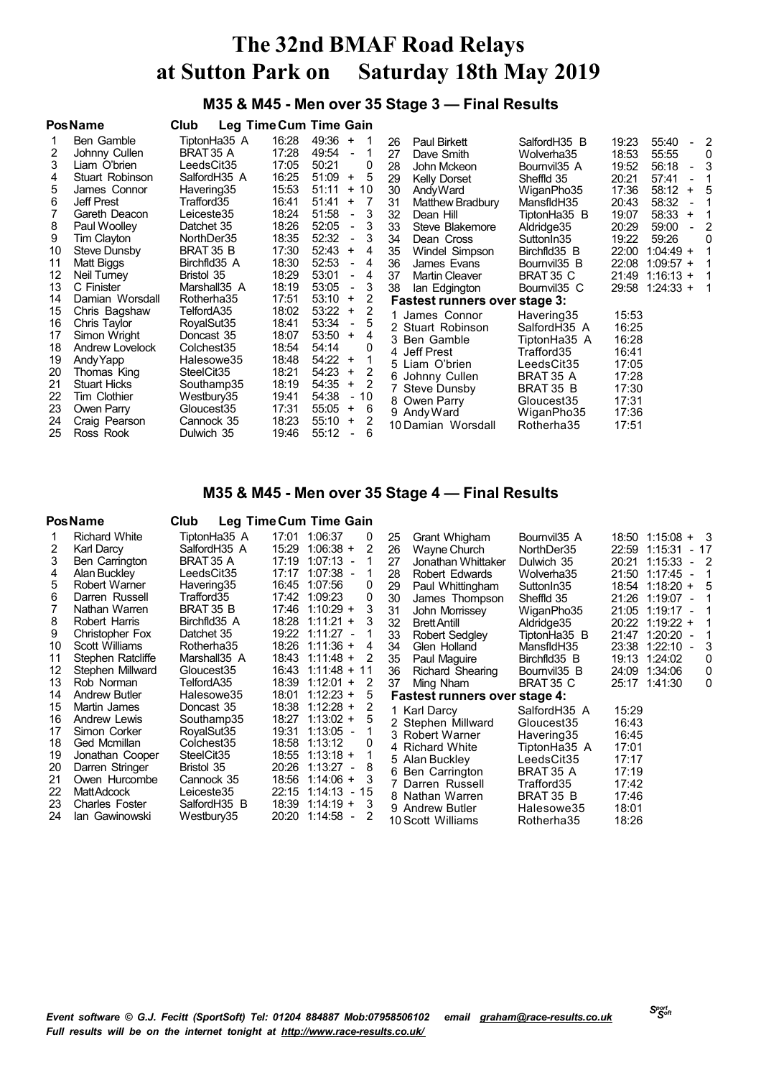## **M35 & M45 - Men over 35 Stage 3 — Final Results**

|    | <b>PosName</b>      | Club                   |       | Leg Time Cum Time Gain                              |    |                                      |                          |       |                     |                          |                          |
|----|---------------------|------------------------|-------|-----------------------------------------------------|----|--------------------------------------|--------------------------|-------|---------------------|--------------------------|--------------------------|
|    | Ben Gamble          | TiptonHa35 A           | 16:28 | 49:36<br>$\ddot{}$                                  | 26 | Paul Birkett                         | SalfordH35 B             | 19:23 | 55:40               | $\blacksquare$           | -2                       |
| 2  | Johnny Cullen       | BRAT 35 A              | 17:28 | 49:54<br>$\overline{\phantom{a}}$                   | 27 | Dave Smith                           | Wolverha35               | 18:53 | 55:55               |                          | 0                        |
| 3  | Liam O'brien        | LeedsCit35             | 17:05 | 50:21<br>0                                          | 28 | John Mckeon                          | Bournvil <sub>35</sub> A | 19:52 | 56:18               | $\overline{\phantom{0}}$ | 3                        |
| 4  | Stuart Robinson     | SalfordH35 A           | 16:25 | 51:09<br>5<br>$\ddot{}$                             | 29 | Kelly Dorset                         | Sheffld 35               | 20:21 | 57:41               | $\blacksquare$           |                          |
| 5  | James Connor        | Havering35             | 15:53 | 51:11<br>$+10$                                      | 30 | AndyWard                             | WiganPho35               | 17:36 | 58:12               | $+$                      | .5                       |
| 6  | Jeff Prest          | Trafford35             | 16:41 | 51:41<br>$\ddot{}$<br>-7                            | 31 | Matthew Bradbury                     | MansfldH35               | 20:43 | 58:32               | $\blacksquare$           | $\overline{1}$           |
|    | Gareth Deacon       | Leiceste35             | 18:24 | 51:58<br>3<br>$\overline{\phantom{a}}$              | 32 | Dean Hill                            | TiptonHa35 B             | 19:07 | 58:33               | $\ddot{}$                | $\overline{\phantom{1}}$ |
| 8  | Paul Woolley        | Datchet 35             | 18:26 | 52:05<br>3<br>$\blacksquare$                        | 33 | Steve Blakemore                      | Aldridge35               | 20:29 | 59:00               | $\sim$                   | -2                       |
| 9  | Tim Clayton         | NorthDer35             | 18:35 | 52:32<br>3<br>$\overline{\phantom{a}}$              | 34 | Dean Cross                           | SuttonIn35               | 19:22 | 59:26               |                          | $\Omega$                 |
| 10 | Steve Dunsby        | BRAT 35 B              | 17:30 | 52:43<br>$\ddot{}$<br>4                             | 35 | Windel Simpson                       | Birchfld35 B             | 22:00 | $1:04:49 +$         |                          |                          |
| 11 | Matt Biggs          | Birchfld35 A           | 18:30 | 52:53<br>4<br>$\overline{\phantom{a}}$              | 36 | James Evans                          | Bournvil <sub>35</sub> B | 22:08 | $1:09:57 +$         |                          |                          |
| 12 | Neil Turney         | Bristol 35             | 18:29 | 53:01<br>$\overline{4}$<br>$\overline{\phantom{a}}$ | 37 | <b>Martin Cleaver</b>                | BRAT 35 C                | 21:49 | $1:16:13 +$         |                          | $\mathbf 1$              |
| 13 | C Finister          | Marshall35 A           | 18:19 | 53:05<br>3<br>$\overline{\phantom{a}}$              | 38 | lan Edgington                        | Bournvil <sub>35</sub> C |       | $29:58$ 1:24:33 + 1 |                          |                          |
| 14 | Damian Worsdall     | Rotherha35             | 17:51 | 53:10<br>2<br>$\ddot{}$                             |    | <b>Fastest runners over stage 3:</b> |                          |       |                     |                          |                          |
| 15 | Chris Bagshaw       | TelfordA35             | 18:02 | 2<br>53:22<br>$\ddot{}$                             |    | 1 James Connor                       | Havering35               | 15:53 |                     |                          |                          |
| 16 | Chris Taylor        | RoyalSut35             | 18:41 | 53:34<br>5<br>$\overline{\phantom{a}}$              |    | 2 Stuart Robinson                    | SalfordH35 A             | 16:25 |                     |                          |                          |
| 17 | Simon Wright        | Doncast 35             | 18:07 | 53:50<br>4<br>$\ddot{}$                             |    | 3 Ben Gamble                         | TiptonHa35 A             | 16:28 |                     |                          |                          |
| 18 | Andrew Lovelock     | Colchest35             | 18:54 | 54:14<br>0                                          |    | 4 Jeff Prest                         | Trafford35               | 16:41 |                     |                          |                          |
| 19 | Andy Yapp           | Halesowe35             | 18:48 | 54:22<br>$\ddot{}$                                  |    | 5 Liam O'brien                       | LeedsCit35               | 17:05 |                     |                          |                          |
| 20 | Thomas King         | SteelCit <sub>35</sub> | 18:21 | 54:23<br>2<br>$\ddot{}$                             |    | 6 Johnny Cullen                      | BRAT 35 A                | 17:28 |                     |                          |                          |
| 21 | <b>Stuart Hicks</b> | Southamp35             | 18:19 | $\overline{2}$<br>54:35<br>$+$                      |    | 7 Steve Dunsby                       | BRAT 35 B                | 17:30 |                     |                          |                          |
| 22 | Tim Clothier        | Westbury35             | 19:41 | 54:38<br>$-10$                                      |    | 8 Owen Parry                         | Gloucest35               | 17:31 |                     |                          |                          |
| 23 | Owen Parry          | Gloucest35             | 17:31 | 55:05<br>$\ddot{}$<br>6                             |    | 9 Andy Ward                          | WiganPho35               | 17:36 |                     |                          |                          |
| 24 | Craig Pearson       | Cannock 35             | 18:23 | 55:10<br>2<br>$\ddot{}$                             |    | 10 Damian Worsdall                   | Rotherha35               | 17:51 |                     |                          |                          |
| 25 | Ross Rook           | Dulwich 35             | 19:46 | 55:12<br>6                                          |    |                                      |                          |       |                     |                          |                          |

### **M35 & M45 - Men over 35 Stage 4 — Final Results**

### **PosName Club Leg TimeCum Time Gain**

| 2        | <b>Richard White</b><br>Karl Darcy | TiptonHa35 A<br>SalfordH35 A | 17:01<br>15:29 | 1:06:37<br>0<br>$1:06:38 +$<br>2          | 25<br>26 | Grant Whigham<br>Wayne Church        | Bournvil <sub>35</sub> A<br>NorthDer35 | 22:59 | $18:50$ 1:15:08 + 3<br>1:15:31 | - 17           |    |
|----------|------------------------------------|------------------------------|----------------|-------------------------------------------|----------|--------------------------------------|----------------------------------------|-------|--------------------------------|----------------|----|
| 3        | Ben Carrington                     | BRAT 35 A                    | 17:19          | $1:07:13 -$                               | 27       | Jonathan Whittaker                   | Dulwich 35                             | 20:21 | 1:15:33                        | $-2$           |    |
|          | Alan Buckley                       | LeedsCit35                   | 17:17          | $1:07:38 -$                               | 28       | Robert Edwards                       | Wolverha35                             | 21:50 | 1:17:45                        | $\sim$         |    |
| 5        | Robert Warner                      | Havering35                   |                | 16:45 1:07:56<br>0                        | 29       | Paul Whittingham                     | Sutton In 35                           | 18:54 | $1:18:20 +$                    |                | -5 |
| 6        | Darren Russell                     | Trafford35                   |                | 17:42 1:09:23<br>0                        | 30       | James Thompson                       | Sheffld 35                             | 21:26 | 1:19:07                        | $\blacksquare$ |    |
|          | Nathan Warren                      | BRAT 35 B                    |                | 17:46 1:10:29 +<br>3                      | 31       | John Morrissey                       | WiganPho35                             | 21:05 | 1:19:17                        |                |    |
| 8        | Robert Harris                      | Birchfld35 A                 | 18:28          | $1:11:21 +$<br>3                          | 32       | <b>Brett Antill</b>                  | Aldridge35                             | 20:22 | $1:19:22 +$                    |                |    |
| 9        | Christopher Fox                    | Datchet 35                   |                | 19:22 1:11:27<br>$\overline{\phantom{a}}$ | 33       | Robert Sedgley                       | TiptonHa35 B                           | 21:47 | 1:20:20                        |                |    |
| 10       | Scott Williams                     | Rotherha35                   | 18:26          | $1:11:36 +$<br>4                          | 34       | Glen Holland                         | MansfldH35                             | 23:38 | 1:22:10                        |                |    |
| 11       | Stephen Ratcliffe                  | Marshall35 A                 |                | 18:43 1:11:48 +<br>2                      | 35       | Paul Maguire                         | Birchfld35 B                           |       | 19:13 1:24:02                  |                | 0  |
| 12       | Stephen Millward                   | Gloucest35                   | 16:43          | $1:11:48 + 11$                            | 36       | Richard Shearing                     | Bournvil35 B                           | 24:09 | 1:34:06                        |                | 0  |
| 13       | Rob Norman                         | TelfordA35                   | 18:39          | $1:12:01 +$<br>2                          | 37       | Ming Nham                            | BRAT 35 C                              |       | 25:17 1:41:30                  |                | 0  |
| 14       | <b>Andrew Butler</b>               | Halesowe35                   | 18:01          | $1:12:23 +$<br>5                          |          | <b>Fastest runners over stage 4:</b> |                                        |       |                                |                |    |
| 15       | Martin James                       | Doncast 35                   | 18:38          | $1:12:28 +$<br>2                          |          | 1 Karl Darcy                         | SalfordH35 A                           | 15:29 |                                |                |    |
| 16       | Andrew Lewis                       | Southamp35                   | 18:27          | $1:13:02 +$<br>5                          |          | 2 Stephen Millward                   | Gloucest35                             | 16:43 |                                |                |    |
| 17       | Simon Corker                       | RoyalSut35                   | 19:31          | $1:13:05 -$                               |          | 3 Robert Warner                      | Havering35                             | 16:45 |                                |                |    |
| 18       | Ged Mcmillan                       | Colchest35                   | 18:58          | 1:13:12                                   |          | 4 Richard White                      | TiptonHa35 A                           | 17:01 |                                |                |    |
| 19       | Jonathan Cooper                    | SteelCit <sub>35</sub>       | 18:55          | $1:13:18 +$                               |          | 5 Alan Buckley                       | LeedsCit35                             | 17:17 |                                |                |    |
| 20       | Darren Stringer                    | Bristol 35                   | 20:26          | $1:13:27 -$<br>8                          |          | 6 Ben Carrington                     | BRAT 35 A                              | 17:19 |                                |                |    |
| 21       | Owen Hurcombe<br><b>MattAdcock</b> | Cannock 35                   | 18:56          | $1:14:06 +$<br>1:14:13                    |          | 7 Darren Russell                     | Trafford35                             | 17:42 |                                |                |    |
| 22<br>23 | <b>Charles Foster</b>              | Leiceste35<br>SalfordH35 B   | 22:15<br>18:39 | 15<br>$\sim$<br>$1:14:19 +$<br>3          |          | 8 Nathan Warren                      | BRAT 35 B                              | 17:46 |                                |                |    |
| 24       | lan Gawinowski                     | Westbury35                   | 20:20          | 1:14:58<br>2<br>$\overline{\phantom{a}}$  |          | 9 Andrew Butler                      | Halesowe35                             | 18:01 |                                |                |    |
|          |                                    |                              |                |                                           |          | 10 Scott Williams                    | Rotherha35                             | 18:26 |                                |                |    |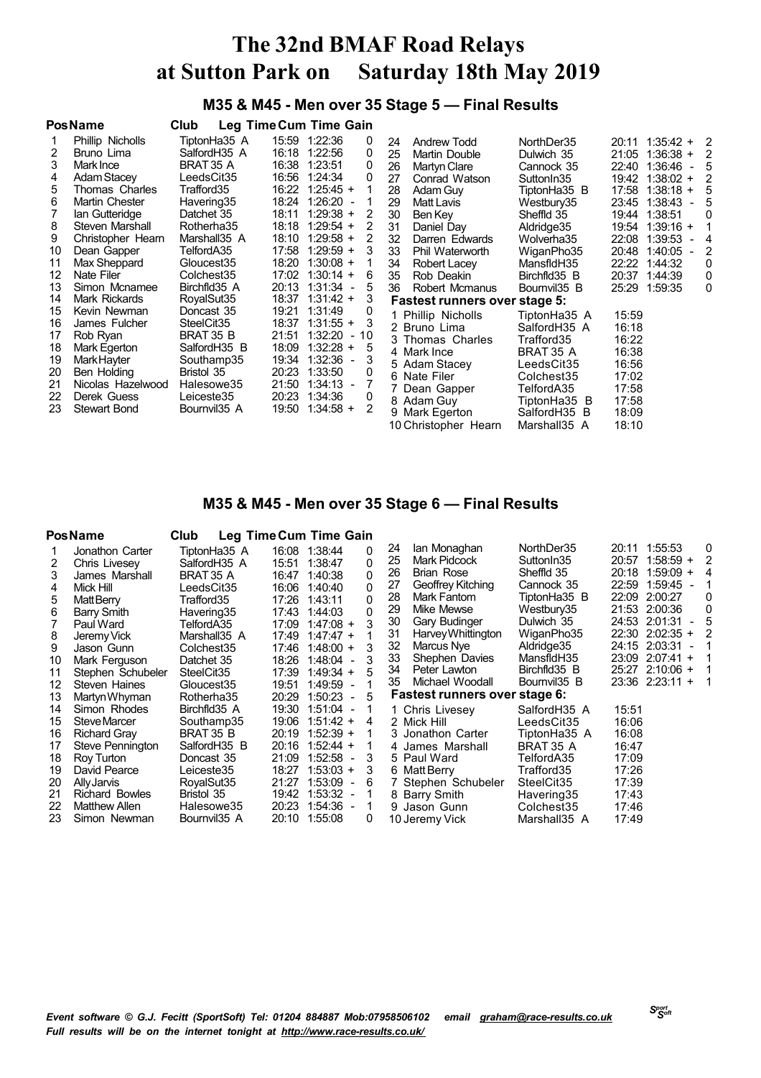## **M35 & M45 - Men over 35 Stage 5 — Final Results**

### **M35 & M45 - Men over 35 Stage 6 — Final Results**

|    | <b>PosName</b>        | Club                   |       | Leg Time Cum Time Gain              |          |                               |                          |       |                            |                     |
|----|-----------------------|------------------------|-------|-------------------------------------|----------|-------------------------------|--------------------------|-------|----------------------------|---------------------|
|    | Jonathon Carter       | TiptonHa35 A           |       | 16:08 1:38:44                       | 0        | lan Monaghan<br>24            | NorthDer35               |       | 20:11 1:55:53              | 0                   |
| 2  | Chris Livesey         | SalfordH35 A           | 15:51 | 1:38:47                             | $\Omega$ | <b>Mark Pidcock</b><br>25     | Sutton In 35             | 20:57 | $1:58:59 +$                | 2                   |
| 3  | James Marshall        | BRAT 35 A              | 16:47 | 1:40:38                             | $\Omega$ | <b>Brian Rose</b><br>26       | Sheffld 35               | 20:18 | $1:59:09 +$                | 4                   |
| 4  | Mick Hill             | LeedsCit35             | 16:06 | 1:40:40                             | $\Omega$ | Geoffrey Kitching<br>27       | Cannock 35               | 22:59 | 1:59:45                    |                     |
| 5  | Matt Berry            | Trafford35             | 17:26 | 1:43:11                             | $\Omega$ | 28<br>Mark Fantom             | TiptonHa35 B             | 22:09 | 2:00:27                    | 0                   |
| 6  | Barry Smith           | Havering35             | 17:43 | 1:44:03                             | $\Omega$ | Mike Mewse<br>29              | Westbury35               | 21:53 | 2:00:36                    | $\Omega$            |
|    | Paul Ward             | TelfordA35             | 17:09 | $1:47:08 +$                         |          | Gary Budinger<br>30           | Dulwich 35               |       | 24:53 2:01:31              | 5<br>$\sim$ 10 $\,$ |
| 8  | Jeremy Vick           | Marshall35 A           | 17:49 | $1:47:47 +$                         |          | 31<br>Harvey Whittington      | WiganPho35               | 22:30 | $2:02:35 +$                |                     |
| 9  | Jason Gunn            | Colchest35             | 17:46 | $1:48:00 +$                         |          | 32<br>Marcus Nye              | Aldridge 35              | 24:15 | 2:03:31                    |                     |
| 10 | Mark Ferguson         | Datchet 35             | 18:26 | $1:48:04 -$                         |          | 33<br>Shephen Davies          | MansfidH35               | 23:09 | 2:07:41<br>$\ddot{}$       |                     |
| 11 | Stephen Schubeler     | SteelCit <sub>35</sub> | 17:39 | $1:49:34 +$                         |          | 34<br>Peter Lawton            | Birchfld35 B             |       | 25:27 2:10:06 +            |                     |
| 12 | Steven Haines         | Gloucest35             | 19:51 | $1:49:59 -$                         |          | 35<br>Michael Woodall         | Bournvil <sub>35</sub> B |       | 23:36 2:23:11<br>$\ddot{}$ |                     |
| 13 | Martyn Whyman         | Rotherha35             | 20:29 | 1:50:23<br>$\overline{a}$           | 5        | Fastest runners over stage 6: |                          |       |                            |                     |
| 14 | Simon Rhodes          | Birchfld35 A           | 19:30 | $1:51:04 -$                         |          | 1 Chris Livesey               | SalfordH35 A             | 15:51 |                            |                     |
| 15 | Steve Marcer          | Southamp35             | 19:06 | $1:51:42 +$                         | 4        | 2 Mick Hill                   | LeedsCit35               | 16:06 |                            |                     |
| 16 | <b>Richard Gray</b>   | BRAT 35 B              | 20:19 | $1:52:39 +$                         |          | 3 Jonathon Carter             | TiptonHa35 A             | 16:08 |                            |                     |
| 17 | Steve Pennington      | SalfordH35 B           | 20:16 | $1:52:44 +$                         |          | 4 James Marshall              | BRAT 35 A                | 16:47 |                            |                     |
| 18 | Roy Turton            | Doncast 35             | 21:09 | $1:52:58 -$                         | 3        | 5 Paul Ward                   | TelfordA35               | 17:09 |                            |                     |
| 19 | David Pearce          | Leiceste35             | 18:27 | $1:53:03 +$                         | 3        | 6 Matt Berry                  | Trafford35               | 17:26 |                            |                     |
| 20 | Ally Jarvis           | RoyalSut35             | 21:27 | 1:53:09<br>$\overline{\phantom{a}}$ | 6        | 7 Stephen Schubeler           | SteelCit <sub>35</sub>   | 17:39 |                            |                     |
| 21 | <b>Richard Bowles</b> | Bristol 35             | 19:42 | $1:53:32 -$                         |          | 8 Barry Smith                 | Havering35               | 17:43 |                            |                     |
| 22 | <b>Matthew Allen</b>  | Halesowe35             | 20:23 | $1:54:36 -$                         |          | 9 Jason Gunn                  | Colchest35               | 17:46 |                            |                     |
| 23 | Simon Newman          | Bournvil35 A           | 20:10 | 1:55:08                             | 0        | 10 Jeremy Vick                | Marshall35 A             | 17:49 |                            |                     |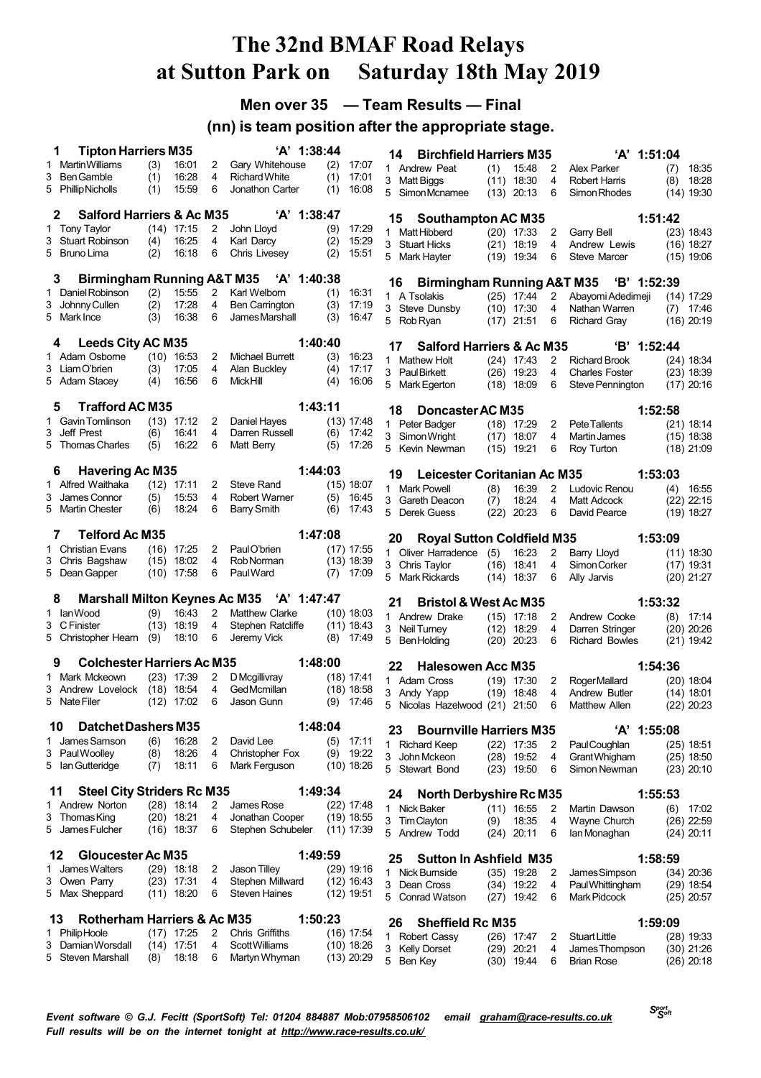## **Men over 35 — Team Results — Final**

## **(nn) is team position after the appropriate stage.**

| <b>Martin Williams</b><br>16:01<br>Gary Whitehouse<br>(3)<br>2<br>(2)<br>17:07<br>1<br>1 Andrew Peat<br>15:48<br>2<br>18:35<br>(1)<br>Alex Parker<br>(7)<br>16:28<br>4<br>3<br><b>Ben Gamble</b><br>(1)<br><b>Richard White</b><br>(1)<br>17:01<br>3 Matt Biggs<br>$(11)$ 18:30<br>4<br><b>Robert Harris</b><br>18:28<br>(8)<br>15:59<br>6<br>5 Phillip Nicholls<br>(1)<br>Jonathon Carter<br>(1)<br>16:08<br>5 SimonMcnamee<br>$(13)$ 20:13<br>6<br>$(14)$ 19:30<br>Simon Rhodes<br><b>Salford Harriers &amp; Ac M35</b><br>$'A'$ 1:38:47<br>2<br><b>Southampton AC M35</b><br>1:51:42<br>15<br>$(14)$ 17:15<br>1 Tony Taylor<br>2<br>John Lloyd<br>(9)<br>17:29<br>1 Matt Hibberd<br>$(23)$ 18:43<br>$(20)$ 17:33<br>2<br>Garry Bell<br>3 Stuart Robinson<br>Karl Darcy<br>(4)<br>16:25<br>4<br>(2)<br>15:29<br>3 Stuart Hicks<br>4<br>(16) 18:27<br>$(21)$ 18:19<br>Andrew Lewis<br>6<br>5 Bruno Lima<br>(2)<br>16:18<br>Chris Livesey<br>(2)<br>15:51<br>5 Mark Hayter<br>6<br><b>Steve Marcer</b><br>$(19)$ 19:34<br>$(15)$ 19:06<br><b>Birmingham Running A&amp;T M35</b><br>'A' 1:40:38<br>3<br><b>Birmingham Running A&amp;T M35</b><br>$B'$ 1:52:39<br>16<br>$\overline{2}$<br>Daniel Robinson<br>(2)<br>15:55<br>Karl Welborn<br>16:31<br>(1)<br>1<br>1 A Tsolakis<br>$(25)$ 17:44<br>2<br>Abayomi Adedimeji<br>$(14)$ 17:29<br>(2)<br>17:28<br>Johnny Cullen<br>4<br>(3)<br>17:19<br>3<br>Ben Carrington<br>3 Steve Dunsby<br>$(10)$ 17:30<br>4<br>Nathan Warren<br>17:46<br>(7)<br>6<br>5 Mark Ince<br>(3)<br>16:38<br>James Marshall<br>(3)<br>16:47<br>5 Rob Ryan<br>$(17)$ 21:51<br>6<br>Richard Gray<br>$(16)$ 20:19<br>1:40:40<br><b>Leeds City AC M35</b><br>4<br><b>Salford Harriers &amp; Ac M35</b><br>'B' 1:52:44<br>17<br>1 Adam Osborne<br>$(10)$ 16:53<br>2<br>Michael Burrett<br>(3)<br>16:23<br>1 Mathew Holt<br>$(24)$ 17:43<br>$\overline{2}$<br><b>Richard Brook</b><br>(24) 18:34<br>$\overline{4}$<br>3 Liam O'brien<br>(3)<br>17:05<br>Alan Buckley<br>17:17<br>(4)<br>3 Paul Birkett<br>4<br>$(23)$ 18:39<br>$(26)$ 19:23<br><b>Charles Foster</b><br>16:56<br>6<br>Mick Hill<br>5 Adam Stacey<br>(4)<br>(4)<br>16:06<br>5<br>Mark Egerton<br>$(18)$ 18:09<br>6<br>$(17)$ 20:16<br>Steve Pennington<br><b>Trafford AC M35</b><br>1:43:11<br>5<br>18<br>Doncaster AC M35<br>1:52:58<br>Gavin Tomlinson<br>$(13)$ 17:12<br>2<br>(13) 17:48<br>Daniel Hayes<br>1<br>1 Peter Badger<br>$(18)$ 17:29<br>$\overline{2}$<br>Pete Tallents<br>$(21)$ 18:14<br>Jeff Prest<br>4<br>Darren Russell<br>3<br>(6)<br>16:41<br>(6)<br>17:42<br>3 Simon Wright<br>4<br>$(15)$ 18:38<br>(17)<br>18:07<br>Martin James<br>16:22<br>5 Thomas Charles<br>6<br>Matt Berry<br>(5)<br>(5)<br>17:26<br>5 Kevin Newman<br>$(15)$ 19:21<br>6<br>Roy Turton<br>(18) 21:09<br><b>Havering Ac M35</b><br>1:44:03<br>6<br>Leicester Coritanian Ac M35<br>1:53:03<br>19<br>Alfred Waithaka<br>$(12)$ 17:11<br>2<br>Steve Rand<br>$(15)$ 18:07<br>1.<br>1 Mark Powell<br>(8)<br>16:39<br>$\overline{2}$<br>Ludovic Renou<br>(4)<br>16:55<br>James Connor<br>(5)<br>15:53<br>4<br>Robert Warner<br>(5)<br>16:45<br>3<br>3 Gareth Deacon<br>18:24<br>Matt Adcock<br>$(22)$ 22:15<br>(7)<br>4<br>18:24<br>6<br>5 Martin Chester<br>(6)<br>Barry Smith<br>(6)<br>17:43<br>5 Derek Guess<br>(22)<br>20:23<br>David Pearce<br>6<br>$(19)$ 18:27<br><b>Telford Ac M35</b><br>1:47:08<br>7<br><b>Royal Sutton Coldfield M35</b><br>1:53:09<br>20<br>1 Christian Evans<br>Paul O'brien<br>$(17)$ 17:55<br>(16) 17:25<br>2<br>1 Oliver Harradence (5)<br>16:23<br>2<br>Barry Lloyd<br>$(11)$ 18:30<br>$(15)$ 18:02<br>4<br>(13) 18:39<br>3 Chris Bagshaw<br>Rob Norman<br>4<br>3 Chris Taylor<br>$(16)$ 18:41<br>Simon Corker<br>$(17)$ 19:31<br>5 Dean Gapper<br>$(10)$ 17:58<br>6<br>Paul Ward<br>17:09<br>(7)<br>5 Mark Rickards<br>$(14)$ 18:37<br>6<br>Ally Jarvis<br>$(20)$ 21:27<br><b>Marshall Milton Keynes Ac M35</b><br>'A' 1:47:47<br>8<br><b>Bristol &amp; West Ac M35</b><br>1:53:32<br>21<br>1 IanWood<br>(9)<br>16:43<br>$\overline{2}$<br><b>Matthew Clarke</b><br>$(10)$ 18:03<br>1 Andrew Drake<br>Andrew Cooke<br>17:14<br>$(15)$ 17:18<br>2<br>(8)<br>3 C Finister<br>$(13)$ 18:19<br>4<br>Stephen Ratcliffe<br>$(11)$ 18:43<br>3 Neil Turney<br>18:29<br>4<br>Darren Stringer<br>$(20)$ 20:26<br>(12)<br>18:10<br>6<br>(9)<br>Jeremy Vick<br>$(8)$ 17:49<br>5 Christopher Hearn<br>5 Ben Holding<br>$(20)$ 20:23<br>6<br><b>Richard Bowles</b><br>$(21)$ 19:42<br>1:48:00<br><b>Colchester Harriers Ac M35</b><br>9<br>1:54:36<br>22<br><b>Halesowen Acc M35</b><br>Mark Mckeown<br>D Mcgillivray<br>$(23)$ 17:39<br>2<br>(18) 17:41<br>1<br>1 Adam Cross<br>$(19)$ 17:30<br>Roger Mallard<br>$(20)$ 18:04<br>2<br>$(18)$ 18:54<br>4<br>Ged Mcmillan<br>$(18)$ 18:58<br>3 Andrew Lovelock<br>3 Andy Yapp<br>Andrew Butler<br>(14) 18:01<br>(19)<br>18:48<br>4<br>6<br>5 Nate Filer<br>$(12)$ 17:02<br>Jason Gunn<br>$(9)$ 17:46<br>5<br>21:50<br>Matthew Allen<br>$(22)$ 20:23<br>Nicolas Hazelwood (21)<br>6<br>1:48:04<br><b>Datchet Dashers M35</b><br>10<br><b>Bournville Harriers M35</b><br>'A' 1:55:08<br>23<br>James Samson<br>(6)<br>16:28<br>2<br>David Lee<br>$(5)$ 17:11<br>1<br>1 Richard Keep<br>$(22)$ 17:35<br>2<br>Paul Coughlan<br>$(25)$ 18:51<br>4<br>3 PaulWoolley<br>(8)<br>18:26<br>Christopher Fox<br>$(9)$ 19:22<br>3 John Mckeon<br>$(28)$ 19:52<br>4<br>Grant Whigham<br>$(25)$ 18:50<br>18:11<br>5 Ian Gutteridge<br>(7)<br>6<br>Mark Ferguson<br>$(10)$ 18:26<br>5 Stewart Bond<br>Simon Newman<br>$(23)$ 19:50<br>6<br>$(23)$ 20:10<br><b>Steel City Striders Rc M35</b><br>1:49:34<br>11<br><b>North Derbyshire Rc M35</b><br>1:55:53<br>24<br>$(28)$ 18:14<br>1 Andrew Norton<br>2<br>$(22)$ 17:48<br>James Rose<br>1 Nick Baker<br>$(11)$ 16:55<br>2<br>Martin Dawson<br>(6)<br>17:02<br>3 Thomas King<br>$(20)$ 18:21<br>4<br>Jonathan Cooper<br>$(19)$ 18:55<br>3 Tim Clayton<br>(9)<br>18:35<br>4<br>Wayne Church<br>$(26)$ 22:59<br>$(16)$ 18:37<br>6<br>Stephen Schubeler<br>5 James Fulcher<br>$(11)$ 17:39<br>5 Andrew Todd<br>$(24)$ 20:11<br>6<br>lan Monaghan<br>(24) 20:11<br><b>Gloucester Ac M35</b><br>1:49:59<br>12<br><b>Sutton In Ashfield M35</b><br>1:58:59<br>25<br>James Walters<br>$(29)$ 18:18<br>Jason Tilley<br>$(29)$ 19:16<br>2<br>1<br>1 Nick Burnside<br>$(35)$ 19:28<br>2<br>James Simpson<br>$(34)$ 20:36<br>3 Owen Parry<br>$(23)$ 17:31<br>4<br>Stephen Millward<br>$(12)$ 16:43<br>3 Dean Cross<br>$(34)$ 19:22<br><b>PaulWhittingham</b><br>4<br>$(29)$ 18:54<br>6<br><b>Steven Haines</b><br>5 Max Sheppard<br>$(11)$ 18:20<br>$(12)$ 19:51<br>5 Conrad Watson<br>$(27)$ 19:42<br>Mark Pidcock<br>$(25)$ 20:57<br>6<br><b>Rotherham Harriers &amp; Ac M35</b><br>1:50:23<br>13<br><b>Sheffield Rc M35</b><br>1:59:09<br>26<br>1 PhilipHoole<br>$(17)$ 17:25<br>Chris Griffiths<br>2<br>$(16)$ 17:54<br><b>Robert Cassy</b><br>$(26)$ 17:47<br><b>Stuart Little</b><br>2<br>$(28)$ 19:33<br>1<br>Damian Worsdall<br>$(14)$ 17:51<br>Scott Williams<br>3<br>4<br>$(10)$ 18:26<br>3 Kelly Dorset<br>$(29)$ 20:21<br>4<br>James Thompson<br>$(30)$ 21:26<br>18:18<br>5 Steven Marshall<br>(8)<br>6<br>Martyn Whyman<br>$(13)$ 20:29<br>5 Ben Key<br>$(30)$ 19:44<br><b>Brian Rose</b><br>$(26)$ 20:18<br>6 | <b>Tipton Harriers M35</b><br>1 |  | 'A' 1:38:44 |  | 14 | <b>Birchfield Harriers M35</b> |  | 'A' 1:51:04 |  |
|-------------------------------------------------------------------------------------------------------------------------------------------------------------------------------------------------------------------------------------------------------------------------------------------------------------------------------------------------------------------------------------------------------------------------------------------------------------------------------------------------------------------------------------------------------------------------------------------------------------------------------------------------------------------------------------------------------------------------------------------------------------------------------------------------------------------------------------------------------------------------------------------------------------------------------------------------------------------------------------------------------------------------------------------------------------------------------------------------------------------------------------------------------------------------------------------------------------------------------------------------------------------------------------------------------------------------------------------------------------------------------------------------------------------------------------------------------------------------------------------------------------------------------------------------------------------------------------------------------------------------------------------------------------------------------------------------------------------------------------------------------------------------------------------------------------------------------------------------------------------------------------------------------------------------------------------------------------------------------------------------------------------------------------------------------------------------------------------------------------------------------------------------------------------------------------------------------------------------------------------------------------------------------------------------------------------------------------------------------------------------------------------------------------------------------------------------------------------------------------------------------------------------------------------------------------------------------------------------------------------------------------------------------------------------------------------------------------------------------------------------------------------------------------------------------------------------------------------------------------------------------------------------------------------------------------------------------------------------------------------------------------------------------------------------------------------------------------------------------------------------------------------------------------------------------------------------------------------------------------------------------------------------------------------------------------------------------------------------------------------------------------------------------------------------------------------------------------------------------------------------------------------------------------------------------------------------------------------------------------------------------------------------------------------------------------------------------------------------------------------------------------------------------------------------------------------------------------------------------------------------------------------------------------------------------------------------------------------------------------------------------------------------------------------------------------------------------------------------------------------------------------------------------------------------------------------------------------------------------------------------------------------------------------------------------------------------------------------------------------------------------------------------------------------------------------------------------------------------------------------------------------------------------------------------------------------------------------------------------------------------------------------------------------------------------------------------------------------------------------------------------------------------------------------------------------------------------------------------------------------------------------------------------------------------------------------------------------------------------------------------------------------------------------------------------------------------------------------------------------------------------------------------------------------------------------------------------------------------------------------------------------------------------------------------------------------------------------------------------------------------------------------------------------------------------------------------------------------------------------------------------------------------------------------------------------------------------------------------------------------------------------------------------------------------------------------------------------------------------------------------------------------------------------------------------------------------------------------------------------------------------------------------------------------------------------------------------------------------------------------------------------------------------------------------------------------------------------------------------------------------------------------------------------------------------------------------------------------------------------------------------------------------------------------------------------------------------------------------------------------------------------------------------------------------------------------------------------------------------------------------------------------------------------------------------------------------------------------------------------------------------------------------------------------------------------------------------------------------------------------------------------------------------------------------------------------------------------------------------------------------------------------------------------------------------------------------------------------------------------------------------------------------------------------------------------------------------------------------------------------------------------------------------------------------------------------------------------------------------------------------------------------------------------------|---------------------------------|--|-------------|--|----|--------------------------------|--|-------------|--|
|                                                                                                                                                                                                                                                                                                                                                                                                                                                                                                                                                                                                                                                                                                                                                                                                                                                                                                                                                                                                                                                                                                                                                                                                                                                                                                                                                                                                                                                                                                                                                                                                                                                                                                                                                                                                                                                                                                                                                                                                                                                                                                                                                                                                                                                                                                                                                                                                                                                                                                                                                                                                                                                                                                                                                                                                                                                                                                                                                                                                                                                                                                                                                                                                                                                                                                                                                                                                                                                                                                                                                                                                                                                                                                                                                                                                                                                                                                                                                                                                                                                                                                                                                                                                                                                                                                                                                                                                                                                                                                                                                                                                                                                                                                                                                                                                                                                                                                                                                                                                                                                                                                                                                                                                                                                                                                                                                                                                                                                                                                                                                                                                                                                                                                                                                                                                                                                                                                                                                                                                                                                                                                                                                                                                                                                                                                                                                                                                                                                                                                                                                                                                                                                                                                                                                                                                                                                                                                                                                                                                                                                                                                                                                                                                                                                                                           |                                 |  |             |  |    |                                |  |             |  |
|                                                                                                                                                                                                                                                                                                                                                                                                                                                                                                                                                                                                                                                                                                                                                                                                                                                                                                                                                                                                                                                                                                                                                                                                                                                                                                                                                                                                                                                                                                                                                                                                                                                                                                                                                                                                                                                                                                                                                                                                                                                                                                                                                                                                                                                                                                                                                                                                                                                                                                                                                                                                                                                                                                                                                                                                                                                                                                                                                                                                                                                                                                                                                                                                                                                                                                                                                                                                                                                                                                                                                                                                                                                                                                                                                                                                                                                                                                                                                                                                                                                                                                                                                                                                                                                                                                                                                                                                                                                                                                                                                                                                                                                                                                                                                                                                                                                                                                                                                                                                                                                                                                                                                                                                                                                                                                                                                                                                                                                                                                                                                                                                                                                                                                                                                                                                                                                                                                                                                                                                                                                                                                                                                                                                                                                                                                                                                                                                                                                                                                                                                                                                                                                                                                                                                                                                                                                                                                                                                                                                                                                                                                                                                                                                                                                                                           |                                 |  |             |  |    |                                |  |             |  |
|                                                                                                                                                                                                                                                                                                                                                                                                                                                                                                                                                                                                                                                                                                                                                                                                                                                                                                                                                                                                                                                                                                                                                                                                                                                                                                                                                                                                                                                                                                                                                                                                                                                                                                                                                                                                                                                                                                                                                                                                                                                                                                                                                                                                                                                                                                                                                                                                                                                                                                                                                                                                                                                                                                                                                                                                                                                                                                                                                                                                                                                                                                                                                                                                                                                                                                                                                                                                                                                                                                                                                                                                                                                                                                                                                                                                                                                                                                                                                                                                                                                                                                                                                                                                                                                                                                                                                                                                                                                                                                                                                                                                                                                                                                                                                                                                                                                                                                                                                                                                                                                                                                                                                                                                                                                                                                                                                                                                                                                                                                                                                                                                                                                                                                                                                                                                                                                                                                                                                                                                                                                                                                                                                                                                                                                                                                                                                                                                                                                                                                                                                                                                                                                                                                                                                                                                                                                                                                                                                                                                                                                                                                                                                                                                                                                                                           |                                 |  |             |  |    |                                |  |             |  |
|                                                                                                                                                                                                                                                                                                                                                                                                                                                                                                                                                                                                                                                                                                                                                                                                                                                                                                                                                                                                                                                                                                                                                                                                                                                                                                                                                                                                                                                                                                                                                                                                                                                                                                                                                                                                                                                                                                                                                                                                                                                                                                                                                                                                                                                                                                                                                                                                                                                                                                                                                                                                                                                                                                                                                                                                                                                                                                                                                                                                                                                                                                                                                                                                                                                                                                                                                                                                                                                                                                                                                                                                                                                                                                                                                                                                                                                                                                                                                                                                                                                                                                                                                                                                                                                                                                                                                                                                                                                                                                                                                                                                                                                                                                                                                                                                                                                                                                                                                                                                                                                                                                                                                                                                                                                                                                                                                                                                                                                                                                                                                                                                                                                                                                                                                                                                                                                                                                                                                                                                                                                                                                                                                                                                                                                                                                                                                                                                                                                                                                                                                                                                                                                                                                                                                                                                                                                                                                                                                                                                                                                                                                                                                                                                                                                                                           |                                 |  |             |  |    |                                |  |             |  |
|                                                                                                                                                                                                                                                                                                                                                                                                                                                                                                                                                                                                                                                                                                                                                                                                                                                                                                                                                                                                                                                                                                                                                                                                                                                                                                                                                                                                                                                                                                                                                                                                                                                                                                                                                                                                                                                                                                                                                                                                                                                                                                                                                                                                                                                                                                                                                                                                                                                                                                                                                                                                                                                                                                                                                                                                                                                                                                                                                                                                                                                                                                                                                                                                                                                                                                                                                                                                                                                                                                                                                                                                                                                                                                                                                                                                                                                                                                                                                                                                                                                                                                                                                                                                                                                                                                                                                                                                                                                                                                                                                                                                                                                                                                                                                                                                                                                                                                                                                                                                                                                                                                                                                                                                                                                                                                                                                                                                                                                                                                                                                                                                                                                                                                                                                                                                                                                                                                                                                                                                                                                                                                                                                                                                                                                                                                                                                                                                                                                                                                                                                                                                                                                                                                                                                                                                                                                                                                                                                                                                                                                                                                                                                                                                                                                                                           |                                 |  |             |  |    |                                |  |             |  |
|                                                                                                                                                                                                                                                                                                                                                                                                                                                                                                                                                                                                                                                                                                                                                                                                                                                                                                                                                                                                                                                                                                                                                                                                                                                                                                                                                                                                                                                                                                                                                                                                                                                                                                                                                                                                                                                                                                                                                                                                                                                                                                                                                                                                                                                                                                                                                                                                                                                                                                                                                                                                                                                                                                                                                                                                                                                                                                                                                                                                                                                                                                                                                                                                                                                                                                                                                                                                                                                                                                                                                                                                                                                                                                                                                                                                                                                                                                                                                                                                                                                                                                                                                                                                                                                                                                                                                                                                                                                                                                                                                                                                                                                                                                                                                                                                                                                                                                                                                                                                                                                                                                                                                                                                                                                                                                                                                                                                                                                                                                                                                                                                                                                                                                                                                                                                                                                                                                                                                                                                                                                                                                                                                                                                                                                                                                                                                                                                                                                                                                                                                                                                                                                                                                                                                                                                                                                                                                                                                                                                                                                                                                                                                                                                                                                                                           |                                 |  |             |  |    |                                |  |             |  |
|                                                                                                                                                                                                                                                                                                                                                                                                                                                                                                                                                                                                                                                                                                                                                                                                                                                                                                                                                                                                                                                                                                                                                                                                                                                                                                                                                                                                                                                                                                                                                                                                                                                                                                                                                                                                                                                                                                                                                                                                                                                                                                                                                                                                                                                                                                                                                                                                                                                                                                                                                                                                                                                                                                                                                                                                                                                                                                                                                                                                                                                                                                                                                                                                                                                                                                                                                                                                                                                                                                                                                                                                                                                                                                                                                                                                                                                                                                                                                                                                                                                                                                                                                                                                                                                                                                                                                                                                                                                                                                                                                                                                                                                                                                                                                                                                                                                                                                                                                                                                                                                                                                                                                                                                                                                                                                                                                                                                                                                                                                                                                                                                                                                                                                                                                                                                                                                                                                                                                                                                                                                                                                                                                                                                                                                                                                                                                                                                                                                                                                                                                                                                                                                                                                                                                                                                                                                                                                                                                                                                                                                                                                                                                                                                                                                                                           |                                 |  |             |  |    |                                |  |             |  |
|                                                                                                                                                                                                                                                                                                                                                                                                                                                                                                                                                                                                                                                                                                                                                                                                                                                                                                                                                                                                                                                                                                                                                                                                                                                                                                                                                                                                                                                                                                                                                                                                                                                                                                                                                                                                                                                                                                                                                                                                                                                                                                                                                                                                                                                                                                                                                                                                                                                                                                                                                                                                                                                                                                                                                                                                                                                                                                                                                                                                                                                                                                                                                                                                                                                                                                                                                                                                                                                                                                                                                                                                                                                                                                                                                                                                                                                                                                                                                                                                                                                                                                                                                                                                                                                                                                                                                                                                                                                                                                                                                                                                                                                                                                                                                                                                                                                                                                                                                                                                                                                                                                                                                                                                                                                                                                                                                                                                                                                                                                                                                                                                                                                                                                                                                                                                                                                                                                                                                                                                                                                                                                                                                                                                                                                                                                                                                                                                                                                                                                                                                                                                                                                                                                                                                                                                                                                                                                                                                                                                                                                                                                                                                                                                                                                                                           |                                 |  |             |  |    |                                |  |             |  |
|                                                                                                                                                                                                                                                                                                                                                                                                                                                                                                                                                                                                                                                                                                                                                                                                                                                                                                                                                                                                                                                                                                                                                                                                                                                                                                                                                                                                                                                                                                                                                                                                                                                                                                                                                                                                                                                                                                                                                                                                                                                                                                                                                                                                                                                                                                                                                                                                                                                                                                                                                                                                                                                                                                                                                                                                                                                                                                                                                                                                                                                                                                                                                                                                                                                                                                                                                                                                                                                                                                                                                                                                                                                                                                                                                                                                                                                                                                                                                                                                                                                                                                                                                                                                                                                                                                                                                                                                                                                                                                                                                                                                                                                                                                                                                                                                                                                                                                                                                                                                                                                                                                                                                                                                                                                                                                                                                                                                                                                                                                                                                                                                                                                                                                                                                                                                                                                                                                                                                                                                                                                                                                                                                                                                                                                                                                                                                                                                                                                                                                                                                                                                                                                                                                                                                                                                                                                                                                                                                                                                                                                                                                                                                                                                                                                                                           |                                 |  |             |  |    |                                |  |             |  |
|                                                                                                                                                                                                                                                                                                                                                                                                                                                                                                                                                                                                                                                                                                                                                                                                                                                                                                                                                                                                                                                                                                                                                                                                                                                                                                                                                                                                                                                                                                                                                                                                                                                                                                                                                                                                                                                                                                                                                                                                                                                                                                                                                                                                                                                                                                                                                                                                                                                                                                                                                                                                                                                                                                                                                                                                                                                                                                                                                                                                                                                                                                                                                                                                                                                                                                                                                                                                                                                                                                                                                                                                                                                                                                                                                                                                                                                                                                                                                                                                                                                                                                                                                                                                                                                                                                                                                                                                                                                                                                                                                                                                                                                                                                                                                                                                                                                                                                                                                                                                                                                                                                                                                                                                                                                                                                                                                                                                                                                                                                                                                                                                                                                                                                                                                                                                                                                                                                                                                                                                                                                                                                                                                                                                                                                                                                                                                                                                                                                                                                                                                                                                                                                                                                                                                                                                                                                                                                                                                                                                                                                                                                                                                                                                                                                                                           |                                 |  |             |  |    |                                |  |             |  |
|                                                                                                                                                                                                                                                                                                                                                                                                                                                                                                                                                                                                                                                                                                                                                                                                                                                                                                                                                                                                                                                                                                                                                                                                                                                                                                                                                                                                                                                                                                                                                                                                                                                                                                                                                                                                                                                                                                                                                                                                                                                                                                                                                                                                                                                                                                                                                                                                                                                                                                                                                                                                                                                                                                                                                                                                                                                                                                                                                                                                                                                                                                                                                                                                                                                                                                                                                                                                                                                                                                                                                                                                                                                                                                                                                                                                                                                                                                                                                                                                                                                                                                                                                                                                                                                                                                                                                                                                                                                                                                                                                                                                                                                                                                                                                                                                                                                                                                                                                                                                                                                                                                                                                                                                                                                                                                                                                                                                                                                                                                                                                                                                                                                                                                                                                                                                                                                                                                                                                                                                                                                                                                                                                                                                                                                                                                                                                                                                                                                                                                                                                                                                                                                                                                                                                                                                                                                                                                                                                                                                                                                                                                                                                                                                                                                                                           |                                 |  |             |  |    |                                |  |             |  |
|                                                                                                                                                                                                                                                                                                                                                                                                                                                                                                                                                                                                                                                                                                                                                                                                                                                                                                                                                                                                                                                                                                                                                                                                                                                                                                                                                                                                                                                                                                                                                                                                                                                                                                                                                                                                                                                                                                                                                                                                                                                                                                                                                                                                                                                                                                                                                                                                                                                                                                                                                                                                                                                                                                                                                                                                                                                                                                                                                                                                                                                                                                                                                                                                                                                                                                                                                                                                                                                                                                                                                                                                                                                                                                                                                                                                                                                                                                                                                                                                                                                                                                                                                                                                                                                                                                                                                                                                                                                                                                                                                                                                                                                                                                                                                                                                                                                                                                                                                                                                                                                                                                                                                                                                                                                                                                                                                                                                                                                                                                                                                                                                                                                                                                                                                                                                                                                                                                                                                                                                                                                                                                                                                                                                                                                                                                                                                                                                                                                                                                                                                                                                                                                                                                                                                                                                                                                                                                                                                                                                                                                                                                                                                                                                                                                                                           |                                 |  |             |  |    |                                |  |             |  |
|                                                                                                                                                                                                                                                                                                                                                                                                                                                                                                                                                                                                                                                                                                                                                                                                                                                                                                                                                                                                                                                                                                                                                                                                                                                                                                                                                                                                                                                                                                                                                                                                                                                                                                                                                                                                                                                                                                                                                                                                                                                                                                                                                                                                                                                                                                                                                                                                                                                                                                                                                                                                                                                                                                                                                                                                                                                                                                                                                                                                                                                                                                                                                                                                                                                                                                                                                                                                                                                                                                                                                                                                                                                                                                                                                                                                                                                                                                                                                                                                                                                                                                                                                                                                                                                                                                                                                                                                                                                                                                                                                                                                                                                                                                                                                                                                                                                                                                                                                                                                                                                                                                                                                                                                                                                                                                                                                                                                                                                                                                                                                                                                                                                                                                                                                                                                                                                                                                                                                                                                                                                                                                                                                                                                                                                                                                                                                                                                                                                                                                                                                                                                                                                                                                                                                                                                                                                                                                                                                                                                                                                                                                                                                                                                                                                                                           |                                 |  |             |  |    |                                |  |             |  |
|                                                                                                                                                                                                                                                                                                                                                                                                                                                                                                                                                                                                                                                                                                                                                                                                                                                                                                                                                                                                                                                                                                                                                                                                                                                                                                                                                                                                                                                                                                                                                                                                                                                                                                                                                                                                                                                                                                                                                                                                                                                                                                                                                                                                                                                                                                                                                                                                                                                                                                                                                                                                                                                                                                                                                                                                                                                                                                                                                                                                                                                                                                                                                                                                                                                                                                                                                                                                                                                                                                                                                                                                                                                                                                                                                                                                                                                                                                                                                                                                                                                                                                                                                                                                                                                                                                                                                                                                                                                                                                                                                                                                                                                                                                                                                                                                                                                                                                                                                                                                                                                                                                                                                                                                                                                                                                                                                                                                                                                                                                                                                                                                                                                                                                                                                                                                                                                                                                                                                                                                                                                                                                                                                                                                                                                                                                                                                                                                                                                                                                                                                                                                                                                                                                                                                                                                                                                                                                                                                                                                                                                                                                                                                                                                                                                                                           |                                 |  |             |  |    |                                |  |             |  |
|                                                                                                                                                                                                                                                                                                                                                                                                                                                                                                                                                                                                                                                                                                                                                                                                                                                                                                                                                                                                                                                                                                                                                                                                                                                                                                                                                                                                                                                                                                                                                                                                                                                                                                                                                                                                                                                                                                                                                                                                                                                                                                                                                                                                                                                                                                                                                                                                                                                                                                                                                                                                                                                                                                                                                                                                                                                                                                                                                                                                                                                                                                                                                                                                                                                                                                                                                                                                                                                                                                                                                                                                                                                                                                                                                                                                                                                                                                                                                                                                                                                                                                                                                                                                                                                                                                                                                                                                                                                                                                                                                                                                                                                                                                                                                                                                                                                                                                                                                                                                                                                                                                                                                                                                                                                                                                                                                                                                                                                                                                                                                                                                                                                                                                                                                                                                                                                                                                                                                                                                                                                                                                                                                                                                                                                                                                                                                                                                                                                                                                                                                                                                                                                                                                                                                                                                                                                                                                                                                                                                                                                                                                                                                                                                                                                                                           |                                 |  |             |  |    |                                |  |             |  |
|                                                                                                                                                                                                                                                                                                                                                                                                                                                                                                                                                                                                                                                                                                                                                                                                                                                                                                                                                                                                                                                                                                                                                                                                                                                                                                                                                                                                                                                                                                                                                                                                                                                                                                                                                                                                                                                                                                                                                                                                                                                                                                                                                                                                                                                                                                                                                                                                                                                                                                                                                                                                                                                                                                                                                                                                                                                                                                                                                                                                                                                                                                                                                                                                                                                                                                                                                                                                                                                                                                                                                                                                                                                                                                                                                                                                                                                                                                                                                                                                                                                                                                                                                                                                                                                                                                                                                                                                                                                                                                                                                                                                                                                                                                                                                                                                                                                                                                                                                                                                                                                                                                                                                                                                                                                                                                                                                                                                                                                                                                                                                                                                                                                                                                                                                                                                                                                                                                                                                                                                                                                                                                                                                                                                                                                                                                                                                                                                                                                                                                                                                                                                                                                                                                                                                                                                                                                                                                                                                                                                                                                                                                                                                                                                                                                                                           |                                 |  |             |  |    |                                |  |             |  |
|                                                                                                                                                                                                                                                                                                                                                                                                                                                                                                                                                                                                                                                                                                                                                                                                                                                                                                                                                                                                                                                                                                                                                                                                                                                                                                                                                                                                                                                                                                                                                                                                                                                                                                                                                                                                                                                                                                                                                                                                                                                                                                                                                                                                                                                                                                                                                                                                                                                                                                                                                                                                                                                                                                                                                                                                                                                                                                                                                                                                                                                                                                                                                                                                                                                                                                                                                                                                                                                                                                                                                                                                                                                                                                                                                                                                                                                                                                                                                                                                                                                                                                                                                                                                                                                                                                                                                                                                                                                                                                                                                                                                                                                                                                                                                                                                                                                                                                                                                                                                                                                                                                                                                                                                                                                                                                                                                                                                                                                                                                                                                                                                                                                                                                                                                                                                                                                                                                                                                                                                                                                                                                                                                                                                                                                                                                                                                                                                                                                                                                                                                                                                                                                                                                                                                                                                                                                                                                                                                                                                                                                                                                                                                                                                                                                                                           |                                 |  |             |  |    |                                |  |             |  |
|                                                                                                                                                                                                                                                                                                                                                                                                                                                                                                                                                                                                                                                                                                                                                                                                                                                                                                                                                                                                                                                                                                                                                                                                                                                                                                                                                                                                                                                                                                                                                                                                                                                                                                                                                                                                                                                                                                                                                                                                                                                                                                                                                                                                                                                                                                                                                                                                                                                                                                                                                                                                                                                                                                                                                                                                                                                                                                                                                                                                                                                                                                                                                                                                                                                                                                                                                                                                                                                                                                                                                                                                                                                                                                                                                                                                                                                                                                                                                                                                                                                                                                                                                                                                                                                                                                                                                                                                                                                                                                                                                                                                                                                                                                                                                                                                                                                                                                                                                                                                                                                                                                                                                                                                                                                                                                                                                                                                                                                                                                                                                                                                                                                                                                                                                                                                                                                                                                                                                                                                                                                                                                                                                                                                                                                                                                                                                                                                                                                                                                                                                                                                                                                                                                                                                                                                                                                                                                                                                                                                                                                                                                                                                                                                                                                                                           |                                 |  |             |  |    |                                |  |             |  |
|                                                                                                                                                                                                                                                                                                                                                                                                                                                                                                                                                                                                                                                                                                                                                                                                                                                                                                                                                                                                                                                                                                                                                                                                                                                                                                                                                                                                                                                                                                                                                                                                                                                                                                                                                                                                                                                                                                                                                                                                                                                                                                                                                                                                                                                                                                                                                                                                                                                                                                                                                                                                                                                                                                                                                                                                                                                                                                                                                                                                                                                                                                                                                                                                                                                                                                                                                                                                                                                                                                                                                                                                                                                                                                                                                                                                                                                                                                                                                                                                                                                                                                                                                                                                                                                                                                                                                                                                                                                                                                                                                                                                                                                                                                                                                                                                                                                                                                                                                                                                                                                                                                                                                                                                                                                                                                                                                                                                                                                                                                                                                                                                                                                                                                                                                                                                                                                                                                                                                                                                                                                                                                                                                                                                                                                                                                                                                                                                                                                                                                                                                                                                                                                                                                                                                                                                                                                                                                                                                                                                                                                                                                                                                                                                                                                                                           |                                 |  |             |  |    |                                |  |             |  |
|                                                                                                                                                                                                                                                                                                                                                                                                                                                                                                                                                                                                                                                                                                                                                                                                                                                                                                                                                                                                                                                                                                                                                                                                                                                                                                                                                                                                                                                                                                                                                                                                                                                                                                                                                                                                                                                                                                                                                                                                                                                                                                                                                                                                                                                                                                                                                                                                                                                                                                                                                                                                                                                                                                                                                                                                                                                                                                                                                                                                                                                                                                                                                                                                                                                                                                                                                                                                                                                                                                                                                                                                                                                                                                                                                                                                                                                                                                                                                                                                                                                                                                                                                                                                                                                                                                                                                                                                                                                                                                                                                                                                                                                                                                                                                                                                                                                                                                                                                                                                                                                                                                                                                                                                                                                                                                                                                                                                                                                                                                                                                                                                                                                                                                                                                                                                                                                                                                                                                                                                                                                                                                                                                                                                                                                                                                                                                                                                                                                                                                                                                                                                                                                                                                                                                                                                                                                                                                                                                                                                                                                                                                                                                                                                                                                                                           |                                 |  |             |  |    |                                |  |             |  |
|                                                                                                                                                                                                                                                                                                                                                                                                                                                                                                                                                                                                                                                                                                                                                                                                                                                                                                                                                                                                                                                                                                                                                                                                                                                                                                                                                                                                                                                                                                                                                                                                                                                                                                                                                                                                                                                                                                                                                                                                                                                                                                                                                                                                                                                                                                                                                                                                                                                                                                                                                                                                                                                                                                                                                                                                                                                                                                                                                                                                                                                                                                                                                                                                                                                                                                                                                                                                                                                                                                                                                                                                                                                                                                                                                                                                                                                                                                                                                                                                                                                                                                                                                                                                                                                                                                                                                                                                                                                                                                                                                                                                                                                                                                                                                                                                                                                                                                                                                                                                                                                                                                                                                                                                                                                                                                                                                                                                                                                                                                                                                                                                                                                                                                                                                                                                                                                                                                                                                                                                                                                                                                                                                                                                                                                                                                                                                                                                                                                                                                                                                                                                                                                                                                                                                                                                                                                                                                                                                                                                                                                                                                                                                                                                                                                                                           |                                 |  |             |  |    |                                |  |             |  |
|                                                                                                                                                                                                                                                                                                                                                                                                                                                                                                                                                                                                                                                                                                                                                                                                                                                                                                                                                                                                                                                                                                                                                                                                                                                                                                                                                                                                                                                                                                                                                                                                                                                                                                                                                                                                                                                                                                                                                                                                                                                                                                                                                                                                                                                                                                                                                                                                                                                                                                                                                                                                                                                                                                                                                                                                                                                                                                                                                                                                                                                                                                                                                                                                                                                                                                                                                                                                                                                                                                                                                                                                                                                                                                                                                                                                                                                                                                                                                                                                                                                                                                                                                                                                                                                                                                                                                                                                                                                                                                                                                                                                                                                                                                                                                                                                                                                                                                                                                                                                                                                                                                                                                                                                                                                                                                                                                                                                                                                                                                                                                                                                                                                                                                                                                                                                                                                                                                                                                                                                                                                                                                                                                                                                                                                                                                                                                                                                                                                                                                                                                                                                                                                                                                                                                                                                                                                                                                                                                                                                                                                                                                                                                                                                                                                                                           |                                 |  |             |  |    |                                |  |             |  |
|                                                                                                                                                                                                                                                                                                                                                                                                                                                                                                                                                                                                                                                                                                                                                                                                                                                                                                                                                                                                                                                                                                                                                                                                                                                                                                                                                                                                                                                                                                                                                                                                                                                                                                                                                                                                                                                                                                                                                                                                                                                                                                                                                                                                                                                                                                                                                                                                                                                                                                                                                                                                                                                                                                                                                                                                                                                                                                                                                                                                                                                                                                                                                                                                                                                                                                                                                                                                                                                                                                                                                                                                                                                                                                                                                                                                                                                                                                                                                                                                                                                                                                                                                                                                                                                                                                                                                                                                                                                                                                                                                                                                                                                                                                                                                                                                                                                                                                                                                                                                                                                                                                                                                                                                                                                                                                                                                                                                                                                                                                                                                                                                                                                                                                                                                                                                                                                                                                                                                                                                                                                                                                                                                                                                                                                                                                                                                                                                                                                                                                                                                                                                                                                                                                                                                                                                                                                                                                                                                                                                                                                                                                                                                                                                                                                                                           |                                 |  |             |  |    |                                |  |             |  |
|                                                                                                                                                                                                                                                                                                                                                                                                                                                                                                                                                                                                                                                                                                                                                                                                                                                                                                                                                                                                                                                                                                                                                                                                                                                                                                                                                                                                                                                                                                                                                                                                                                                                                                                                                                                                                                                                                                                                                                                                                                                                                                                                                                                                                                                                                                                                                                                                                                                                                                                                                                                                                                                                                                                                                                                                                                                                                                                                                                                                                                                                                                                                                                                                                                                                                                                                                                                                                                                                                                                                                                                                                                                                                                                                                                                                                                                                                                                                                                                                                                                                                                                                                                                                                                                                                                                                                                                                                                                                                                                                                                                                                                                                                                                                                                                                                                                                                                                                                                                                                                                                                                                                                                                                                                                                                                                                                                                                                                                                                                                                                                                                                                                                                                                                                                                                                                                                                                                                                                                                                                                                                                                                                                                                                                                                                                                                                                                                                                                                                                                                                                                                                                                                                                                                                                                                                                                                                                                                                                                                                                                                                                                                                                                                                                                                                           |                                 |  |             |  |    |                                |  |             |  |
|                                                                                                                                                                                                                                                                                                                                                                                                                                                                                                                                                                                                                                                                                                                                                                                                                                                                                                                                                                                                                                                                                                                                                                                                                                                                                                                                                                                                                                                                                                                                                                                                                                                                                                                                                                                                                                                                                                                                                                                                                                                                                                                                                                                                                                                                                                                                                                                                                                                                                                                                                                                                                                                                                                                                                                                                                                                                                                                                                                                                                                                                                                                                                                                                                                                                                                                                                                                                                                                                                                                                                                                                                                                                                                                                                                                                                                                                                                                                                                                                                                                                                                                                                                                                                                                                                                                                                                                                                                                                                                                                                                                                                                                                                                                                                                                                                                                                                                                                                                                                                                                                                                                                                                                                                                                                                                                                                                                                                                                                                                                                                                                                                                                                                                                                                                                                                                                                                                                                                                                                                                                                                                                                                                                                                                                                                                                                                                                                                                                                                                                                                                                                                                                                                                                                                                                                                                                                                                                                                                                                                                                                                                                                                                                                                                                                                           |                                 |  |             |  |    |                                |  |             |  |
|                                                                                                                                                                                                                                                                                                                                                                                                                                                                                                                                                                                                                                                                                                                                                                                                                                                                                                                                                                                                                                                                                                                                                                                                                                                                                                                                                                                                                                                                                                                                                                                                                                                                                                                                                                                                                                                                                                                                                                                                                                                                                                                                                                                                                                                                                                                                                                                                                                                                                                                                                                                                                                                                                                                                                                                                                                                                                                                                                                                                                                                                                                                                                                                                                                                                                                                                                                                                                                                                                                                                                                                                                                                                                                                                                                                                                                                                                                                                                                                                                                                                                                                                                                                                                                                                                                                                                                                                                                                                                                                                                                                                                                                                                                                                                                                                                                                                                                                                                                                                                                                                                                                                                                                                                                                                                                                                                                                                                                                                                                                                                                                                                                                                                                                                                                                                                                                                                                                                                                                                                                                                                                                                                                                                                                                                                                                                                                                                                                                                                                                                                                                                                                                                                                                                                                                                                                                                                                                                                                                                                                                                                                                                                                                                                                                                                           |                                 |  |             |  |    |                                |  |             |  |
|                                                                                                                                                                                                                                                                                                                                                                                                                                                                                                                                                                                                                                                                                                                                                                                                                                                                                                                                                                                                                                                                                                                                                                                                                                                                                                                                                                                                                                                                                                                                                                                                                                                                                                                                                                                                                                                                                                                                                                                                                                                                                                                                                                                                                                                                                                                                                                                                                                                                                                                                                                                                                                                                                                                                                                                                                                                                                                                                                                                                                                                                                                                                                                                                                                                                                                                                                                                                                                                                                                                                                                                                                                                                                                                                                                                                                                                                                                                                                                                                                                                                                                                                                                                                                                                                                                                                                                                                                                                                                                                                                                                                                                                                                                                                                                                                                                                                                                                                                                                                                                                                                                                                                                                                                                                                                                                                                                                                                                                                                                                                                                                                                                                                                                                                                                                                                                                                                                                                                                                                                                                                                                                                                                                                                                                                                                                                                                                                                                                                                                                                                                                                                                                                                                                                                                                                                                                                                                                                                                                                                                                                                                                                                                                                                                                                                           |                                 |  |             |  |    |                                |  |             |  |
|                                                                                                                                                                                                                                                                                                                                                                                                                                                                                                                                                                                                                                                                                                                                                                                                                                                                                                                                                                                                                                                                                                                                                                                                                                                                                                                                                                                                                                                                                                                                                                                                                                                                                                                                                                                                                                                                                                                                                                                                                                                                                                                                                                                                                                                                                                                                                                                                                                                                                                                                                                                                                                                                                                                                                                                                                                                                                                                                                                                                                                                                                                                                                                                                                                                                                                                                                                                                                                                                                                                                                                                                                                                                                                                                                                                                                                                                                                                                                                                                                                                                                                                                                                                                                                                                                                                                                                                                                                                                                                                                                                                                                                                                                                                                                                                                                                                                                                                                                                                                                                                                                                                                                                                                                                                                                                                                                                                                                                                                                                                                                                                                                                                                                                                                                                                                                                                                                                                                                                                                                                                                                                                                                                                                                                                                                                                                                                                                                                                                                                                                                                                                                                                                                                                                                                                                                                                                                                                                                                                                                                                                                                                                                                                                                                                                                           |                                 |  |             |  |    |                                |  |             |  |
|                                                                                                                                                                                                                                                                                                                                                                                                                                                                                                                                                                                                                                                                                                                                                                                                                                                                                                                                                                                                                                                                                                                                                                                                                                                                                                                                                                                                                                                                                                                                                                                                                                                                                                                                                                                                                                                                                                                                                                                                                                                                                                                                                                                                                                                                                                                                                                                                                                                                                                                                                                                                                                                                                                                                                                                                                                                                                                                                                                                                                                                                                                                                                                                                                                                                                                                                                                                                                                                                                                                                                                                                                                                                                                                                                                                                                                                                                                                                                                                                                                                                                                                                                                                                                                                                                                                                                                                                                                                                                                                                                                                                                                                                                                                                                                                                                                                                                                                                                                                                                                                                                                                                                                                                                                                                                                                                                                                                                                                                                                                                                                                                                                                                                                                                                                                                                                                                                                                                                                                                                                                                                                                                                                                                                                                                                                                                                                                                                                                                                                                                                                                                                                                                                                                                                                                                                                                                                                                                                                                                                                                                                                                                                                                                                                                                                           |                                 |  |             |  |    |                                |  |             |  |
|                                                                                                                                                                                                                                                                                                                                                                                                                                                                                                                                                                                                                                                                                                                                                                                                                                                                                                                                                                                                                                                                                                                                                                                                                                                                                                                                                                                                                                                                                                                                                                                                                                                                                                                                                                                                                                                                                                                                                                                                                                                                                                                                                                                                                                                                                                                                                                                                                                                                                                                                                                                                                                                                                                                                                                                                                                                                                                                                                                                                                                                                                                                                                                                                                                                                                                                                                                                                                                                                                                                                                                                                                                                                                                                                                                                                                                                                                                                                                                                                                                                                                                                                                                                                                                                                                                                                                                                                                                                                                                                                                                                                                                                                                                                                                                                                                                                                                                                                                                                                                                                                                                                                                                                                                                                                                                                                                                                                                                                                                                                                                                                                                                                                                                                                                                                                                                                                                                                                                                                                                                                                                                                                                                                                                                                                                                                                                                                                                                                                                                                                                                                                                                                                                                                                                                                                                                                                                                                                                                                                                                                                                                                                                                                                                                                                                           |                                 |  |             |  |    |                                |  |             |  |
|                                                                                                                                                                                                                                                                                                                                                                                                                                                                                                                                                                                                                                                                                                                                                                                                                                                                                                                                                                                                                                                                                                                                                                                                                                                                                                                                                                                                                                                                                                                                                                                                                                                                                                                                                                                                                                                                                                                                                                                                                                                                                                                                                                                                                                                                                                                                                                                                                                                                                                                                                                                                                                                                                                                                                                                                                                                                                                                                                                                                                                                                                                                                                                                                                                                                                                                                                                                                                                                                                                                                                                                                                                                                                                                                                                                                                                                                                                                                                                                                                                                                                                                                                                                                                                                                                                                                                                                                                                                                                                                                                                                                                                                                                                                                                                                                                                                                                                                                                                                                                                                                                                                                                                                                                                                                                                                                                                                                                                                                                                                                                                                                                                                                                                                                                                                                                                                                                                                                                                                                                                                                                                                                                                                                                                                                                                                                                                                                                                                                                                                                                                                                                                                                                                                                                                                                                                                                                                                                                                                                                                                                                                                                                                                                                                                                                           |                                 |  |             |  |    |                                |  |             |  |
|                                                                                                                                                                                                                                                                                                                                                                                                                                                                                                                                                                                                                                                                                                                                                                                                                                                                                                                                                                                                                                                                                                                                                                                                                                                                                                                                                                                                                                                                                                                                                                                                                                                                                                                                                                                                                                                                                                                                                                                                                                                                                                                                                                                                                                                                                                                                                                                                                                                                                                                                                                                                                                                                                                                                                                                                                                                                                                                                                                                                                                                                                                                                                                                                                                                                                                                                                                                                                                                                                                                                                                                                                                                                                                                                                                                                                                                                                                                                                                                                                                                                                                                                                                                                                                                                                                                                                                                                                                                                                                                                                                                                                                                                                                                                                                                                                                                                                                                                                                                                                                                                                                                                                                                                                                                                                                                                                                                                                                                                                                                                                                                                                                                                                                                                                                                                                                                                                                                                                                                                                                                                                                                                                                                                                                                                                                                                                                                                                                                                                                                                                                                                                                                                                                                                                                                                                                                                                                                                                                                                                                                                                                                                                                                                                                                                                           |                                 |  |             |  |    |                                |  |             |  |
|                                                                                                                                                                                                                                                                                                                                                                                                                                                                                                                                                                                                                                                                                                                                                                                                                                                                                                                                                                                                                                                                                                                                                                                                                                                                                                                                                                                                                                                                                                                                                                                                                                                                                                                                                                                                                                                                                                                                                                                                                                                                                                                                                                                                                                                                                                                                                                                                                                                                                                                                                                                                                                                                                                                                                                                                                                                                                                                                                                                                                                                                                                                                                                                                                                                                                                                                                                                                                                                                                                                                                                                                                                                                                                                                                                                                                                                                                                                                                                                                                                                                                                                                                                                                                                                                                                                                                                                                                                                                                                                                                                                                                                                                                                                                                                                                                                                                                                                                                                                                                                                                                                                                                                                                                                                                                                                                                                                                                                                                                                                                                                                                                                                                                                                                                                                                                                                                                                                                                                                                                                                                                                                                                                                                                                                                                                                                                                                                                                                                                                                                                                                                                                                                                                                                                                                                                                                                                                                                                                                                                                                                                                                                                                                                                                                                                           |                                 |  |             |  |    |                                |  |             |  |
|                                                                                                                                                                                                                                                                                                                                                                                                                                                                                                                                                                                                                                                                                                                                                                                                                                                                                                                                                                                                                                                                                                                                                                                                                                                                                                                                                                                                                                                                                                                                                                                                                                                                                                                                                                                                                                                                                                                                                                                                                                                                                                                                                                                                                                                                                                                                                                                                                                                                                                                                                                                                                                                                                                                                                                                                                                                                                                                                                                                                                                                                                                                                                                                                                                                                                                                                                                                                                                                                                                                                                                                                                                                                                                                                                                                                                                                                                                                                                                                                                                                                                                                                                                                                                                                                                                                                                                                                                                                                                                                                                                                                                                                                                                                                                                                                                                                                                                                                                                                                                                                                                                                                                                                                                                                                                                                                                                                                                                                                                                                                                                                                                                                                                                                                                                                                                                                                                                                                                                                                                                                                                                                                                                                                                                                                                                                                                                                                                                                                                                                                                                                                                                                                                                                                                                                                                                                                                                                                                                                                                                                                                                                                                                                                                                                                                           |                                 |  |             |  |    |                                |  |             |  |
|                                                                                                                                                                                                                                                                                                                                                                                                                                                                                                                                                                                                                                                                                                                                                                                                                                                                                                                                                                                                                                                                                                                                                                                                                                                                                                                                                                                                                                                                                                                                                                                                                                                                                                                                                                                                                                                                                                                                                                                                                                                                                                                                                                                                                                                                                                                                                                                                                                                                                                                                                                                                                                                                                                                                                                                                                                                                                                                                                                                                                                                                                                                                                                                                                                                                                                                                                                                                                                                                                                                                                                                                                                                                                                                                                                                                                                                                                                                                                                                                                                                                                                                                                                                                                                                                                                                                                                                                                                                                                                                                                                                                                                                                                                                                                                                                                                                                                                                                                                                                                                                                                                                                                                                                                                                                                                                                                                                                                                                                                                                                                                                                                                                                                                                                                                                                                                                                                                                                                                                                                                                                                                                                                                                                                                                                                                                                                                                                                                                                                                                                                                                                                                                                                                                                                                                                                                                                                                                                                                                                                                                                                                                                                                                                                                                                                           |                                 |  |             |  |    |                                |  |             |  |
|                                                                                                                                                                                                                                                                                                                                                                                                                                                                                                                                                                                                                                                                                                                                                                                                                                                                                                                                                                                                                                                                                                                                                                                                                                                                                                                                                                                                                                                                                                                                                                                                                                                                                                                                                                                                                                                                                                                                                                                                                                                                                                                                                                                                                                                                                                                                                                                                                                                                                                                                                                                                                                                                                                                                                                                                                                                                                                                                                                                                                                                                                                                                                                                                                                                                                                                                                                                                                                                                                                                                                                                                                                                                                                                                                                                                                                                                                                                                                                                                                                                                                                                                                                                                                                                                                                                                                                                                                                                                                                                                                                                                                                                                                                                                                                                                                                                                                                                                                                                                                                                                                                                                                                                                                                                                                                                                                                                                                                                                                                                                                                                                                                                                                                                                                                                                                                                                                                                                                                                                                                                                                                                                                                                                                                                                                                                                                                                                                                                                                                                                                                                                                                                                                                                                                                                                                                                                                                                                                                                                                                                                                                                                                                                                                                                                                           |                                 |  |             |  |    |                                |  |             |  |
|                                                                                                                                                                                                                                                                                                                                                                                                                                                                                                                                                                                                                                                                                                                                                                                                                                                                                                                                                                                                                                                                                                                                                                                                                                                                                                                                                                                                                                                                                                                                                                                                                                                                                                                                                                                                                                                                                                                                                                                                                                                                                                                                                                                                                                                                                                                                                                                                                                                                                                                                                                                                                                                                                                                                                                                                                                                                                                                                                                                                                                                                                                                                                                                                                                                                                                                                                                                                                                                                                                                                                                                                                                                                                                                                                                                                                                                                                                                                                                                                                                                                                                                                                                                                                                                                                                                                                                                                                                                                                                                                                                                                                                                                                                                                                                                                                                                                                                                                                                                                                                                                                                                                                                                                                                                                                                                                                                                                                                                                                                                                                                                                                                                                                                                                                                                                                                                                                                                                                                                                                                                                                                                                                                                                                                                                                                                                                                                                                                                                                                                                                                                                                                                                                                                                                                                                                                                                                                                                                                                                                                                                                                                                                                                                                                                                                           |                                 |  |             |  |    |                                |  |             |  |
|                                                                                                                                                                                                                                                                                                                                                                                                                                                                                                                                                                                                                                                                                                                                                                                                                                                                                                                                                                                                                                                                                                                                                                                                                                                                                                                                                                                                                                                                                                                                                                                                                                                                                                                                                                                                                                                                                                                                                                                                                                                                                                                                                                                                                                                                                                                                                                                                                                                                                                                                                                                                                                                                                                                                                                                                                                                                                                                                                                                                                                                                                                                                                                                                                                                                                                                                                                                                                                                                                                                                                                                                                                                                                                                                                                                                                                                                                                                                                                                                                                                                                                                                                                                                                                                                                                                                                                                                                                                                                                                                                                                                                                                                                                                                                                                                                                                                                                                                                                                                                                                                                                                                                                                                                                                                                                                                                                                                                                                                                                                                                                                                                                                                                                                                                                                                                                                                                                                                                                                                                                                                                                                                                                                                                                                                                                                                                                                                                                                                                                                                                                                                                                                                                                                                                                                                                                                                                                                                                                                                                                                                                                                                                                                                                                                                                           |                                 |  |             |  |    |                                |  |             |  |
|                                                                                                                                                                                                                                                                                                                                                                                                                                                                                                                                                                                                                                                                                                                                                                                                                                                                                                                                                                                                                                                                                                                                                                                                                                                                                                                                                                                                                                                                                                                                                                                                                                                                                                                                                                                                                                                                                                                                                                                                                                                                                                                                                                                                                                                                                                                                                                                                                                                                                                                                                                                                                                                                                                                                                                                                                                                                                                                                                                                                                                                                                                                                                                                                                                                                                                                                                                                                                                                                                                                                                                                                                                                                                                                                                                                                                                                                                                                                                                                                                                                                                                                                                                                                                                                                                                                                                                                                                                                                                                                                                                                                                                                                                                                                                                                                                                                                                                                                                                                                                                                                                                                                                                                                                                                                                                                                                                                                                                                                                                                                                                                                                                                                                                                                                                                                                                                                                                                                                                                                                                                                                                                                                                                                                                                                                                                                                                                                                                                                                                                                                                                                                                                                                                                                                                                                                                                                                                                                                                                                                                                                                                                                                                                                                                                                                           |                                 |  |             |  |    |                                |  |             |  |
|                                                                                                                                                                                                                                                                                                                                                                                                                                                                                                                                                                                                                                                                                                                                                                                                                                                                                                                                                                                                                                                                                                                                                                                                                                                                                                                                                                                                                                                                                                                                                                                                                                                                                                                                                                                                                                                                                                                                                                                                                                                                                                                                                                                                                                                                                                                                                                                                                                                                                                                                                                                                                                                                                                                                                                                                                                                                                                                                                                                                                                                                                                                                                                                                                                                                                                                                                                                                                                                                                                                                                                                                                                                                                                                                                                                                                                                                                                                                                                                                                                                                                                                                                                                                                                                                                                                                                                                                                                                                                                                                                                                                                                                                                                                                                                                                                                                                                                                                                                                                                                                                                                                                                                                                                                                                                                                                                                                                                                                                                                                                                                                                                                                                                                                                                                                                                                                                                                                                                                                                                                                                                                                                                                                                                                                                                                                                                                                                                                                                                                                                                                                                                                                                                                                                                                                                                                                                                                                                                                                                                                                                                                                                                                                                                                                                                           |                                 |  |             |  |    |                                |  |             |  |
|                                                                                                                                                                                                                                                                                                                                                                                                                                                                                                                                                                                                                                                                                                                                                                                                                                                                                                                                                                                                                                                                                                                                                                                                                                                                                                                                                                                                                                                                                                                                                                                                                                                                                                                                                                                                                                                                                                                                                                                                                                                                                                                                                                                                                                                                                                                                                                                                                                                                                                                                                                                                                                                                                                                                                                                                                                                                                                                                                                                                                                                                                                                                                                                                                                                                                                                                                                                                                                                                                                                                                                                                                                                                                                                                                                                                                                                                                                                                                                                                                                                                                                                                                                                                                                                                                                                                                                                                                                                                                                                                                                                                                                                                                                                                                                                                                                                                                                                                                                                                                                                                                                                                                                                                                                                                                                                                                                                                                                                                                                                                                                                                                                                                                                                                                                                                                                                                                                                                                                                                                                                                                                                                                                                                                                                                                                                                                                                                                                                                                                                                                                                                                                                                                                                                                                                                                                                                                                                                                                                                                                                                                                                                                                                                                                                                                           |                                 |  |             |  |    |                                |  |             |  |
|                                                                                                                                                                                                                                                                                                                                                                                                                                                                                                                                                                                                                                                                                                                                                                                                                                                                                                                                                                                                                                                                                                                                                                                                                                                                                                                                                                                                                                                                                                                                                                                                                                                                                                                                                                                                                                                                                                                                                                                                                                                                                                                                                                                                                                                                                                                                                                                                                                                                                                                                                                                                                                                                                                                                                                                                                                                                                                                                                                                                                                                                                                                                                                                                                                                                                                                                                                                                                                                                                                                                                                                                                                                                                                                                                                                                                                                                                                                                                                                                                                                                                                                                                                                                                                                                                                                                                                                                                                                                                                                                                                                                                                                                                                                                                                                                                                                                                                                                                                                                                                                                                                                                                                                                                                                                                                                                                                                                                                                                                                                                                                                                                                                                                                                                                                                                                                                                                                                                                                                                                                                                                                                                                                                                                                                                                                                                                                                                                                                                                                                                                                                                                                                                                                                                                                                                                                                                                                                                                                                                                                                                                                                                                                                                                                                                                           |                                 |  |             |  |    |                                |  |             |  |
|                                                                                                                                                                                                                                                                                                                                                                                                                                                                                                                                                                                                                                                                                                                                                                                                                                                                                                                                                                                                                                                                                                                                                                                                                                                                                                                                                                                                                                                                                                                                                                                                                                                                                                                                                                                                                                                                                                                                                                                                                                                                                                                                                                                                                                                                                                                                                                                                                                                                                                                                                                                                                                                                                                                                                                                                                                                                                                                                                                                                                                                                                                                                                                                                                                                                                                                                                                                                                                                                                                                                                                                                                                                                                                                                                                                                                                                                                                                                                                                                                                                                                                                                                                                                                                                                                                                                                                                                                                                                                                                                                                                                                                                                                                                                                                                                                                                                                                                                                                                                                                                                                                                                                                                                                                                                                                                                                                                                                                                                                                                                                                                                                                                                                                                                                                                                                                                                                                                                                                                                                                                                                                                                                                                                                                                                                                                                                                                                                                                                                                                                                                                                                                                                                                                                                                                                                                                                                                                                                                                                                                                                                                                                                                                                                                                                                           |                                 |  |             |  |    |                                |  |             |  |
|                                                                                                                                                                                                                                                                                                                                                                                                                                                                                                                                                                                                                                                                                                                                                                                                                                                                                                                                                                                                                                                                                                                                                                                                                                                                                                                                                                                                                                                                                                                                                                                                                                                                                                                                                                                                                                                                                                                                                                                                                                                                                                                                                                                                                                                                                                                                                                                                                                                                                                                                                                                                                                                                                                                                                                                                                                                                                                                                                                                                                                                                                                                                                                                                                                                                                                                                                                                                                                                                                                                                                                                                                                                                                                                                                                                                                                                                                                                                                                                                                                                                                                                                                                                                                                                                                                                                                                                                                                                                                                                                                                                                                                                                                                                                                                                                                                                                                                                                                                                                                                                                                                                                                                                                                                                                                                                                                                                                                                                                                                                                                                                                                                                                                                                                                                                                                                                                                                                                                                                                                                                                                                                                                                                                                                                                                                                                                                                                                                                                                                                                                                                                                                                                                                                                                                                                                                                                                                                                                                                                                                                                                                                                                                                                                                                                                           |                                 |  |             |  |    |                                |  |             |  |
|                                                                                                                                                                                                                                                                                                                                                                                                                                                                                                                                                                                                                                                                                                                                                                                                                                                                                                                                                                                                                                                                                                                                                                                                                                                                                                                                                                                                                                                                                                                                                                                                                                                                                                                                                                                                                                                                                                                                                                                                                                                                                                                                                                                                                                                                                                                                                                                                                                                                                                                                                                                                                                                                                                                                                                                                                                                                                                                                                                                                                                                                                                                                                                                                                                                                                                                                                                                                                                                                                                                                                                                                                                                                                                                                                                                                                                                                                                                                                                                                                                                                                                                                                                                                                                                                                                                                                                                                                                                                                                                                                                                                                                                                                                                                                                                                                                                                                                                                                                                                                                                                                                                                                                                                                                                                                                                                                                                                                                                                                                                                                                                                                                                                                                                                                                                                                                                                                                                                                                                                                                                                                                                                                                                                                                                                                                                                                                                                                                                                                                                                                                                                                                                                                                                                                                                                                                                                                                                                                                                                                                                                                                                                                                                                                                                                                           |                                 |  |             |  |    |                                |  |             |  |
|                                                                                                                                                                                                                                                                                                                                                                                                                                                                                                                                                                                                                                                                                                                                                                                                                                                                                                                                                                                                                                                                                                                                                                                                                                                                                                                                                                                                                                                                                                                                                                                                                                                                                                                                                                                                                                                                                                                                                                                                                                                                                                                                                                                                                                                                                                                                                                                                                                                                                                                                                                                                                                                                                                                                                                                                                                                                                                                                                                                                                                                                                                                                                                                                                                                                                                                                                                                                                                                                                                                                                                                                                                                                                                                                                                                                                                                                                                                                                                                                                                                                                                                                                                                                                                                                                                                                                                                                                                                                                                                                                                                                                                                                                                                                                                                                                                                                                                                                                                                                                                                                                                                                                                                                                                                                                                                                                                                                                                                                                                                                                                                                                                                                                                                                                                                                                                                                                                                                                                                                                                                                                                                                                                                                                                                                                                                                                                                                                                                                                                                                                                                                                                                                                                                                                                                                                                                                                                                                                                                                                                                                                                                                                                                                                                                                                           |                                 |  |             |  |    |                                |  |             |  |
|                                                                                                                                                                                                                                                                                                                                                                                                                                                                                                                                                                                                                                                                                                                                                                                                                                                                                                                                                                                                                                                                                                                                                                                                                                                                                                                                                                                                                                                                                                                                                                                                                                                                                                                                                                                                                                                                                                                                                                                                                                                                                                                                                                                                                                                                                                                                                                                                                                                                                                                                                                                                                                                                                                                                                                                                                                                                                                                                                                                                                                                                                                                                                                                                                                                                                                                                                                                                                                                                                                                                                                                                                                                                                                                                                                                                                                                                                                                                                                                                                                                                                                                                                                                                                                                                                                                                                                                                                                                                                                                                                                                                                                                                                                                                                                                                                                                                                                                                                                                                                                                                                                                                                                                                                                                                                                                                                                                                                                                                                                                                                                                                                                                                                                                                                                                                                                                                                                                                                                                                                                                                                                                                                                                                                                                                                                                                                                                                                                                                                                                                                                                                                                                                                                                                                                                                                                                                                                                                                                                                                                                                                                                                                                                                                                                                                           |                                 |  |             |  |    |                                |  |             |  |
|                                                                                                                                                                                                                                                                                                                                                                                                                                                                                                                                                                                                                                                                                                                                                                                                                                                                                                                                                                                                                                                                                                                                                                                                                                                                                                                                                                                                                                                                                                                                                                                                                                                                                                                                                                                                                                                                                                                                                                                                                                                                                                                                                                                                                                                                                                                                                                                                                                                                                                                                                                                                                                                                                                                                                                                                                                                                                                                                                                                                                                                                                                                                                                                                                                                                                                                                                                                                                                                                                                                                                                                                                                                                                                                                                                                                                                                                                                                                                                                                                                                                                                                                                                                                                                                                                                                                                                                                                                                                                                                                                                                                                                                                                                                                                                                                                                                                                                                                                                                                                                                                                                                                                                                                                                                                                                                                                                                                                                                                                                                                                                                                                                                                                                                                                                                                                                                                                                                                                                                                                                                                                                                                                                                                                                                                                                                                                                                                                                                                                                                                                                                                                                                                                                                                                                                                                                                                                                                                                                                                                                                                                                                                                                                                                                                                                           |                                 |  |             |  |    |                                |  |             |  |
|                                                                                                                                                                                                                                                                                                                                                                                                                                                                                                                                                                                                                                                                                                                                                                                                                                                                                                                                                                                                                                                                                                                                                                                                                                                                                                                                                                                                                                                                                                                                                                                                                                                                                                                                                                                                                                                                                                                                                                                                                                                                                                                                                                                                                                                                                                                                                                                                                                                                                                                                                                                                                                                                                                                                                                                                                                                                                                                                                                                                                                                                                                                                                                                                                                                                                                                                                                                                                                                                                                                                                                                                                                                                                                                                                                                                                                                                                                                                                                                                                                                                                                                                                                                                                                                                                                                                                                                                                                                                                                                                                                                                                                                                                                                                                                                                                                                                                                                                                                                                                                                                                                                                                                                                                                                                                                                                                                                                                                                                                                                                                                                                                                                                                                                                                                                                                                                                                                                                                                                                                                                                                                                                                                                                                                                                                                                                                                                                                                                                                                                                                                                                                                                                                                                                                                                                                                                                                                                                                                                                                                                                                                                                                                                                                                                                                           |                                 |  |             |  |    |                                |  |             |  |
|                                                                                                                                                                                                                                                                                                                                                                                                                                                                                                                                                                                                                                                                                                                                                                                                                                                                                                                                                                                                                                                                                                                                                                                                                                                                                                                                                                                                                                                                                                                                                                                                                                                                                                                                                                                                                                                                                                                                                                                                                                                                                                                                                                                                                                                                                                                                                                                                                                                                                                                                                                                                                                                                                                                                                                                                                                                                                                                                                                                                                                                                                                                                                                                                                                                                                                                                                                                                                                                                                                                                                                                                                                                                                                                                                                                                                                                                                                                                                                                                                                                                                                                                                                                                                                                                                                                                                                                                                                                                                                                                                                                                                                                                                                                                                                                                                                                                                                                                                                                                                                                                                                                                                                                                                                                                                                                                                                                                                                                                                                                                                                                                                                                                                                                                                                                                                                                                                                                                                                                                                                                                                                                                                                                                                                                                                                                                                                                                                                                                                                                                                                                                                                                                                                                                                                                                                                                                                                                                                                                                                                                                                                                                                                                                                                                                                           |                                 |  |             |  |    |                                |  |             |  |
|                                                                                                                                                                                                                                                                                                                                                                                                                                                                                                                                                                                                                                                                                                                                                                                                                                                                                                                                                                                                                                                                                                                                                                                                                                                                                                                                                                                                                                                                                                                                                                                                                                                                                                                                                                                                                                                                                                                                                                                                                                                                                                                                                                                                                                                                                                                                                                                                                                                                                                                                                                                                                                                                                                                                                                                                                                                                                                                                                                                                                                                                                                                                                                                                                                                                                                                                                                                                                                                                                                                                                                                                                                                                                                                                                                                                                                                                                                                                                                                                                                                                                                                                                                                                                                                                                                                                                                                                                                                                                                                                                                                                                                                                                                                                                                                                                                                                                                                                                                                                                                                                                                                                                                                                                                                                                                                                                                                                                                                                                                                                                                                                                                                                                                                                                                                                                                                                                                                                                                                                                                                                                                                                                                                                                                                                                                                                                                                                                                                                                                                                                                                                                                                                                                                                                                                                                                                                                                                                                                                                                                                                                                                                                                                                                                                                                           |                                 |  |             |  |    |                                |  |             |  |
|                                                                                                                                                                                                                                                                                                                                                                                                                                                                                                                                                                                                                                                                                                                                                                                                                                                                                                                                                                                                                                                                                                                                                                                                                                                                                                                                                                                                                                                                                                                                                                                                                                                                                                                                                                                                                                                                                                                                                                                                                                                                                                                                                                                                                                                                                                                                                                                                                                                                                                                                                                                                                                                                                                                                                                                                                                                                                                                                                                                                                                                                                                                                                                                                                                                                                                                                                                                                                                                                                                                                                                                                                                                                                                                                                                                                                                                                                                                                                                                                                                                                                                                                                                                                                                                                                                                                                                                                                                                                                                                                                                                                                                                                                                                                                                                                                                                                                                                                                                                                                                                                                                                                                                                                                                                                                                                                                                                                                                                                                                                                                                                                                                                                                                                                                                                                                                                                                                                                                                                                                                                                                                                                                                                                                                                                                                                                                                                                                                                                                                                                                                                                                                                                                                                                                                                                                                                                                                                                                                                                                                                                                                                                                                                                                                                                                           |                                 |  |             |  |    |                                |  |             |  |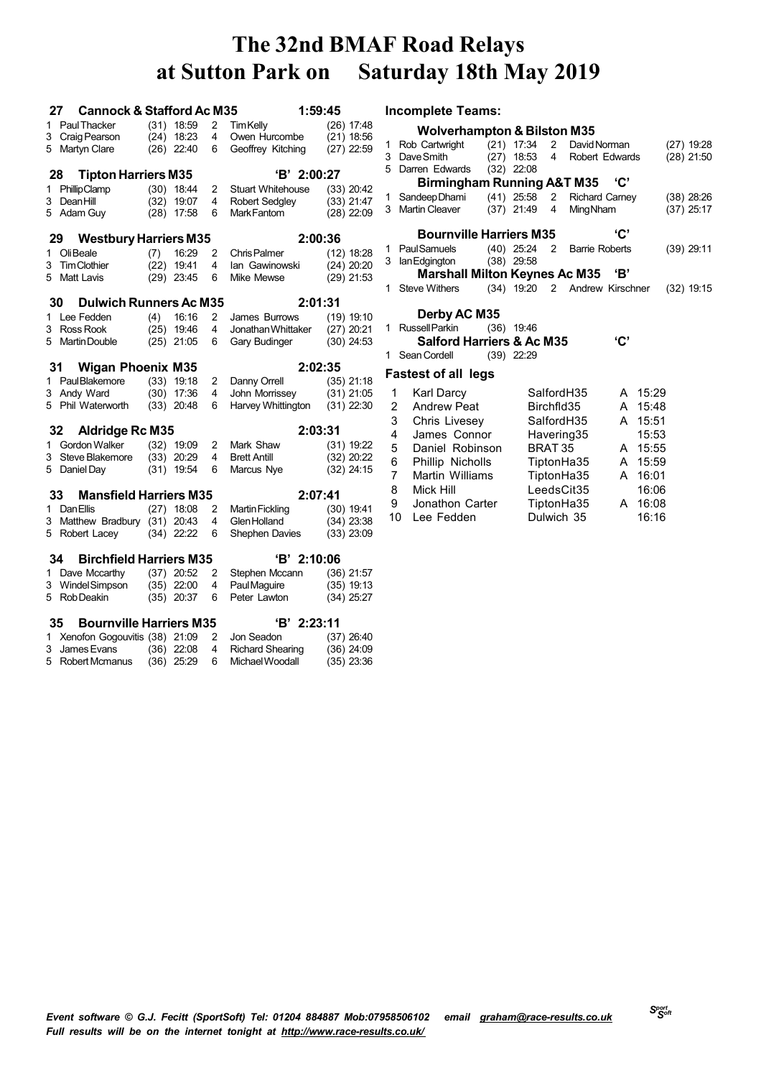|    | <b>Cannock &amp; Stafford Ac M35</b><br>27 |     |                              |        | 1:59:45                                           |                              |                | <b>Incomplete Teams:</b>               |                                |                            |                               |     |         |              |
|----|--------------------------------------------|-----|------------------------------|--------|---------------------------------------------------|------------------------------|----------------|----------------------------------------|--------------------------------|----------------------------|-------------------------------|-----|---------|--------------|
|    | 1 Paul Thacker                             |     | $(31)$ 18:59                 | 2      | <b>TimKelly</b>                                   | $(26)$ 17:48                 |                | <b>Wolverhampton &amp; Bilston M35</b> |                                |                            |                               |     |         |              |
|    | 3 Craig Pearson                            |     | $(24)$ 18:23                 | 4      | Owen Hurcombe                                     | $(21)$ 18:56                 |                | 1 Rob Cartwright                       | $(21)$ 17:34                   | $\overline{\phantom{0}}^2$ | David Norman                  |     |         | (27) 19:28   |
|    | 5 Martyn Clare                             |     | $(26)$ 22:40                 | 6      | Geoffrey Kitching                                 | $(27)$ 22:59                 |                | 3 Dave Smith                           | $(27)$ 18:53                   | 4                          | Robert Edwards                |     |         | $(28)$ 21:50 |
|    |                                            |     |                              |        |                                                   |                              |                | 5 Darren Edwards                       | $(32)$ 22:08                   |                            |                               |     |         |              |
|    | <b>Tipton Harriers M35</b><br>28           |     |                              |        | 'B' 2:00:27                                       |                              |                | <b>Birmingham Running A&amp;T M35</b>  |                                |                            |                               | 'С' |         |              |
|    | 1 PhillipClamp<br>3 DeanHill               |     | $(30)$ 18:44<br>$(32)$ 19:07 | 2<br>4 | <b>Stuart Whitehouse</b><br><b>Robert Sedgley</b> | $(33)$ 20:42<br>$(33)$ 21:47 |                | 1 Sandeep Dhami                        | $(41)$ 25:58                   |                            | 2 Richard Carney              |     |         | $(38)$ 28:26 |
|    | 5 Adam Guy                                 |     | $(28)$ 17:58                 | 6      | Mark Fantom                                       | $(28)$ 22:09                 |                | 3 Martin Cleaver                       | $(37)$ 21:49                   | 4                          | <b>MingNham</b>               |     |         | $(37)$ 25:17 |
|    |                                            |     |                              |        |                                                   |                              |                |                                        |                                |                            |                               |     |         |              |
|    | <b>Westbury Harriers M35</b><br>29         |     |                              |        | 2:00:36                                           |                              |                | <b>Bournville Harriers M35</b>         |                                |                            |                               | 'C' |         |              |
|    | 1 OliBeale                                 | (7) | 16:29                        | 2      | <b>Chris Palmer</b>                               | $(12)$ 18:28                 |                | 1 PaulSamuels                          | $(40)$ 25:24 2<br>$(38)$ 29:58 |                            | <b>Barrie Roberts</b>         |     |         | $(39)$ 29:11 |
| 3. | <b>Tim Clothier</b>                        |     | $(22)$ 19:41                 | 4      | lan Gawinowski                                    | $(24)$ 20:20                 |                | 3 lan Edgington                        |                                |                            |                               | 'В' |         |              |
|    | 5 Matt Lavis                               |     | $(29)$ 23:45                 | 6      | Mike Mewse                                        | $(29)$ 21:53                 |                | <b>Marshall Milton Keynes Ac M35</b>   |                                |                            |                               |     |         |              |
|    |                                            |     |                              |        |                                                   |                              |                | 1 Steve Withers                        |                                |                            | (34) 19:20 2 Andrew Kirschner |     |         | $(32)$ 19:15 |
|    | <b>Dulwich Runners Ac M35</b><br>30        |     |                              |        | 2:01:31                                           |                              |                | Derby AC M35                           |                                |                            |                               |     |         |              |
|    | 1 Lee Fedden                               | (4) | 16:16                        | 2      | James Burrows                                     | $(19)$ 19:10                 |                | 1 Russell Parkin                       | $(36)$ 19:46                   |                            |                               |     |         |              |
| 3  | Ross Rook<br>5 Martin Double               |     | $(25)$ 19:46<br>$(25)$ 21:05 | 4<br>6 | Jonathan Whittaker<br>Gary Budinger               | $(27)$ 20:21<br>$(30)$ 24:53 |                | <b>Salford Harriers &amp; Ac M35</b>   |                                |                            |                               | 'C' |         |              |
|    |                                            |     |                              |        |                                                   |                              |                | 1 Sean Cordell                         | $(39)$ 22:29                   |                            |                               |     |         |              |
|    | <b>Wigan Phoenix M35</b><br>31             |     |                              |        | 2:02:35                                           |                              |                |                                        |                                |                            |                               |     |         |              |
|    | 1 Paul Blakemore                           |     | $(33)$ 19:18                 | 2      | Danny Orrell                                      | $(35)$ 21:18                 |                | <b>Fastest of all legs</b>             |                                |                            |                               |     |         |              |
|    | 3 Andy Ward                                |     | $(30)$ 17:36                 | 4      | John Morrissey                                    | $(31)$ 21:05                 | 1              | <b>Karl Darcy</b>                      |                                |                            | SalfordH35                    |     | A 15:29 |              |
|    | 5 Phil Waterworth                          |     | $(33)$ 20:48                 | 6      | Harvey Whittington                                | $(31)$ 22:30                 | $\overline{2}$ | <b>Andrew Peat</b>                     |                                | Birchfld35                 |                               |     | A 15:48 |              |
|    |                                            |     |                              |        |                                                   |                              | 3              | Chris Livesey                          |                                |                            | SalfordH35                    |     | A 15:51 |              |
|    | 32<br><b>Aldridge Rc M35</b>               |     |                              |        | 2:03:31                                           |                              | 4              | James Connor                           |                                |                            | Havering35                    |     | 15:53   |              |
|    | 1 Gordon Walker                            |     | $(32)$ 19:09                 | 2      | Mark Shaw                                         | $(31)$ 19:22                 | 5              | Daniel Robinson                        |                                | BRAT 35                    |                               |     | A 15:55 |              |
| 3  | Steve Blakemore                            |     | $(33)$ 20:29                 | 4      | <b>Brett Antill</b>                               | $(32)$ 20:22                 | 6              | Phillip Nicholls                       |                                |                            | TiptonHa35                    |     | A 15:59 |              |
|    | 5 Daniel Day                               |     | $(31)$ 19:54                 | 6      | Marcus Nye                                        | $(32)$ 24:15                 | 7              | Martin Williams                        |                                |                            | TiptonHa35                    |     | A 16:01 |              |
|    | 33<br><b>Mansfield Harriers M35</b>        |     |                              |        | 2:07:41                                           |                              | 8              | Mick Hill                              |                                |                            | LeedsCit <sub>35</sub>        |     | 16:06   |              |
|    | 1 Dan Ellis                                |     | $(27)$ 18:08                 |        | <b>Martin Fickling</b>                            | $(30)$ 19:41                 | 9              | Jonathon Carter                        |                                |                            | TiptonHa35                    |     | A 16:08 |              |
|    | 3 Matthew Bradbury (31) 20:43              |     |                              | 2<br>4 | Glen Holland                                      | $(34)$ 23:38                 | 10             | Lee Fedden                             |                                |                            | Dulwich 35                    |     | 16:16   |              |
|    | 5 Robert Lacey                             |     | $(34)$ 22:22                 | 6      | Shephen Davies                                    | $(33)$ 23:09                 |                |                                        |                                |                            |                               |     |         |              |
|    |                                            |     |                              |        |                                                   |                              |                |                                        |                                |                            |                               |     |         |              |
|    | <b>Birchfield Harriers M35</b><br>34       |     |                              |        | 'B' 2:10:06                                       |                              |                |                                        |                                |                            |                               |     |         |              |
|    | 1 Dave Mccarthy                            |     | $(37)$ 20:52                 | 2      | Stephen Mccann                                    | $(36)$ 21:57                 |                |                                        |                                |                            |                               |     |         |              |
|    | 3 WindelSimpson<br>5 Rob Deakin            |     | $(35)$ 22:00<br>$(35)$ 20:37 | 4<br>6 | Paul Maguire<br>Peter Lawton                      | (35) 19:13<br>$(34)$ 25:27   |                |                                        |                                |                            |                               |     |         |              |
|    | <b>Bournville Harriers M35</b><br>35       |     |                              |        | $B'$ 2:23:11                                      |                              |                |                                        |                                |                            |                               |     |         |              |
|    | 1 Xenofon Gogouvitis (38) 21:09            |     |                              | 2      | Jon Seadon                                        | $(37)$ 26:40                 |                |                                        |                                |                            |                               |     |         |              |
| 3  | James Evans                                |     | $(36)$ 22:08                 | 4      | <b>Richard Shearing</b>                           | $(36)$ 24:09                 |                |                                        |                                |                            |                               |     |         |              |
| 5. | Robert Mcmanus                             |     | $(36)$ 25:29                 | 6      | Michael Woodall                                   | $(35)$ 23:36                 |                |                                        |                                |                            |                               |     |         |              |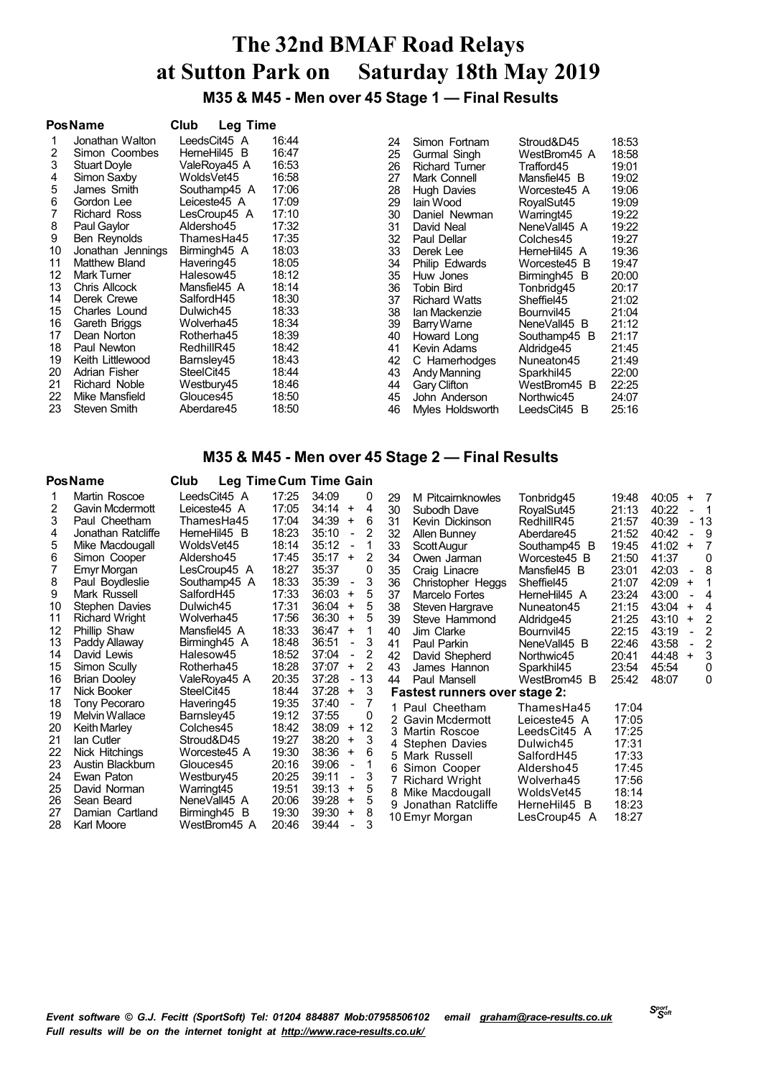**M35 & M45 - Men over 45 Stage 1 — Final Results**

|    | <b>PosName</b>      | Club<br><b>Leg Time</b> |       |    |                       |              |       |
|----|---------------------|-------------------------|-------|----|-----------------------|--------------|-------|
|    | Jonathan Walton     | LeedsCit45 A            | 16:44 | 24 | Simon Fortnam         | Stroud&D45   | 18:53 |
| 2  | Simon Coombes       | HerneHil45 B            | 16:47 | 25 | Gurmal Singh          | WestBrom45 A | 18:58 |
| 3  | <b>Stuart Doyle</b> | ValeRova45 A            | 16:53 | 26 | <b>Richard Turner</b> | Trafford45   | 19:01 |
| 4  | Simon Saxby         | WoldsVet45              | 16:58 | 27 | Mark Connell          | Mansfiel45 B | 19:02 |
| 5  | James Smith         | Southamp45 A            | 17:06 | 28 | <b>Hugh Davies</b>    | Worceste45 A | 19:06 |
| 6  | Gordon Lee          | Leiceste45 A            | 17:09 | 29 | lain Wood             | RoyalSut45   | 19:09 |
|    | Richard Ross        | LesCroup45 A            | 17:10 | 30 | Daniel Newman         | Warringt45   | 19:22 |
| 8  | Paul Gaylor         | Aldersho45              | 17:32 | 31 | David Neal            | NeneVall45 A | 19:22 |
| 9  | Ben Reynolds        | ThamesHa45              | 17:35 | 32 | Paul Dellar           | Colches45    | 19:27 |
| 10 | Jonathan Jennings   | Birmingh45 A            | 18:03 | 33 | Derek Lee             | HerneHil45 A | 19:36 |
| 11 | Matthew Bland       | Havering45              | 18:05 | 34 | Philip Edwards        | Worceste45 B | 19:47 |
| 12 | <b>Mark Turner</b>  | Halesow45               | 18:12 | 35 | Huw Jones             | Birmingh45 B | 20:00 |
| 13 | Chris Allcock       | Mansfiel45 A            | 18:14 | 36 | Tobin Bird            | Tonbridg45   | 20:17 |
| 14 | Derek Crewe         | SalfordH45              | 18:30 | 37 | <b>Richard Watts</b>  | Sheffiel45   | 21:02 |
| 15 | Charles Lound       | Dulwich45               | 18:33 | 38 | Ian Mackenzie         | Bournvil45   | 21:04 |
| 16 | Gareth Briggs       | Wolverha45              | 18:34 | 39 | Barry Warne           | NeneVall45 B | 21:12 |
| 17 | Dean Norton         | Rotherha45              | 18:39 | 40 | Howard Long           | Southamp45 B | 21:17 |
| 18 | Paul Newton         | RedhillR45              | 18:42 | 41 | Kevin Adams           | Aldridge45   | 21:45 |
| 19 | Keith Littlewood    | Barnsley45              | 18:43 | 42 | C Hamerhodges         | Nuneaton45   | 21:49 |
| 20 | Adrian Fisher       | SteelCit45              | 18:44 | 43 | Andy Manning          | Sparkhil45   | 22:00 |
| 21 | Richard Noble       | Westbury45              | 18:46 | 44 | Gary Clifton          | WestBrom45 B | 22:25 |
| 22 | Mike Mansfield      | Glouces45               | 18:50 | 45 | John Anderson         | Northwic45   | 24:07 |
| 23 | Steven Smith        | Aberdare45              | 18:50 | 46 | Myles Holdsworth      | LeedsCit45 B | 25:16 |

### **M35 & M45 - Men over 45 Stage 2 — Final Results**

|    | <b>PosName</b>        | Club         | Leg Time Cum Time Gain |                                   |    |    |                                      |              |       |       |           |                |
|----|-----------------------|--------------|------------------------|-----------------------------------|----|----|--------------------------------------|--------------|-------|-------|-----------|----------------|
|    | Martin Roscoe         | LeedsCit45 A | 17:25                  | 34:09                             | 0  | 29 | M Pitcairnknowles                    | Tonbridg45   | 19:48 | 40:05 | $\ddot{}$ | $\overline{7}$ |
| 2  | Gavin Mcdermott       | Leiceste45 A | 17:05                  | 34:14<br>$\ddot{}$                | 4  | 30 | Subodh Dave                          | RoyalSut45   | 21:13 | 40:22 |           | - 1            |
| 3  | Paul Cheetham         | ThamesHa45   | 17:04                  | 34:39<br>$\ddot{}$                | 6  | 31 | Kevin Dickinson                      | RedhillR45   | 21:57 | 40:39 |           | - 13           |
| 4  | Jonathan Ratcliffe    | HerneHil45 B | 18:23                  | 35:10<br>$\overline{\phantom{a}}$ | 2  | 32 | Allen Bunney                         | Aberdare45   | 21:52 | 40:42 |           | 9              |
| 5  | Mike Macdougall       | WoldsVet45   | 18:14                  | 35:12<br>$\overline{\phantom{a}}$ |    | 33 | Scott Augur                          | Southamp45 B | 19:45 | 41:02 | $\ddot{}$ | 7              |
| 6  | Simon Cooper          | Aldersho45   | 17:45                  | 35:17<br>$\ddot{}$                | 2  | 34 | Owen Jarman                          | Worceste45 B | 21:50 | 41:37 |           | 0              |
|    | Emyr Morgan           | LesCroup45 A | 18:27                  | 35:37                             | 0  | 35 | Craig Linacre                        | Mansfiel45 B | 23:01 | 42:03 |           | 8              |
| 8  | Paul Boydleslie       | Southamp45 A | 18:33                  | 35:39<br>$\blacksquare$           | 3  | 36 | Christopher Heggs                    | Sheffiel45   | 21:07 | 42:09 | $\ddot{}$ |                |
| 9  | Mark Russell          | SalfordH45   | 17:33                  | 36:03<br>$\ddot{}$                | 5  | 37 | Marcelo Fortes                       | HerneHil45 A | 23:24 | 43:00 |           | 4              |
| 10 | Stephen Davies        | Dulwich45    | 17:31                  | 36:04<br>$\ddot{}$                | 5  | 38 | Steven Hargrave                      | Nuneaton45   | 21:15 | 43:04 | $\ddot{}$ | $\overline{4}$ |
| 11 | <b>Richard Wright</b> | Wolverha45   | 17:56                  | 36:30<br>$\ddot{}$                | 5  | 39 | Steve Hammond                        | Aldridge45   | 21:25 | 43:10 | $\ddot{}$ | $\overline{2}$ |
| 12 | Phillip Shaw          | Mansfiel45 A | 18:33                  | 36:47<br>$\ddot{}$                |    | 40 | Jim Clarke                           | Bournvil45   | 22:15 | 43:19 |           | 2              |
| 13 | Paddy Allaway         | Birmingh45 A | 18:48                  | 36:51<br>$\overline{\phantom{m}}$ | 3  | 41 | Paul Parkin                          | NeneVall45 B | 22:46 | 43:58 |           | 2              |
| 14 | David Lewis           | Halesow45    | 18:52                  | 37:04<br>$\overline{\phantom{a}}$ | 2  | 42 | David Shepherd                       | Northwic45   | 20:41 | 44:48 | $\ddot{}$ | 3              |
| 15 | Simon Scully          | Rotherha45   | 18:28                  | 37:07<br>+                        | 2  | 43 | James Hannon                         | Sparkhil45   | 23:54 | 45:54 |           | 0              |
| 16 | <b>Brian Dooley</b>   | ValeRoya45 A | 20:35                  | 37:28<br>$\overline{\phantom{a}}$ | 13 | 44 | Paul Mansell                         | WestBrom45 B | 25:42 | 48:07 |           | 0              |
| 17 | Nick Booker           | SteelCit45   | 18:44                  | 37:28<br>$\ddot{}$                | 3  |    | <b>Fastest runners over stage 2:</b> |              |       |       |           |                |
| 18 | Tony Pecoraro         | Havering45   | 19:35                  | 37:40<br>$\overline{\phantom{a}}$ | 7  |    | 1 Paul Cheetham                      | ThamesHa45   | 17:04 |       |           |                |
| 19 | <b>Melvin Wallace</b> | Barnsley45   | 19:12                  | 37:55                             | 0  |    | 2 Gavin Mcdermott                    | Leiceste45 A | 17:05 |       |           |                |
| 20 | <b>Keith Marley</b>   | Colches45    | 18:42                  | 38:09<br>$\ddot{}$                | 12 |    | 3 Martin Roscoe                      | LeedsCit45 A | 17:25 |       |           |                |
| 21 | lan Cutler            | Stroud&D45   | 19:27                  | 38:20<br>+                        | 3  | 4  | Stephen Davies                       | Dulwich45    | 17:31 |       |           |                |
| 22 | Nick Hitchings        | Worceste45 A | 19:30                  | 38:36<br>$\ddot{}$                | 6  |    | 5 Mark Russell                       | SalfordH45   | 17:33 |       |           |                |
| 23 | Austin Blackburn      | Glouces45    | 20:16                  | 39:06<br>$\overline{\phantom{a}}$ |    |    | 6 Simon Cooper                       | Aldersho45   | 17:45 |       |           |                |
| 24 | Ewan Paton            | Westbury45   | 20:25                  | 39:11<br>$\overline{\phantom{m}}$ | 3  |    | 7 Richard Wright                     | Wolverha45   | 17:56 |       |           |                |
| 25 | David Norman          | Warringt45   | 19:51                  | 39:13<br>+                        | 5  | 8  | Mike Macdougall                      | WoldsVet45   | 18:14 |       |           |                |
| 26 | Sean Beard            | NeneVall45 A | 20:06                  | 39:28<br>$\ddot{}$                | 5  |    | 9 Jonathan Ratcliffe                 | HerneHil45 B | 18:23 |       |           |                |
| 27 | Damian Cartland       | Birmingh45 B | 19:30                  | 39:30<br>+                        | 8  |    | 10 Emyr Morgan                       | LesCroup45 A | 18:27 |       |           |                |
| 28 | Karl Moore            | WestBrom45 A | 20:46                  | 39:44                             | 3  |    |                                      |              |       |       |           |                |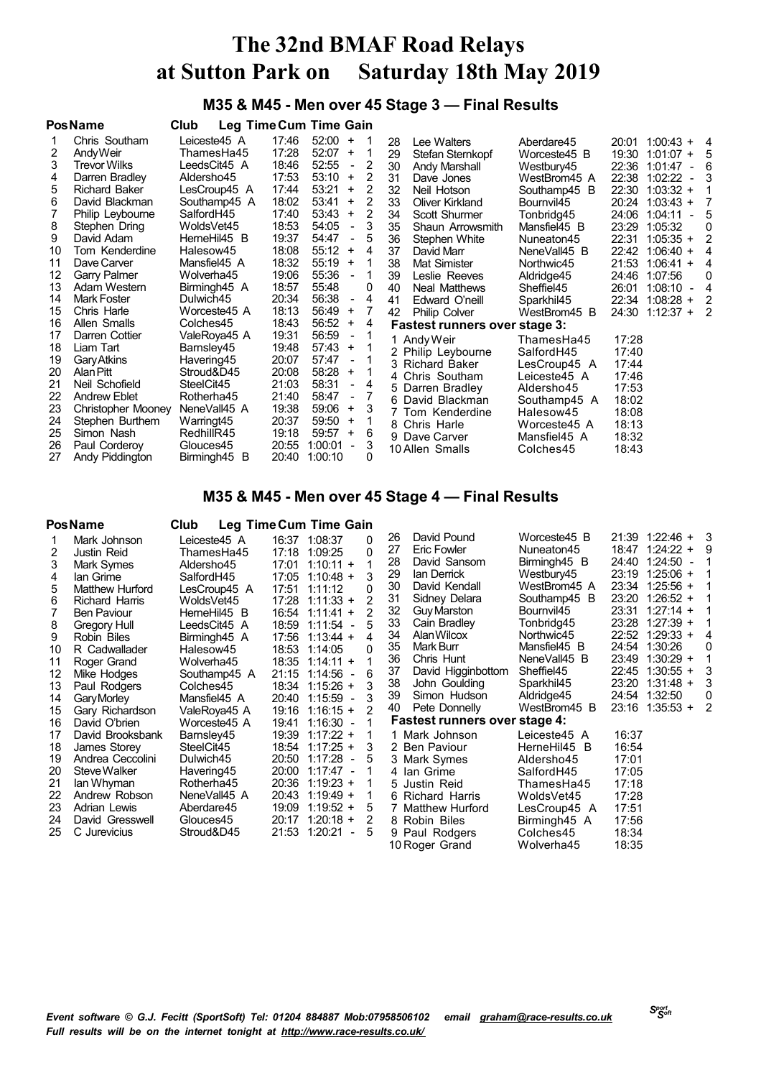### **M35 & M45 - Men over 45 Stage 3 — Final Results**

|    | <b>PosName</b>       | Club         |       | Leg Time Cum Time Gain              |   |    |                               |              |       |                                     |                |
|----|----------------------|--------------|-------|-------------------------------------|---|----|-------------------------------|--------------|-------|-------------------------------------|----------------|
|    | Chris Southam        | Leiceste45 A | 17:46 | $52:00 +$                           |   | 28 | Lee Walters                   | Aberdare45   | 20:01 | $1:00:43 +$                         | - 4            |
| 2  | AndyWeir             | ThamesHa45   | 17:28 | 52:07<br>$+$                        | 1 | 29 | Stefan Sternkopf              | Worceste45 B | 19:30 | $1:01:07 +$                         | - 5            |
| 3  | <b>Trevor Wilks</b>  | LeedsCit45 A | 18:46 | 52:55<br>$\overline{\phantom{a}}$   | 2 | 30 | Andy Marshall                 | Westbury45   | 22:36 | 1:01:47                             | 6              |
| 4  | Darren Bradley       | Aldersho45   | 17:53 | 53:10<br>$\ddot{}$                  | 2 | 31 | Dave Jones                    | WestBrom45 A | 22:38 | 1:02:22<br>$\blacksquare$           | 3              |
| 5  | <b>Richard Baker</b> | LesCroup45 A | 17:44 | 53:21<br>$\ddot{}$                  | 2 | 32 | Neil Hotson                   | Southamp45 B | 22:30 | $1:03:32 +$                         |                |
| 6  | David Blackman       | Southamp45 A | 18:02 | 53:41<br>$\ddot{}$                  | 2 | 33 | Oliver Kirkland               | Bournvil45   | 20:24 | $1:03:43 +$                         | 7              |
|    | Philip Leybourne     | SalfordH45   | 17:40 | 53:43<br>+                          | 2 | 34 | Scott Shurmer                 | Tonbridg45   | 24:06 | 1:04:11<br>$\blacksquare$           | 5              |
| 8  | Stephen Dring        | WoldsVet45   | 18:53 | 54:05<br>$\overline{\phantom{a}}$   | 3 | 35 | Shaun Arrowsmith              | Mansfiel45 B | 23:29 | 1:05:32                             | 0              |
| 9  | David Adam           | HerneHil45 B | 19:37 | 54:47<br>$\overline{\phantom{a}}$   | 5 | 36 | Stephen White                 | Nuneaton45   | 22:31 | $1:05:35 +$                         | $\overline{2}$ |
| 10 | Tom Kenderdine       | Halesow45    | 18:08 | 55:12<br>$\ddot{}$                  | 4 | 37 | David Marr                    | NeneVall45 B | 22:42 | $1:06:40 +$                         | 4              |
| 11 | Dave Carver          | Mansfiel45 A | 18:32 | 55:19<br>$\ddot{}$                  | 1 | 38 | Mat Simister                  | Northwic45   | 21:53 | $1:06:41 +$                         | 4              |
| 12 | Garry Palmer         | Wolverha45   | 19:06 | 55:36<br>$\overline{\phantom{a}}$   |   | 39 | Leslie Reeves                 | Aldridge45   | 24:46 | 1:07:56                             | 0              |
| 13 | Adam Western         | Birmingh45 A | 18:57 | 55:48                               | 0 | 40 | Neal Matthews                 | Sheffiel45   | 26:01 | 1:08:10<br>$\overline{\phantom{a}}$ | $\overline{4}$ |
| 14 | <b>Mark Foster</b>   | Dulwich45    | 20:34 | 56:38<br>$\overline{\phantom{a}}$   | 4 | 41 | Edward O'neill                | Sparkhil45   | 22:34 | $1:08:28 +$                         | 2              |
| 15 | Chris Harle          | Worceste45 A | 18:13 | 56:49<br>+                          | 7 | 42 | <b>Philip Colver</b>          | WestBrom45 B | 24:30 | $1:12:37 +$                         | 2              |
| 16 | Allen Smalls         | Colches45    | 18:43 | 56:52<br>$\ddot{}$                  | 4 |    | Fastest runners over stage 3: |              |       |                                     |                |
| 17 | Darren Cottier       | ValeRoya45 A | 19:31 | 56:59<br>$\overline{\phantom{a}}$   |   |    | 1 Andy Weir                   | ThamesHa45   | 17:28 |                                     |                |
| 18 | Liam Tart            | Barnsley45   | 19:48 | $57:43 +$                           |   |    | 2 Philip Leybourne            | SalfordH45   | 17:40 |                                     |                |
| 19 | <b>Gary Atkins</b>   | Havering45   | 20:07 | 57:47<br>$\overline{\phantom{a}}$   |   |    | 3 Richard Baker               | LesCroup45 A | 17:44 |                                     |                |
| 20 | Alan Pitt            | Stroud&D45   | 20:08 | 58:28<br>+                          |   |    | 4 Chris Southam               | Leiceste45 A | 17:46 |                                     |                |
| 21 | Neil Schofield       | SteelCit45   | 21:03 | 58:31<br>$\overline{\phantom{a}}$   | 4 |    | 5 Darren Bradley              | Aldersho45   | 17:53 |                                     |                |
| 22 | <b>Andrew Eblet</b>  | Rotherha45   | 21:40 | 58:47<br>$\overline{\phantom{a}}$   | 7 |    | 6 David Blackman              | Southamp45 A | 18:02 |                                     |                |
| 23 | Christopher Mooney   | NeneVall45 A | 19:38 | 59:06<br>+                          | 3 |    | 7 Tom Kenderdine              | Halesow45    | 18:08 |                                     |                |
| 24 | Stephen Burthem      | Warringt45   | 20:37 | 59:50<br>$+$                        |   |    | 8 Chris Harle                 | Worceste45 A | 18:13 |                                     |                |
| 25 | Simon Nash           | RedhillR45   | 19:18 | 59:57<br>$\ddot{}$                  | 6 |    | 9 Dave Carver                 | Mansfiel45 A | 18:32 |                                     |                |
| 26 | Paul Corderoy        | Glouces45    | 20:55 | 1:00:01<br>$\overline{\phantom{a}}$ | 3 |    | 10 Allen Smalls               | Colches45    | 18:43 |                                     |                |
| 27 | Andy Piddington      | Birmingh45 B | 20:40 | 1:00:10                             | 0 |    |                               |              |       |                                     |                |

### **M35 & M45 - Men over 45 Stage 4 — Final Results**

#### **PosName Club Leg TimeCum Time Gain** Mark Johnson Leiceste45 A 16:37 1:08:37 0 Justin Reid ThamesHa45 17:18 1:09:25 0 Mark Symes Aldersho45 17:01 1:10:11 + 1 Ian Grime SalfordH45 17:05 1:10:48 + 3 Matthew Hurford LesCroup45 A 17:51 1:11:12 0  $17:28$  1:11:33 + Ben Paviour HerneHil45 B 16:54 1:11:41 + 2 18:59 1:11:54 - Robin Biles Birmingh45 A 17:56 1:13:44 + 4 R Cadwallader Halesow45<br>Roger Grand Wolverha45 Roger Grand Wolverha45 18:35 1:14:11 + 1 Mike Hodges Southamp45 A 21:15 1:14:56 - 6 Paul Rodgers Colches45 18:34 1:15:26 + 3 GaryMorley Mansfiel45 A 20:40 1:15:59 - 3 Gary Richardson ValeRoya45 A 19:16 1:16:15 + 2 David O'brien Worceste45 A 19:41 1:16:30 - 1 David Brooksbank Barnsley45 19:39 1:17:22 + 1 1 James Storey SteelCit45 18:54 1:17:25 +<br>Andrea Ceccolini Dulwich45 20:50 1:17:28 - Andrea Ceccolini Dulwich45 20:50 1:17:28 - 5 SteveWalker Havering45 20:00 1:17:47 - 1 Ian Whyman Rotherha45 20:36 1:19:23 + 1 Andrew Robson NeneVall45 A 20:43 1:19:49 + 1 Adrian Lewis Aberdare45 19:09 1:19:52 + 5 David Gresswell Glouces45 20:17 1:20:18 + 2 C Jurevicius Stroud&D45 21:53 1:20:21 - 5 David Pound Worceste45 B 21:39 1:22:46 + 3 Eric Fowler **Nuneaton45** 18:47 1:24:22 + 9<br>David Sansom Birmingh45 B 24:40 1:24:50 - 1 David Sansom Birmingh45 B 24:40 1:24:50 - 1 Ian Derrick Westbury45 23:19 1:25:06 + 1 David Kendall WestBrom45 A 23:34 1:25:56 + 1 Sidney Delara Southamp45 B 23:20 1:26:52 + 1 32 Guy Marston Bournvil45<br>33 Cain Bradley Tonbridg45 Cain Bradley Tonbridg45 23:28 1:27:39 + 1 AlanWilcox Northwic45 22:52 1:29:33 + 4 Mark Burr Mansfiel45 B 24:54 1:30:26<br>Chris Hunt MeneVall45 B 23:49 1:30:29 Chris Hunt NeneVall45 B 23:49 1:30:29 + 1 David Higginbottom Sheffiel45 22:45 1:30:55 + 3 John Goulding Sparkhil45 23:20 1:31:48 + 3 Simon Hudson Aldridge45 24:54 1:32:50 0 23:16 1:35:53 +  **Fastest runners over stage 4:** 1 Mark Johnson Leiceste45 A 16:37<br>2 Ben Paviour HerneHil45 B 16:54 2 Ben Paviour HerneHil45<br>3 Mark Symes Aldersho45 Mark Symes Aldersho45 17:01 4 Ian Grime SalfordH45 17:05<br>5 Justin Reid 17:18 ThamesHa45 Richard Harris WoldsVet45 17:28 Matthew Hurford LesCroup45 A 17:51 Birmingh45 A 17:56<br>Colches 45 18:34 9 Paul Rodgers 10 Roger Grand Wolverha45 18:35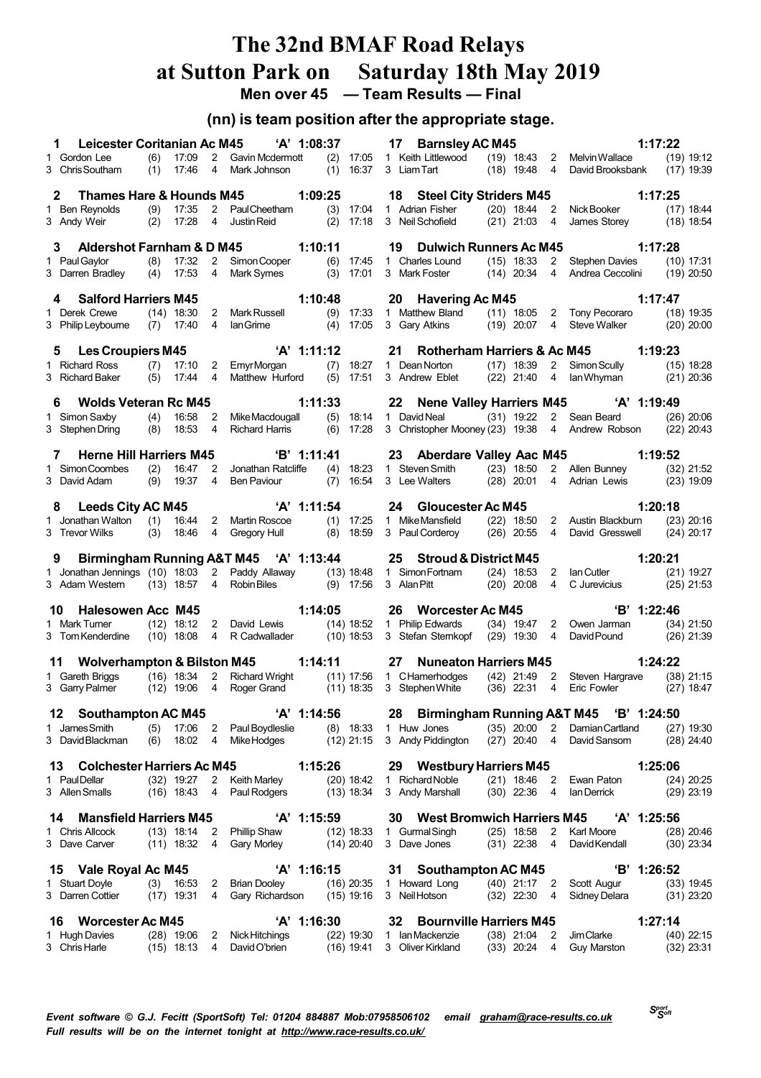## **The 32nd BMAF Road Relays at Sutton Park on Saturday 18th May 2019 Men over 45 — Team Results — Final**

## **(nn) is team position after the appropriate stage.**

| Leicester Coritanian Ac M45<br>1.                            |            |                              |                                  | 'A' 1:08:37                                                   |                              |       |             | 17 Barnsley AC M45                                |                                |                                  |                                                 | 1:17:22                      |
|--------------------------------------------------------------|------------|------------------------------|----------------------------------|---------------------------------------------------------------|------------------------------|-------|-------------|---------------------------------------------------|--------------------------------|----------------------------------|-------------------------------------------------|------------------------------|
| 1 Gordon Lee<br>3 Chris Southam                              | (6)        | 17:09<br>17:46               | $2^{\circ}$<br>$\overline{4}$    | <b>Gavin Mcdermott</b>                                        | $(2)$ 17:05<br>$(1)$ 16:37   |       |             | 1 Keith Littlewood (19) 18:43<br>3 Liam Tart      |                                | 4                                | 2 Melvin Wallace                                | $(19)$ 19:12                 |
|                                                              | (1)        |                              |                                  | Mark Johnson                                                  |                              |       |             |                                                   | $(18)$ 19:48                   |                                  | David Brooksbank                                | $(17)$ 19:39                 |
| <b>Thames Hare &amp; Hounds M45</b><br>$\mathbf{2}^{\prime}$ |            |                              |                                  |                                                               | 1:09:25                      |       |             | 18 Steel City Striders M45                        |                                |                                  |                                                 | 1:17:25                      |
| 1 Ben Reynolds                                               | (9)        | 17:35                        | $2^{\circ}$                      | <b>Paul Cheetham</b>                                          | $(3)$ 17:04                  |       |             | 1 Adrian Fisher                                   | $(20)$ 18:44 2                 |                                  | Nick Booker                                     | $(17)$ 18:44                 |
| 3 Andy Weir                                                  | (2)        | 17:28                        | 4                                | Justin Reid                                                   | (2)                          | 17:18 |             | 3 Neil Schofield                                  | $(21)$ 21:03                   | 4                                | James Storey                                    | $(18)$ 18:54                 |
| Aldershot Farnham & D M45<br>3                               |            |                              |                                  |                                                               | 1:10:11                      |       | 19          |                                                   |                                |                                  | Dulwich Runners Ac M45 1:17:28                  |                              |
| 1 Paul Gaylor                                                | (8)        | 17:32                        | $\overline{2}$                   | Simon Cooper                                                  | $(6)$ 17:45                  |       |             | 1 Charles Lound                                   | $(15)$ 18:33                   | $\mathbf{2}$                     | Stephen Davies                                  | $(10)$ 17:31                 |
| 3 Darren Bradley                                             | (4)        | 17:53                        | $\overline{4}$                   | Mark Symes                                                    | $(3)$ 17:01                  |       |             | 3 Mark Foster                                     | $(14)$ 20:34                   | $\overline{4}$                   | Andrea Ceccolini                                | $(19)$ 20:50                 |
| <b>Salford Harriers M45</b><br>4                             |            |                              |                                  |                                                               | 1:10:48                      |       | 20          | <b>Havering Ac M45</b>                            |                                |                                  |                                                 | 1:17:47                      |
| 1 Derek Crewe                                                |            | $(14)$ 18:30                 | $2^{\circ}$                      | Mark Russell                                                  | $(9)$ 17:33                  |       |             | 1 Matthew Bland                                   |                                |                                  | (11) 18:05 2 Tony Pecoraro                      | $(18)$ 19:35                 |
| 3 Philip Leybourne                                           |            | $(7)$ 17:40                  | 4                                | lan Grime                                                     | (4)                          | 17:05 |             | 3 Gary Atkins                                     | $(19)$ 20:07                   | 4                                | <b>Steve Walker</b>                             | $(20)$ 20:00                 |
| 5 Les Croupiers M45                                          |            |                              |                                  | 'A' 1:11:12                                                   |                              |       | 21          | Rotherham Harriers & Ac M45                       |                                |                                  |                                                 | 1:19:23                      |
| 1 Richard Ross                                               | (7)        | 17:10                        | $\overline{2}$                   | <b>EmyrMorgan</b>                                             | $(7)$ 18:27                  |       |             | 1 Dean Norton                                     | $(17)$ 18:39                   | $\mathbf{2}$                     | Simon Scully                                    | $(15)$ 18:28                 |
| 3 Richard Baker                                              | (5)        | 17:44                        | $\overline{4}$                   | Matthew Hurford                                               | $(5)$ 17:51                  |       |             | 3 Andrew Eblet                                    | $(22)$ 21:40                   | $\overline{4}$                   | lan Whyman                                      | $(21)$ 20:36                 |
| 6 Wolds Veteran Rc M45                                       |            |                              |                                  |                                                               | 1:11:33                      |       |             |                                                   |                                |                                  | 22 Nene Valley Harriers M45 'A' 1:19:49         |                              |
| 1 Simon Saxby                                                | (4)        | 16:58                        | $\overline{2}$                   | Mike Macdougall                                               | (5)                          | 18:14 |             | $(31)$ 19:22<br>1 David Neal                      |                                | $2^{\circ}$                      | Sean Beard                                      | $(26)$ $20:06$               |
| 3 Stephen Dring                                              | (8)        | 18:53                        | 4                                | <b>Richard Harris</b>                                         | (6)                          | 17:28 |             |                                                   |                                |                                  | 3 Christopher Mooney (23) 19:38 4 Andrew Robson | $(22)$ 20:43                 |
| <b>Herne Hill Harriers M45</b><br>7                          |            |                              |                                  | $B'$ 1:11:41                                                  |                              |       |             | 23 Aberdare Valley Aac M45                        |                                |                                  |                                                 | 1:19:52                      |
| 1 Simon Coombes                                              | (2)        | 16:47                        | 2                                | Jonathan Ratcliffe                                            | (4)                          | 18:23 |             | 1 Steven Smith                                    | $(23)$ 18:50                   |                                  | 2 Allen Bunney                                  | $(32)$ 21:52                 |
| 3 David Adam                                                 | (9)        | 19:37                        | 4                                | <b>Ben Paviour</b>                                            | $(7)$ 16:54                  |       |             | 3 Lee Walters                                     | $(28)$ 20:01                   | $\overline{4}$                   | Adrian Lewis                                    | $(23)$ 19:09                 |
| 8 Leeds City AC M45                                          |            |                              |                                  | 'A' 1:11:54                                                   |                              |       | 24          | Gloucester Ac M45                                 |                                |                                  |                                                 | 1:20:18                      |
| 1 Jonathan Walton (1) 16:44                                  |            |                              | $2^{\circ}$                      | Martin Roscoe                                                 | $(1)$ 17:25                  |       |             | 1 Mike Mansfield                                  | $(22)$ 18:50                   |                                  | 2 Austin Blackburn                              | $(23)$ 20:16                 |
| 3 Trevor Wilks                                               |            | $(3)$ 18:46                  | $\overline{4}$                   | Gregory Hull                                                  | $(8)$ 18:59                  |       |             | 3 Paul Corderoy                                   | $(26)$ 20:55                   | $\overline{4}$                   | David Gresswell                                 | $(24)$ 20:17                 |
|                                                              |            |                              |                                  |                                                               |                              |       |             |                                                   |                                |                                  |                                                 |                              |
|                                                              |            |                              |                                  |                                                               |                              |       |             |                                                   |                                |                                  |                                                 |                              |
| 9                                                            |            |                              |                                  | Birmingham Running A&T M45 'A' 1:13:44                        |                              |       |             | 25 Stroud & District M45                          |                                |                                  |                                                 | 1:20:21                      |
| 3 Adam Western                                               |            | $(13)$ 18:57                 | $\overline{4}$                   | 1 Jonathan Jennings (10) 18:03 2 Paddy Allaway<br>Robin Biles | (13) 18:48<br>$(9)$ 17:56    |       | 3 Alan Pitt | 1 Simon Fortnam                                   | $(24)$ 18:53<br>$(20)$ 20:08   | $\overline{4}$                   | 2 Ian Cutler<br>C Jurevicius                    | $(21)$ 19:27<br>$(25)$ 21:53 |
|                                                              |            |                              |                                  |                                                               |                              |       |             |                                                   |                                |                                  |                                                 |                              |
| <b>Halesowen Acc M45</b><br>10<br>1 Mark Turner              |            | $(12)$ 18:12                 | 2                                | David Lewis                                                   | 1:14:05                      |       |             | 26 Worcester Ac M45<br>1 Philip Edwards           | $(34)$ 19:47                   |                                  | 'B' 1:22:46<br>2 Owen Jarman                    | $(34)$ 21:50                 |
| 3 Tom Kenderdine                                             |            | $(10)$ 18:08                 | $\overline{4}$                   | R Cadwallader                                                 | (14) 18:52<br>$(10)$ 18:53   |       |             | 3 Stefan Sternkopf (29) 19:30                     |                                | $\overline{4}$                   | David Pound                                     | $(26)$ 21:39                 |
|                                                              |            |                              |                                  |                                                               |                              |       |             |                                                   |                                |                                  |                                                 |                              |
| 11 Wolverhampton & Bilston M45                               |            |                              |                                  |                                                               | 1:14:11                      |       | 27          | <b>Nuneaton Harriers M45</b>                      |                                |                                  |                                                 | 1:24:22                      |
| 1 Gareth Briggs<br>3 Garry Palmer                            |            | $(16)$ 18:34<br>$(12)$ 19:06 | $\overline{2}$<br>$\overline{4}$ | <b>Richard Wright</b><br>Roger Grand                          | (11) 17:56<br>(11) 18:35     |       |             | 1 CHamerhodges<br>3 Stephen White                 | $(42)$ 21:49 2<br>$(36)$ 22:31 | 4                                | Steven Hargrave<br><b>Eric Fowler</b>           | $(38)$ 21:15<br>$(27)$ 18:47 |
|                                                              |            |                              |                                  |                                                               |                              |       |             |                                                   |                                |                                  |                                                 |                              |
| <b>Southampton AC M45</b><br>12                              |            |                              |                                  | 'A' 1:14:56                                                   |                              |       | 28          |                                                   |                                |                                  | Birmingham Running A&T M45 'B' 1:24:50          |                              |
| 1 James Smith<br>3 David Blackman                            | (5)<br>(6) | 17:06<br>18:02               | 2<br>4                           | Paul Boydleslie<br>Mike Hodges                                | $(8)$ 18:33<br>$(12)$ 21:15  |       |             | 1 Huw Jones<br>3 Andy Piddington                  | $(35)$ 20:00<br>$(27)$ 20:40   | $\overline{2}$<br>$\overline{4}$ | Damian Cartland<br>David Sansom                 | $(27)$ 19:30<br>$(28)$ 24:40 |
|                                                              |            |                              |                                  |                                                               |                              |       |             |                                                   |                                |                                  |                                                 |                              |
| 13 Colchester Harriers Ac M45                                |            |                              |                                  |                                                               | 1:15:26                      |       |             | 29 Westbury Harriers M45                          |                                |                                  |                                                 | 1:25:06                      |
| 1 PaulDellar<br>3 Allen Smalls                               |            | $(32)$ 19:27<br>$(16)$ 18:43 | $\overline{2}$<br>4              | <b>Keith Marley</b><br>Paul Rodgers                           | $(20)$ 18:42<br>$(13)$ 18:34 |       |             | 1 Richard Noble<br>3 Andy Marshall                | $(21)$ 18:46<br>$(30)$ 22:36   | 2<br>-4                          | Ewan Paton<br>lan Derrick                       | $(24)$ 20:25<br>$(29)$ 23:19 |
|                                                              |            |                              |                                  |                                                               |                              |       |             |                                                   |                                |                                  |                                                 |                              |
| <b>Mansfield Harriers M45</b><br>14                          |            |                              |                                  | 'A' 1:15:59                                                   |                              |       | 30          | <b>West Bromwich Harriers M45</b>                 |                                |                                  | $'A'$ 1:25:56                                   |                              |
| 1 Chris Allcock<br>3 Dave Carver                             |            | $(13)$ 18:14<br>$(11)$ 18:32 | - 2<br>4                         | <b>Phillip Shaw</b><br>Gary Morley                            | $(12)$ 18:33<br>$(14)$ 20:40 |       |             | 1 Gurmal Singh<br>3 Dave Jones                    | $(25)$ 18:58<br>$(31)$ 22:38   | $\overline{2}$<br>4              | Karl Moore<br>David Kendall                     | $(28)$ 20:46<br>$(30)$ 23:34 |
|                                                              |            |                              |                                  |                                                               |                              |       |             |                                                   |                                |                                  |                                                 |                              |
| 15 Vale Royal Ac M45                                         |            |                              |                                  | $'A'$ 1:16:15                                                 |                              |       | 31          | <b>Southampton AC M45</b>                         |                                |                                  | 'B' 1:26:52                                     |                              |
| 1 Stuart Doyle<br>3 Darren Cottier                           |            | $(3)$ 16:53<br>$(17)$ 19:31  | 2<br>4                           | <b>Brian Dooley</b><br>Gary Richardson                        | $(16)$ 20:35<br>$(15)$ 19:16 |       |             | 1 Howard Long<br>3 Neil Hotson                    | $(40)$ 21:17 2<br>$(32)$ 22:30 | -4                               | Scott Augur<br>Sidney Delara                    | $(33)$ 19:45<br>$(31)$ 23:20 |
|                                                              |            |                              |                                  |                                                               |                              |       |             |                                                   |                                |                                  |                                                 |                              |
| <b>Worcester Ac M45</b><br>16<br>1 Hugh Davies               |            | $(28)$ 19:06                 | 2                                | 'A' 1:16:30<br>Nick Hitchings                                 | $(22)$ 19:30                 |       | 32          | <b>Bournville Harriers M45</b><br>1 Ian Mackenzie | $(38)$ 21:04                   | 2                                | Jim Clarke                                      | 1:27:14<br>$(40)$ 22:15      |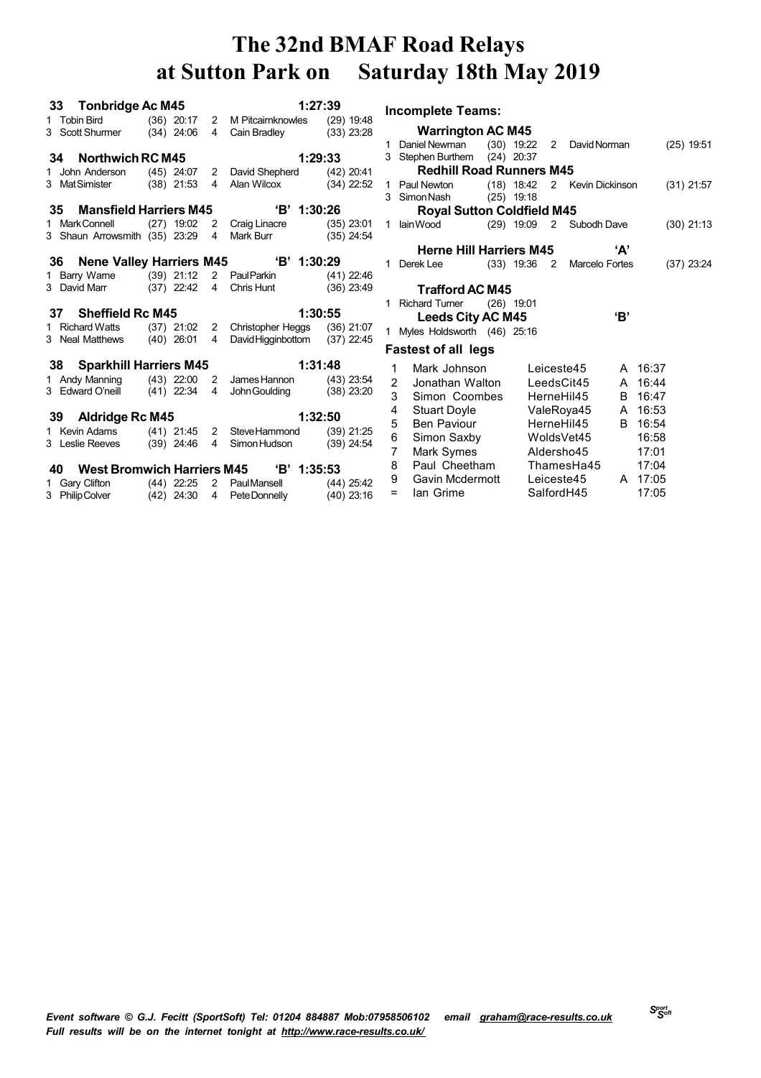| 33 Tonbridge Ac M45           |  |                | 1:27:39                                                                                                    |              |
|-------------------------------|--|----------------|------------------------------------------------------------------------------------------------------------|--------------|
|                               |  |                | 1 Tobin Bird (36) 20:17 2 M Pitcairnknowles (29) 19:48                                                     |              |
| 3 Scott Shurmer $(34)$ 24:06  |  | $\overline{4}$ | Cain Bradley                                                                                               | $(33)$ 23:28 |
|                               |  |                |                                                                                                            |              |
| 34 Northwich RC M45           |  |                |                                                                                                            | 1:29:33      |
|                               |  |                | 1 John Anderson (45) 24:07 2 David Shepherd (42) 20:41                                                     |              |
| 3 MatSimister (38) 21:53      |  | $\overline{4}$ | Alan Wilcox (34) 22:52                                                                                     |              |
|                               |  |                |                                                                                                            |              |
| 35 Mansfield Harriers M45     |  |                | $B'$ 1:30:26                                                                                               |              |
| 1 MarkConnell (27) 19:02      |  |                |                                                                                                            |              |
| 3 Shaun Arrowsmith (35) 23:29 |  |                | 2 Craig Linacre (35) 23:01<br>4 Mark Burr (35) 24:54                                                       |              |
|                               |  |                |                                                                                                            |              |
|                               |  |                | 36 Nene Valley Harriers M45 'B' 1:30:29                                                                    |              |
| 1 Barry Warne (39) 21:12      |  |                | 2 Paul Parkin (41) 22:46                                                                                   |              |
|                               |  |                | 3 David Marr (37) 22:42 4 Chris Hunt (36) 23:49                                                            |              |
|                               |  |                |                                                                                                            |              |
|                               |  |                |                                                                                                            |              |
| 37 Sheffield Rc M45           |  |                |                                                                                                            | 1:30:55      |
| 1 Richard Watts (37) 21:02    |  |                | 2 Christopher Heggs (36) 21:07                                                                             |              |
| 3 Neal Matthews (40) 26:01    |  | $\overline{4}$ | David Higginbottom (37) 22:45                                                                              |              |
|                               |  |                |                                                                                                            |              |
| 38 Sparkhill Harriers M45     |  |                |                                                                                                            | 1:31:48      |
| 1 Andy Manning (43) 22:00     |  |                | 2 James Hannon (43) 23:54                                                                                  |              |
| 3 Edward O'neill (41) 22:34 4 |  |                | John Goulding (38) 23:20                                                                                   |              |
|                               |  |                |                                                                                                            |              |
| 39 Aldridge Rc M45            |  |                |                                                                                                            | 1:32:50      |
|                               |  |                | 1 Kevin Adams (41) 21:45 2 Steve Hammond (39) 21:25                                                        |              |
| 3 Leslie Reeves (39) 24:46    |  | $\overline{4}$ | Simon Hudson (39) 24:54                                                                                    |              |
|                               |  |                |                                                                                                            |              |
|                               |  |                | 40 West Bromwich Harriers M45 'B' 1:35:53                                                                  |              |
|                               |  |                | 1 Gary Clifton (44) 22:25 2 Paul Mansell (44) 25:42<br>3 PhilipColver (42) 24:30 4 PeteDonnelly (40) 23:16 |              |

**Incomplete Teams: Warrington AC M45** Daniel Newman (30) 19:22 2 DavidNorman (25) 19:51 Stephen Burthem (24) 20:37 **Redhill Road Runners M45** Paul Newton (18) 18:42 2 Kevin Dickinson (31) 21:57 SimonNash (25) 19:18 **Royal Sutton Coldfield M45** IainWood (29) 19:09 2 Subodh Dave (30) 21:13 **Herne Hill Harriers M45 'A'** Derek Lee (33) 19:36 2 Marcelo Fortes (37) 23:24 **Trafford AC M45** Richard Turner (26) 19:01 **Leeds City AC M45 'B'** Myles Holdsworth (46) 25:16 **Fastest of all legs** Mark Johnson Leiceste45 A 16:37 Jonathan Walton LeedsCit45 A 16:44 Simon Coombes HerneHil45 B 16:47 Stuart Doyle ValeRoya45 A 16:53 5 Ben Paviour HerneHil45 B 16:54 Simon Saxby WoldsVet45 16:58 7 Mark Symes Aldersho45 17:01 8 Paul Cheetham ThamesHa45 17:04 9 Gavin Mcdermott Leiceste45 A 17:05

= Ian Grime SalfordH45 17:05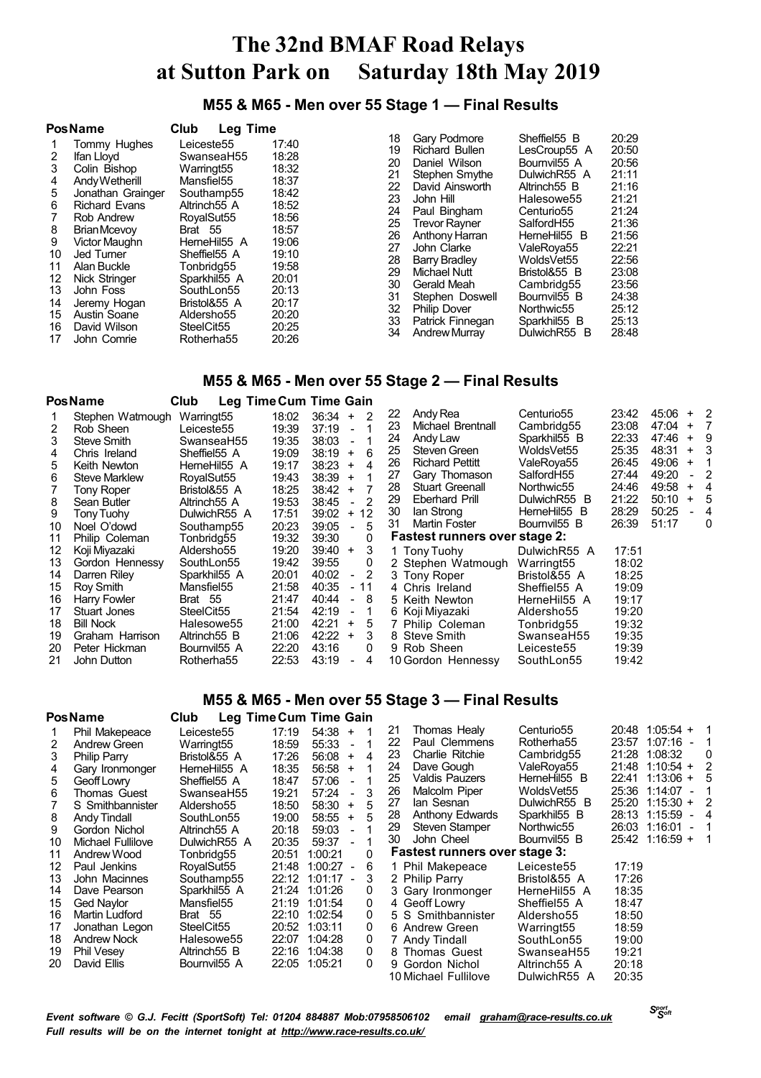**M55 & M65 - Men over 55 Stage 1 — Final Results**

|                                                                                 | <b>PosName</b>                                                                                                                                                                                                                                                                            | Club<br><b>Leg Time</b>                                                                                                                                                                                                                                       |                                                                                                                                                       |                                                                                                    |                                                                                                                                                                                                                                                                                                                         |                                                                                                                                                                                                                                                                                                    |                                                                                                                                                       |
|---------------------------------------------------------------------------------|-------------------------------------------------------------------------------------------------------------------------------------------------------------------------------------------------------------------------------------------------------------------------------------------|---------------------------------------------------------------------------------------------------------------------------------------------------------------------------------------------------------------------------------------------------------------|-------------------------------------------------------------------------------------------------------------------------------------------------------|----------------------------------------------------------------------------------------------------|-------------------------------------------------------------------------------------------------------------------------------------------------------------------------------------------------------------------------------------------------------------------------------------------------------------------------|----------------------------------------------------------------------------------------------------------------------------------------------------------------------------------------------------------------------------------------------------------------------------------------------------|-------------------------------------------------------------------------------------------------------------------------------------------------------|
| 2<br>3<br>4<br>5<br>6<br>8<br>9<br>10<br>11<br>12<br>13<br>14<br>15<br>16<br>17 | Tommy Hughes<br>Ifan Llovd<br>Colin Bishop<br>Andy Wetherill<br>Jonathan Grainger<br><b>Richard Evans</b><br>Rob Andrew<br>Brian Mcevov<br>Victor Maughn<br>Jed Turner<br>Alan Buckle<br><b>Nick Stringer</b><br>John Foss<br>Jeremy Hogan<br>Austin Soane<br>David Wilson<br>John Comrie | Leiceste55<br>SwanseaH55<br>Warringt <sub>55</sub><br>Mansfiel55<br>Southamp55<br>Altrinch55 A<br>RoyalSut55<br>Brat 55<br>HerneHil55 A<br>Sheffiel55 A<br>Tonbridg55<br>Sparkhil55 A<br>SouthLon55<br>Bristol&55 A<br>Aldersho55<br>SteelCit55<br>Rotherha55 | 17:40<br>18:28<br>18:32<br>18:37<br>18:42<br>18:52<br>18:56<br>18:57<br>19:06<br>19:10<br>19:58<br>20:01<br>20:13<br>20:17<br>20:20<br>20:25<br>20:26 | 18<br>19<br>20<br>21<br>22<br>23<br>24<br>25<br>26<br>27<br>28<br>29<br>30<br>31<br>32<br>33<br>34 | Gary Podmore<br>Richard Bullen<br>Daniel Wilson<br>Stephen Smythe<br>David Ainsworth<br>John Hill<br>Paul Bingham<br><b>Trevor Rayner</b><br>Anthony Harran<br>John Clarke<br><b>Barry Bradley</b><br>Michael Nutt<br>Gerald Meah<br>Stephen Doswell<br><b>Philip Dover</b><br>Patrick Finnegan<br><b>Andrew Murray</b> | Sheffiel55 B<br>LesCroup55 A<br>Bournvil <sub>55</sub> A<br>DulwichR55 A<br>Altrinch <sub>55</sub> B<br>Halesowe55<br>Centurio <sub>55</sub><br>SalfordH55<br>HerneHil55 B<br>ValeRoya55<br>WoldsVet55<br>Bristol&55 B<br>Cambridg55<br>Bournvil55 B<br>Northwic55<br>Sparkhil55 B<br>DulwichR55 B | 20:29<br>20:50<br>20:56<br>21:11<br>21:16<br>21:21<br>21:24<br>21:36<br>21:56<br>22:21<br>22:56<br>23:08<br>23:56<br>24:38<br>25:12<br>25:13<br>28:48 |

### **M55 & M65 - Men over 55 Stage 2 — Final Results**

|    | <b>PosName</b>       | Club                     |       | Leg Time Cum Time Gain                 |          |                                      |                          |                |                |               |                |
|----|----------------------|--------------------------|-------|----------------------------------------|----------|--------------------------------------|--------------------------|----------------|----------------|---------------|----------------|
|    | Stephen Watmough     | Warringt <sub>55</sub>   | 18:02 | $36:34 +$<br>2                         | 22<br>23 | Andy Rea<br>Michael Brentnall        | Centurio55<br>Cambridg55 | 23:42<br>23:08 | 45:06<br>47:04 | $+2$<br>$+ 7$ |                |
| 2  | Rob Sheen            | Leiceste <sub>55</sub>   | 19:39 | 37:19<br>$\overline{a}$                |          |                                      |                          |                |                |               |                |
| 3  | Steve Smith          | SwanseaH55               | 19:35 | 38:03                                  | 24       | Andy Law                             | Sparkhil55 B             | 22:33          | 47:46          | $+ 9$         |                |
| 4  | Chris Ireland        | Sheffiel55 A             | 19:09 | 38:19<br>6<br>$+$                      | 25       | Steven Green                         | WoldsVet55               | 25:35          | 48:31          | $+$           | 3              |
| 5. | Keith Newton         | HemeHil55 A              | 19:17 | 38:23<br>4<br>$\ddot{}$                | 26       | <b>Richard Pettitt</b>               | ValeRoya55               | 26:45          | 49:06          | $+$           |                |
| 6  | <b>Steve Marklew</b> | RovalSut55               | 19:43 | 38:39<br>$\ddot{}$                     | 27       | Gary Thomason                        | SalfordH55               | 27:44          | 49:20          |               | -2             |
|    | Tony Roper           | Bristol&55 A             | 18:25 | 38:42<br>$+$                           | 28       | <b>Stuart Greenall</b>               | Northwic55               | 24:46          | 49:58          | $+$           | 4              |
| 8  | Sean Butler          | Altrinch <sub>55</sub> A | 19:53 | 38:45<br>2                             | 29       | Eberhard Prill                       | DulwichR55 B             | 21:22          | 50:10          |               | + 5            |
| 9  | Tony Tuohy           | DulwichR55 A             | 17:51 | 39:02<br>+ 12                          | 30       | lan Strong                           | HerneHil55 B             | 28:29          | 50:25          |               | $\overline{4}$ |
| 10 | Noel O'dowd          | Southamp55               | 20:23 | 39:05<br>5<br>$\sim$                   | 31       | <b>Martin Foster</b>                 | Bournvil <sub>55</sub> B | 26:39          | 51:17          |               | 0              |
| 11 | Philip Coleman       | Tonbridg55               | 19:32 | $\mathbf{0}$<br>39:30                  |          | <b>Fastest runners over stage 2:</b> |                          |                |                |               |                |
| 12 | Koji Miyazaki        | Aldersho55               | 19:20 | 39:40<br>$\ddot{}$                     | 3        | 1 Tony Tuohy                         | DulwichR55 A             | 17:51          |                |               |                |
| 13 | Gordon Hennessy      | SouthLon55               | 19:42 | 39:55<br>0                             |          | 2 Stephen Watmough                   | Warringt <sub>55</sub>   | 18:02          |                |               |                |
| 14 | Darren Riley         | Sparkhil55 A             | 20:01 | 40:02<br>$-2$                          |          | 3 Tony Roper                         | Bristol&55 A             | 18:25          |                |               |                |
| 15 | Roy Smith            | Mansfiel55               | 21:58 | 40:35<br>- 11                          |          | 4 Chris Ireland                      | Sheffiel55 A             | 19:09          |                |               |                |
| 16 | Harry Fowler         | Brat 55                  | 21:47 | 40:44<br>8<br>$\overline{\phantom{0}}$ |          | 5 Keith Newton                       | HerneHil55 A             | 19:17          |                |               |                |
| 17 | Stuart Jones         | SteelCit <sub>55</sub>   | 21:54 | 42:19                                  |          | 6 Koji Miyazaki                      | Aldersho55               | 19:20          |                |               |                |
| 18 | <b>Bill Nock</b>     | Halesowe55               | 21:00 | 42:21<br>$\ddot{}$                     | 5        | 7 Philip Coleman                     | Tonbridg55               | 19:32          |                |               |                |
| 19 | Graham Harrison      | Altrinch <sub>55</sub> B | 21:06 | 42:22<br>$\ddot{}$                     | 3        | 8 Steve Smith                        | SwanseaH55               | 19:35          |                |               |                |
| 20 | Peter Hickman        | Bournvil <sub>55</sub> A | 22:20 | 43:16<br>0                             |          | 9 Rob Sheen                          | Leiceste55               | 19:39          |                |               |                |
| 21 | John Dutton          | Rotherha55               | 22:53 | 43:19<br>4                             |          | 10 Gordon Hennessy                   | SouthLon55               | 19:42          |                |               |                |

### **M55 & M65 - Men over 55 Stage 3 — Final Results**

|                                                    | <b>PosName</b>                                                                                                                                                                            | Club                                                                                                                                                                                    |                                                                                                 | Leg Time Cum Time Gain                                                                                                                                                                                                                      |                                                          |                                                                                                                                                                                                                          |                                                                                                                                                                |                                                                                                                                                                                                                                   |                                                                                                                                 |
|----------------------------------------------------|-------------------------------------------------------------------------------------------------------------------------------------------------------------------------------------------|-----------------------------------------------------------------------------------------------------------------------------------------------------------------------------------------|-------------------------------------------------------------------------------------------------|---------------------------------------------------------------------------------------------------------------------------------------------------------------------------------------------------------------------------------------------|----------------------------------------------------------|--------------------------------------------------------------------------------------------------------------------------------------------------------------------------------------------------------------------------|----------------------------------------------------------------------------------------------------------------------------------------------------------------|-----------------------------------------------------------------------------------------------------------------------------------------------------------------------------------------------------------------------------------|---------------------------------------------------------------------------------------------------------------------------------|
| 2<br>3<br>4<br>5.<br>6<br>8<br>9<br>10<br>11       | Phil Makepeace<br>Andrew Green<br>Philip Parry<br>Gary Ironmonger<br>Geoff Lowry<br>Thomas Guest<br>S Smithbannister<br>Andy Tindall<br>Gordon Nichol<br>Michael Fullilove<br>Andrew Wood | Leiceste <sub>55</sub><br>Warringt <sub>55</sub><br>Bristol&55 A<br>HemeHil55 A<br>Sheffiel55 A<br>SwanseaH55<br>Aldersho55<br>SouthLon55<br>Altrinch55 A<br>DulwichR55 A<br>Tonbridg55 | 17:19<br>18:59<br>17:26<br>18:35<br>18:47<br>19:21<br>18:50<br>19:00<br>20:18<br>20:35<br>20:51 | $54:38 +$<br>55:33<br>$\overline{\phantom{a}}$<br>56:08<br>$+$<br>4<br>56:58<br>$+$<br>57:06<br>$\sim$<br>57:24<br>$\overline{\phantom{a}}$<br>58:30<br>5<br>$+$<br>$58:55 +$<br>59:03<br>$\overline{a}$<br>59:37<br>$\sim$<br>1:00:21<br>0 | 21<br>22<br>23<br>24<br>25<br>26<br>27<br>28<br>29<br>30 | Thomas Healy<br>Paul Clemmens<br>Charlie Ritchie<br>Dave Gough<br><b>Valdis Pauzers</b><br>Malcolm Piper<br>lan Sesnan<br><b>Anthony Edwards</b><br>Steven Stamper<br>John Cheel<br><b>Fastest runners over stage 3:</b> | Centurio <sub>55</sub><br>Rotherha55<br>Cambridg55<br>ValeRoya55<br>HerneHil55 B<br>WoldsVet55<br>DulwichR55 B<br>Sparkhil55 B<br>Northwic55<br>Bournvil55 B   | 20:48 1:05:54 +<br>1:07:16<br>23:57<br>$\overline{\phantom{a}}$<br>21:28<br>1:08:32<br>21:48<br>$1:10:54 +$<br>$1:13:06 +$<br>22:41<br>25:36 1:14:07<br>$25:20$ 1:15:30 +<br>28:13 1:15:59<br>1:16:01<br>26:03<br>25:42 1:16:59 + | $\overline{1}$<br>-1<br>$\mathbf{0}$<br>2<br>- 5<br>$\overline{2}$<br>- 4<br>$\overline{1}$<br>$\blacksquare$<br>$\overline{1}$ |
| 12<br>13<br>14<br>15<br>16<br>17<br>18<br>19<br>20 | Paul Jenkins<br>John Macinnes<br>Dave Pearson<br><b>Ged Naylor</b><br>Martin Ludford<br>Jonathan Legon<br><b>Andrew Nock</b><br><b>Phil Vesey</b><br>David Ellis                          | RoyalSut55<br>Southamp55<br>Sparkhil55 A<br>Mansfiel55<br>Brat 55<br>SteelCit <sub>55</sub><br>Halesowe55<br>Altrinch <sub>55</sub> B<br>Bournvil <sub>55</sub> A                       | 21:48<br>22:12<br>21:24<br>21:19<br>22:10<br>20:52 1:03:11<br>22:07<br>22:16<br>22:05           | 1:00:27<br>6<br>$\overline{\phantom{a}}$<br>1:01:17<br>3<br>$\blacksquare$<br>1:01:26<br>0<br>1:01:54<br>0<br>1:02:54<br>0<br>0<br>1:04:28<br>0<br>1:04:38<br>0<br>1:05:21<br>0                                                             |                                                          | 1 Phil Makepeace<br>2 Philip Parry<br>3 Gary Ironmonger<br>4 Geoff Lowry<br>5 S Smithbannister<br>6 Andrew Green<br>7 Andy Tindall<br>8 Thomas Guest<br>9 Gordon Nichol<br>10 Michael Fullilove                          | Leiceste55<br>Bristol&55 A<br>HerneHil55 A<br>Sheffiel55 A<br>Aldersho55<br>Warringt55<br>SouthLon55<br>SwanseaH55<br>Altrinch <sub>55</sub> A<br>DulwichR55 A | 17:19<br>17:26<br>18:35<br>18:47<br>18:50<br>18:59<br>19:00<br>19:21<br>20:18<br>20:35                                                                                                                                            |                                                                                                                                 |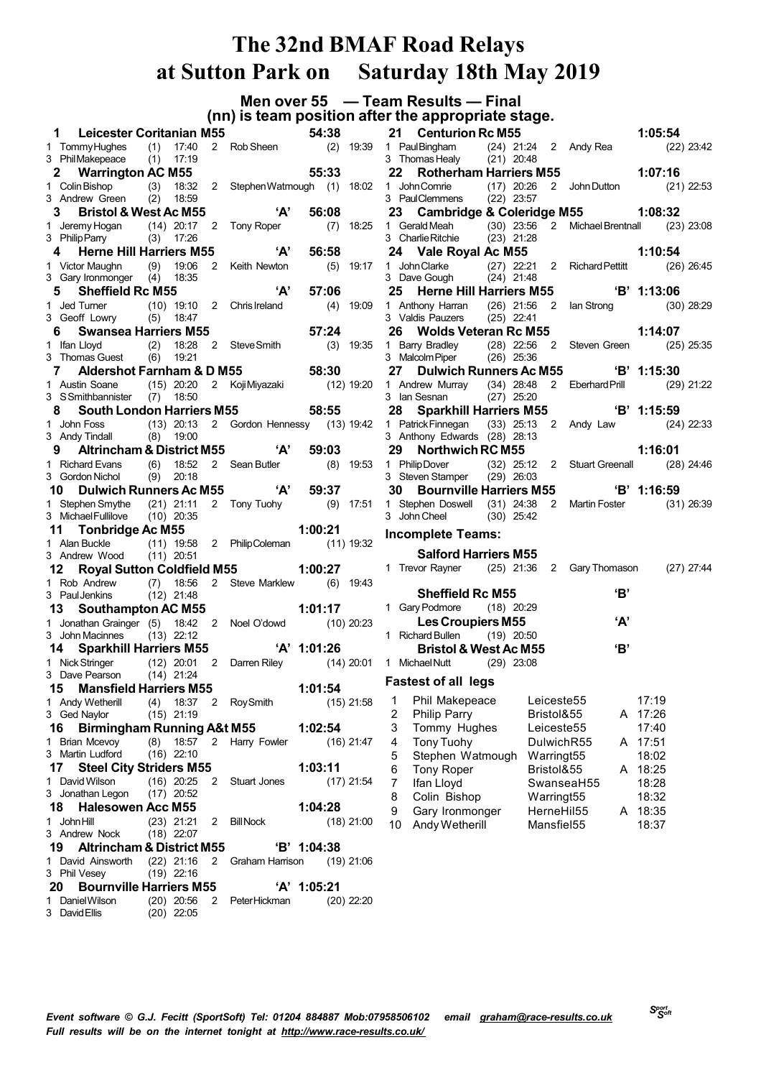**Men over 55 — Team Results — Final (nn) is team position after the appropriate stage.**

| $\mathbf 1$                                           | <b>Leicester Coritanian M55</b> |                          |                                         | 54:38         |              | 21 -<br><b>Centurion Rc M</b>                   |              |
|-------------------------------------------------------|---------------------------------|--------------------------|-----------------------------------------|---------------|--------------|-------------------------------------------------|--------------|
| 1 Tommy Hughes (1) 17:40<br>3 Phil Makepeace          | 17:19<br>(1)                    |                          | 2 Rob Sheen                             | (2)           | 19:39        | 1 PaulBingham (24<br>3 Thomas Healy (21         |              |
| 2 Warrington AC M55                                   |                                 |                          |                                         | 55:33         |              | 22<br><b>Rotherham Ha</b>                       |              |
| 1 Colin Bishop (3)<br>3 Andrew Green                  | 18:32<br>(2)<br>18:59           |                          | 2 Stephen Watmough (1) 18:02            |               |              | 1 John Comrie<br>3 PaulClemmens                 | (17)<br>(22) |
| 3 <sup>7</sup><br><b>Bristol &amp; West Ac M55</b>    |                                 |                          | 'А'                                     | 56:08         |              | Cambridge & 0<br>23                             |              |
|                                                       |                                 |                          | 2 Tony Roper                            | (7)           | 18:25        | 1 Gerald Meah (30                               |              |
| 1 Jeremy Hogan (14) 20:17<br>3 Philip Parry (3) 17:26 |                                 |                          |                                         |               |              | 3 Charlie Ritchie                               | (23)         |
| <b>Herne Hill Harriers M55</b><br>4                   |                                 |                          | A'                                      | 56:58         |              | 24 Vale Royal Ac                                |              |
| 1 Victor Maughn                                       | (9)<br>19:06                    |                          | 2 Keith Newton                          | (5)           | 19:17        | 1 John Clarke (27                               |              |
| 3 Gary Ironmonger (4) 18:35                           |                                 |                          |                                         |               |              | 3 Dave Gough (24                                |              |
| <b>Sheffield Rc M55</b><br>5                          |                                 |                          | 'А'                                     | 57:06         |              | 25<br><b>Herne Hill Hari</b>                    |              |
| 1 Jed Turner                                          | $(10)$ 19:10                    |                          | 2 Chris Ireland                         | (4)           | 19:09        | 1 Anthony Harran                                | (26)         |
| 3 Geoff Lowry (5)                                     | 18:47                           |                          |                                         |               |              | 3 Valdis Pauzers                                | (25)         |
| 6<br><b>Swansea Harriers M55</b>                      |                                 |                          |                                         | 57:24         |              | 26<br><b>Wolds Veteran</b>                      |              |
| 1 Ifan Lloyd                                          | (2)<br>18:28                    | $2^{\circ}$              | Steve Smith                             | $(3)$ 19:35   |              | 1 Barry Bradley (28                             |              |
| 3 Thomas Guest                                        | (6)<br>19:21                    |                          |                                         |               |              | 3 Malcolm Piper (26                             |              |
| 7<br><b>Aldershot Farnham &amp; D M55</b>             |                                 |                          | 58:30                                   |               |              | 27<br><b>Dulwich Runn</b>                       |              |
| 1 Austin Soane (15) 20:20                             |                                 |                          | 2 Koji Miyazaki (12) 19:20              |               |              | 1 Andrew Murray (34                             |              |
| 3 SSmithbannister (7)                                 | 18:50                           |                          |                                         | 58:55         |              | 3 Ian Sesnan                                    | (27)         |
| <b>South London Harriers M55</b><br>8                 |                                 |                          |                                         |               |              | 28<br><b>Sparkhill Harri</b>                    |              |
| 1 John Foss<br>3 Andy Tindall (8)                     | 19:00                           |                          | (13) 20:13 2 Gordon Hennessy (13) 19:42 |               |              | 1 Patrick Finnegan (33<br>3 Anthony Edwards (28 |              |
|                                                       |                                 |                          | Altrincham & District M55 'A'           | 59:03         |              | Northwich RC<br>29                              |              |
| 1 Richard Evans                                       | (6)<br>18:52                    |                          | 2 Sean Butler                           |               |              | 1 Philip Dover                                  | (32)         |
| 3 Gordon Nichol                                       | (9)<br>20:18                    |                          |                                         |               | $(8)$ 19:53  | 3 Steven Stamper (29                            |              |
| 10<br><b>Dulwich Runners Ac M55</b>                   |                                 |                          | $'A'$ 59:37                             |               |              | 30<br><b>Bournville Har</b>                     |              |
| 1 Stephen Smythe                                      | $(21)$ 21:11                    |                          | 2 Tony Tuohy (9) 17:51                  |               |              | 1 Stephen Doswell (31                           |              |
| 3 Michael Fullilove (10) 20:35                        |                                 |                          |                                         |               |              | 3 John Cheel                                    | (30)         |
|                                                       |                                 |                          |                                         |               |              |                                                 |              |
|                                                       |                                 |                          |                                         |               |              |                                                 |              |
| 11 Tonbridge Ac M55                                   |                                 |                          |                                         | 1:00:21       |              | <b>Incomplete Teams:</b>                        |              |
| 1 Alan Buckle (11) 19:58                              |                                 |                          | 2 PhilipColeman (11) 19:32              |               |              | <b>Salford Harrier</b>                          |              |
| 3 Andrew Wood (11) 20:51<br>12                        |                                 |                          | <b>Royal Sutton Coldfield M55</b>       | 1:00:27       |              | 1 Trevor Rayner (25                             |              |
| 1 Rob Andrew                                          | (7)<br>18:56                    | $\mathbf{2}$             | Steve Marklew (6) 19:43                 |               |              |                                                 |              |
| 3 Paul Jenkins                                        | $(12)$ 21:48                    |                          |                                         |               |              | <b>Sheffield Rc M</b>                           |              |
| <b>Southampton AC M55</b><br>13                       |                                 |                          |                                         | 1:01:17       |              | 1 Gary Podmore (18                              |              |
| 1 Jonathan Grainger (5) 18:42                         |                                 |                          | 2 Noel O'dowd (10) 20:23                |               |              | <b>Les Croupiers</b>                            |              |
| 3 John Macinnes (13) 22:12                            |                                 |                          |                                         |               |              | 1 Richard Bullen (19                            |              |
| 14 Sparkhill Harriers M55 'A' 1:01:26                 |                                 |                          |                                         |               |              | <b>Bristol &amp; West</b>                       |              |
| 1 Nick Stringer (12) 20:01                            |                                 | $\overline{\phantom{0}}$ | Darren Riley (14) 20:01                 |               |              | 1 Michael Nutt (29                              |              |
| 3 Dave Pearson (14) 21:24                             |                                 |                          |                                         |               |              |                                                 |              |
| <b>Mansfield Harriers M55</b><br>15 -                 |                                 |                          |                                         | 1:01:54       |              | <b>Fastest of all legs</b>                      |              |
| 1 Andy Wetherill (4) 18:37 2 Roy Smith                |                                 |                          |                                         |               |              | $(15)$ 21:58 1 Phil Makepeace                   |              |
| 3 Ged Naylor                                          | $(15)$ 21:19                    |                          |                                         |               |              | 2<br><b>Philip Parry</b>                        |              |
| <b>Birmingham Running A&amp;t M55</b><br>16           |                                 |                          |                                         | 1:02:54       |              | 3<br>Tommy Hughes                               |              |
| 1 Brian Mcevoy                                        | (8)<br>18:57                    | $\overline{2}$           | Harry Fowler                            |               | $(16)$ 21:47 | <b>Tony Tuohy</b><br>4                          |              |
| 3 Martin Ludford                                      | $(16)$ 22:10                    |                          |                                         |               |              | 5<br>Stephen Watmou                             |              |
| <b>Steel City Striders M55</b><br>17                  |                                 |                          |                                         | 1:03:11       |              | 6<br><b>Tony Roper</b>                          |              |
| 1 David Wilson<br>3 Jonathan Legon                    | $(16)$ 20:25<br>$(17)$ 20:52    | $\mathbf{2}^{\prime}$    | Stuart Jones                            |               | $(17)$ 21:54 | 7<br>Ifan Lloyd                                 |              |
| 18.<br><b>Halesowen Acc M55</b>                       |                                 |                          |                                         |               |              | Colin Bishop<br>8                               |              |
| 1 John Hill                                           | $(23)$ 21:21                    | 2                        | <b>Bill Nock</b>                        | 1:04:28       | $(18)$ 21:00 | 9<br>Gary Ironmonger                            |              |
| 3 Andrew Nock                                         | $(18)$ 22:07                    |                          |                                         |               |              | 10<br>Andy Wetherill                            |              |
| 19<br><b>Altrincham &amp; District M55</b>            |                                 |                          |                                         | 'B' 1:04:38   |              |                                                 |              |
| 1 David Ainsworth                                     | $(22)$ 21:16                    | 2                        | Graham Harrison                         |               | $(19)$ 21:06 |                                                 |              |
| 3 Phil Vesey                                          | $(19)$ 22:16                    |                          |                                         |               |              |                                                 |              |
| <b>Bournville Harriers M55</b><br>20                  |                                 |                          |                                         | $'A'$ 1:05:21 |              |                                                 |              |
| 1 Daniel Wilson<br>3 David Ellis                      | $(20)$ 20:56<br>$(20)$ 22:05    | $\overline{2}$           | Peter Hickman                           |               | $(20)$ 22:20 |                                                 |              |

|                         |    | 21 Centurion Rc M55                                                                                                                                 |  |                        |            |     | 1:05:54      |              |
|-------------------------|----|-----------------------------------------------------------------------------------------------------------------------------------------------------|--|------------------------|------------|-----|--------------|--------------|
|                         |    | 1 PaulBingham      (24) 21:24   2   Andy Rea<br>3 Thomas Healy       (21) 20:48                                                                     |  |                        |            |     |              | $(22)$ 23:42 |
|                         |    |                                                                                                                                                     |  |                        |            |     |              |              |
|                         |    | 22 Rotherham Harriers M55 1:07:16                                                                                                                   |  |                        |            |     |              |              |
|                         |    | 1 JohnComrie      (17) 20:26   2   JohnDutton<br>3 PaulClemmens     (22) 23:57                                                                      |  |                        |            |     | $(21)$ 22:53 |              |
|                         |    |                                                                                                                                                     |  |                        |            |     |              |              |
|                         |    | 23 Cambridge & Coleridge M55 1:08:32                                                                                                                |  |                        |            |     |              |              |
|                         |    | 1 Gerald Meah               (30)     23:56         2       Michael Brentnall           (23)   23:08<br>3   Charlie Ritchie             (23)   21:28 |  |                        |            |     |              |              |
|                         |    |                                                                                                                                                     |  |                        |            |     |              |              |
|                         |    | 24 Vale Royal Ac M55                                                                                                                                |  |                        |            |     | 1:10:54      |              |
|                         |    | 1 John Clarke (27) 22:21 2 Richard Pettitt (26) 26:45<br>3 Dave Gough (24) 21:48                                                                    |  |                        |            |     |              |              |
|                         |    |                                                                                                                                                     |  |                        |            |     |              |              |
|                         |    |                                                                                                                                                     |  |                        |            |     |              |              |
|                         |    | 25 Herne Hill Harriers M55<br>1 Anthony Harran (26) 21:56 2 Ian Strong (30) 28:29                                                                   |  |                        |            |     |              |              |
|                         |    | 3 Valdis Pauzers $(25)$ 22:41                                                                                                                       |  |                        |            |     |              |              |
|                         |    | 26 Wolds Veteran Rc M55                                                                                                                             |  |                        |            |     | 1:14:07      |              |
|                         |    |                                                                                                                                                     |  |                        |            |     |              |              |
|                         |    |                                                                                                                                                     |  |                        |            |     |              |              |
|                         |    | 27 Dulwich Runners Ac M55 'B' 1:15:30                                                                                                               |  |                        |            |     |              |              |
|                         |    |                                                                                                                                                     |  |                        |            |     |              |              |
|                         |    |                                                                                                                                                     |  |                        |            |     |              |              |
|                         |    | 28 Sparkhill Harriers M55 (B' 1:15:59                                                                                                               |  |                        |            |     |              |              |
|                         |    | 1 Patrick Finnegan (33) 25:13 2 Andy Law (24) 22:33                                                                                                 |  |                        |            |     |              |              |
|                         |    | 3 Anthony Edwards (28) 28:13                                                                                                                        |  |                        |            |     |              |              |
|                         |    | 29 Northwich RC M55                                                                                                                                 |  |                        |            |     | 1:16:01      |              |
|                         |    | 1 PhilipDover (32) 25:12 2 Stuart Greenall (28) 24:46<br>3 Steven Stamper (29) 26:03                                                                |  |                        |            |     |              |              |
|                         |    |                                                                                                                                                     |  |                        |            |     |              |              |
|                         |    | 30 Bournville Harriers M55<br>1 Stephen Doswell (31) 24:38 2 Martin Foster (31) 26:39                                                               |  |                        |            |     |              |              |
|                         |    | 3 John Cheel (30) 25:42                                                                                                                             |  |                        |            |     |              |              |
|                         |    |                                                                                                                                                     |  |                        |            |     |              |              |
|                         |    | <b>Incomplete Teams:</b>                                                                                                                            |  |                        |            |     |              |              |
|                         |    | <b>Salford Harriers M55</b>                                                                                                                         |  |                        |            |     |              |              |
|                         |    | 1 Trevor Rayner (25) 21:36 2 Gary Thomason (27) 27:44                                                                                               |  |                        |            |     |              |              |
|                         |    |                                                                                                                                                     |  |                        |            |     |              |              |
|                         |    | <b>Sheffield Rc M55</b>                                                                                                                             |  |                        |            | 'В' |              |              |
|                         |    | 1 Gary Podmore (18) 20:29                                                                                                                           |  |                        |            |     |              |              |
|                         |    | <b>Les Croupiers M55</b>                                                                                                                            |  |                        |            | 'А' |              |              |
|                         |    | 1 Richard Bullen (19) 20:50                                                                                                                         |  |                        |            |     |              |              |
|                         |    | <b>Bristol &amp; West Ac M55</b>                                                                                                                    |  |                        |            | 'B' |              |              |
|                         |    | 1 Michael Nutt (29) 23:08                                                                                                                           |  |                        |            |     |              |              |
|                         |    |                                                                                                                                                     |  |                        |            |     |              |              |
|                         |    | <b>Fastest of all legs</b>                                                                                                                          |  |                        |            |     |              |              |
| 1                       |    | Phil Makepeace                                                                                                                                      |  | Leiceste55             |            |     | 17:19        |              |
| $\overline{\mathbf{c}}$ |    | Philip Parry                                                                                                                                        |  | Bristol&55             |            | A   | 17:26        |              |
| 3                       |    | Tommy Hughes                                                                                                                                        |  | Leiceste <sub>55</sub> |            |     | 17:40        |              |
| 4                       |    | <b>Tony Tuohy</b>                                                                                                                                   |  |                        | DulwichR55 | A   | 17:51        |              |
| 5                       |    | Stephen Watmough                                                                                                                                    |  | Warringt <sub>55</sub> |            |     | 18:02        |              |
| 6                       |    | <b>Tony Roper</b>                                                                                                                                   |  | Bristol&55             |            | A   | 18:25        |              |
| 7                       |    | Ifan Lloyd                                                                                                                                          |  |                        | SwanseaH55 |     | 18:28        |              |
| 8                       |    | Colin Bishop                                                                                                                                        |  | Warringt55             |            |     | 18:32        |              |
|                         | 9  | Gary Ironmonger                                                                                                                                     |  | HerneHil55             |            | A   | 18:35        |              |
|                         | 10 | Andy Wetherill                                                                                                                                      |  | Mansfiel55             |            |     | 18:37        |              |
|                         |    |                                                                                                                                                     |  |                        |            |     |              |              |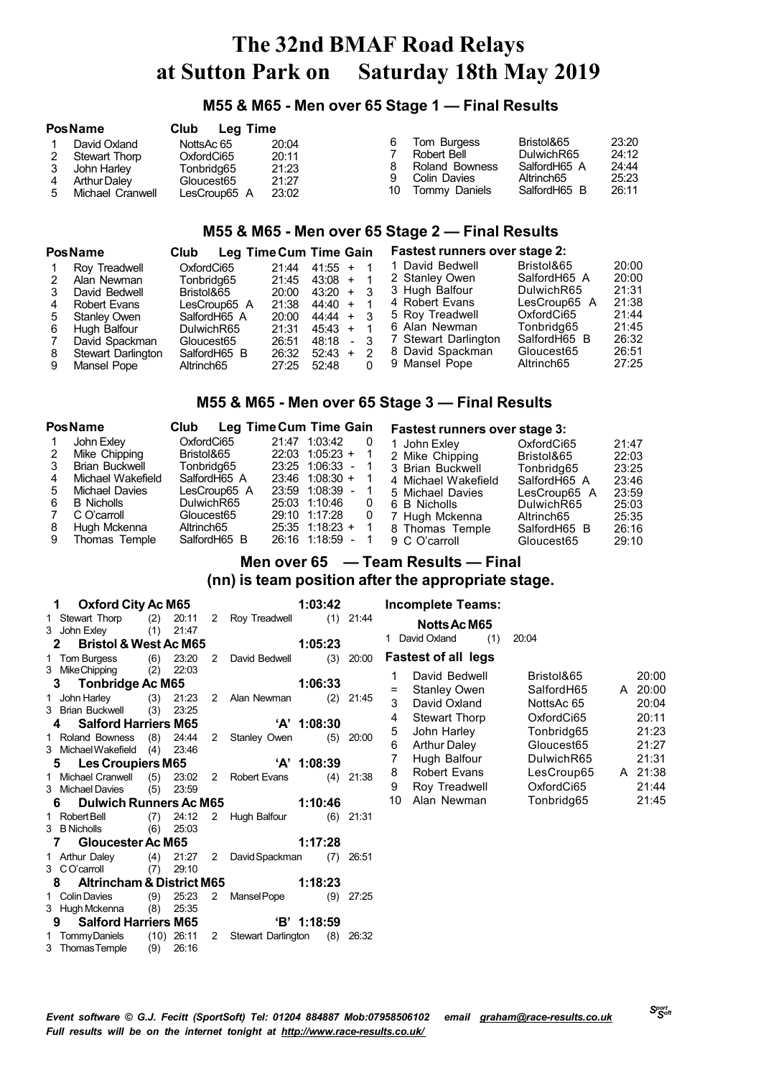### **M55 & M65 - Men over 65 Stage 1 — Final Results**

|   | <b>PosName</b>                                                                          | Club<br>Leg Time                                                     |                                           |               |                                                                               |                                                                        |                                           |
|---|-----------------------------------------------------------------------------------------|----------------------------------------------------------------------|-------------------------------------------|---------------|-------------------------------------------------------------------------------|------------------------------------------------------------------------|-------------------------------------------|
| 5 | David Oxland<br>Stewart Thorp<br>John Harley<br><b>Arthur Daley</b><br>Michael Cranwell | NottsAc 65<br>OxfordCi65<br>Tonbridg65<br>Gloucest65<br>LesCroup65 A | 20:04<br>20:11<br>21:23<br>21:27<br>23:02 | 6.<br>9<br>10 | Tom Burgess<br>Robert Bell<br>Roland Bowness<br>Colin Davies<br>Tommy Daniels | Bristol&65<br>DulwichR65<br>SalfordH65 A<br>Altrinch65<br>SalfordH65 B | 23:20<br>24:12<br>24:44<br>25:23<br>26:11 |

## **M55 & M65 - Men over 65 Stage 2 — Final Results**

|    | <b>PosName</b>      | Club         | Leg Time Cum Time Gain |           |                | <b>Fastest runners over stage 2:</b> |              |       |
|----|---------------------|--------------|------------------------|-----------|----------------|--------------------------------------|--------------|-------|
|    | Roy Treadwell       | OxfordCi65   | 21:44                  | $41:55 +$ |                | 1 David Bedwell                      | Bristol&65   | 20:00 |
|    | Alan Newman         | Tonbridg65   | 21:45                  | $43:08 +$ |                | 2 Stanley Owen                       | SalfordH65 A | 20:00 |
|    | David Bedwell       | Bristol&65   | 20:00                  | $43:20 +$ |                | 3 Hugh Balfour                       | DulwichR65   | 21:31 |
|    | Robert Evans        | LesCroup65 A | 21:38                  | $44:40 +$ |                | 4 Robert Evans                       | LesCroup65 A | 21:38 |
| 5. | <b>Stanley Owen</b> | SalfordH65 A | 20:00                  | $44:44 +$ |                | 5 Roy Treadwell                      | OxfordCi65   | 21:44 |
| 6  | Hugh Balfour        | DulwichR65   | 21:31                  | $45:43 +$ |                | 6 Alan Newman                        | Tonbridg65   | 21:45 |
|    | David Spackman      | Gloucest65   | 26:51                  | 48:18     | $\blacksquare$ | 7 Stewart Darlington                 | SalfordH65 B | 26:32 |
| 8  | Stewart Darlington  | SalfordH65 B | 26:32                  | $52:43 +$ |                | 8 David Spackman                     | Gloucest65   | 26:51 |
|    | Mansel Pope         | Altrinch65   | 27:25                  | 52.48     |                | 9 Mansel Pope                        | Altrinch65   | 27:25 |

### **M55 & M65 - Men over 65 Stage 3 — Final Results**

|    | <b>PosName</b>        | Club         | Leg Time Cum Time Gain |   | Fastest runners over stage 3: |              |       |
|----|-----------------------|--------------|------------------------|---|-------------------------------|--------------|-------|
|    | John Exley            | OxfordCi65   | 21:47 1:03:42          | 0 | John Exley                    | OxfordCi65   | 21:47 |
| 2  | Mike Chipping         | Bristol&65   | $22:03$ 1:05:23 +      |   | 2 Mike Chipping               | Bristol&65   | 22:03 |
| 3  | <b>Brian Buckwell</b> | Tonbrida65   | $23:25$ 1:06:33 -      |   | 3 Brian Buckwell              | Tonbridg65   | 23:25 |
| 4  | Michael Wakefield     | SalfordH65 A | $23:46$ 1:08:30 +      |   | 4 Michael Wakefield           | SalfordH65 A | 23:46 |
| .5 | Michael Davies        | LesCroup65 A | 23:59 1:08:39          |   | 5 Michael Davies              | LesCroup65 A | 23:59 |
| 6  | <b>B</b> Nicholls     | DulwichR65   | 25:03 1:10:46          | 0 | 6 B Nicholls                  | DulwichR65   | 25:03 |
|    | C O'carroll           | Gloucest65   | 29:10 1:17:28          | 0 | 7 Hugh Mckenna                | Altrinch65   | 25:35 |
| 8  | Hugh Mckenna          | Altrinch65   | $25:35$ 1:18:23 +      |   | 8 Thomas Temple               | SalfordH65 B | 26:16 |
| 9  | Thomas Temple         | SalfordH65 B | 26:16 1:18:59          |   | 9 C O'carroll                 | Gloucest65   | 29:10 |

## **Men over 65 — Team Results — Final (nn) is team position after the appropriate stage.**

| 1 Oxford City Ac M65                            |       |   |                           | 1:03:42       |     |             |
|-------------------------------------------------|-------|---|---------------------------|---------------|-----|-------------|
| 1 Stewart Thorp (2) 20:11                       |       |   | 2 Roy Treadwell (1) 21:44 |               |     |             |
| 3 John Exley (1) 21:47                          |       |   |                           |               |     |             |
| 2 Bristol & West Ac M65                         |       |   |                           | 1:05:23       |     |             |
| 1 Tom Burgess (6) 23:20                         |       | 2 | David Bedwell (3)         |               |     | 20:00       |
| 3 Mike Chipping (2)                             | 22:03 |   |                           |               |     |             |
| 3 Tonbridge Ac M65                              |       |   | 1:06:33                   |               |     |             |
| 1 John Harley (3) 21:23                         |       |   | 2 Alan Newman             |               | (2) | 21:45       |
| 3 Brian Buckwell (3) 23:25                      |       |   |                           |               |     |             |
| 4 Salford Harriers M65                          |       |   | <b>A' 1:08:30</b>         |               |     |             |
| 1 Roland Bowness (8) 24:44                      |       |   | 2 Stanley Owen (5)        |               |     | 20:00       |
| 3 Michael Wakefield (4) 23:46                   |       |   |                           |               |     |             |
| 5 Les Croupiers M65                             |       |   |                           | $'A'$ 1:08:39 |     |             |
| 1 Michael Cranwell (5) 23:02 2 Robert Evans (4) |       |   |                           |               |     | 21:38       |
| 3 Michael Davies (5)                            | 23:59 |   |                           |               |     |             |
| 6 Dulwich Runners Ac M65                        |       |   | 1:10:46                   |               |     |             |
| 1 Robert Bell (7) 24:12 2 Hugh Balfour (6)      |       |   |                           |               |     | 21:31       |
| 3 B Nicholls (6) 25:03                          |       |   |                           |               |     |             |
| 7 Gloucester Ac M65                             |       |   |                           | 1:17:28       |     |             |
| 1 Arthur Daley (4) 21:27 2                      |       |   | David Spackman (7)        |               |     | 26:51       |
| 3 CO'carroll (7) 29:10                          |       |   |                           |               |     |             |
| 8 Altrincham & District M65 1:18:23             |       |   |                           |               |     |             |
| 1 Colin Davies (9) 25:23                        |       |   | 2 Mansel Pope (9)         |               |     | 27:25       |
| 3 Hugh Mckenna (8) 25:35                        |       |   |                           |               |     |             |
| 9 Salford Harriers M65                          |       |   | $\overline{B'}$ 1:18:59   |               |     |             |
| 1 TommyDaniels (10) 26:11 2 Stewart Darlington  |       |   |                           |               |     | $(8)$ 26:32 |
| 3 Thomas Temple (9) 26:16                       |       |   |                           |               |     |             |

**Incomplete Teams: NottsAcM65**

| 1.  | David Oxland               | (1) | 20:04      |   |       |
|-----|----------------------------|-----|------------|---|-------|
|     | <b>Fastest of all legs</b> |     |            |   |       |
| 1   | David Bedwell              |     | Bristol&65 |   | 20:00 |
| $=$ | <b>Stanley Owen</b>        |     | SalfordH65 | A | 20:00 |
| 3   | David Oxland               |     | NottsAc 65 |   | 20:04 |
| 4   | <b>Stewart Thorp</b>       |     | OxfordCi65 |   | 20:11 |
| 5   | John Harley                |     | Tonbridg65 |   | 21:23 |
| 6   | <b>Arthur Daley</b>        |     | Gloucest65 |   | 21:27 |
| 7   | Hugh Balfour               |     | DulwichR65 |   | 21:31 |
| 8   | <b>Robert Evans</b>        |     | LesCroup65 | A | 21:38 |
| 9   | Roy Treadwell              |     | OxfordCi65 |   | 21:44 |
| 10  | Alan Newman                |     | Tonbridg65 |   | 21:45 |
|     |                            |     |            |   |       |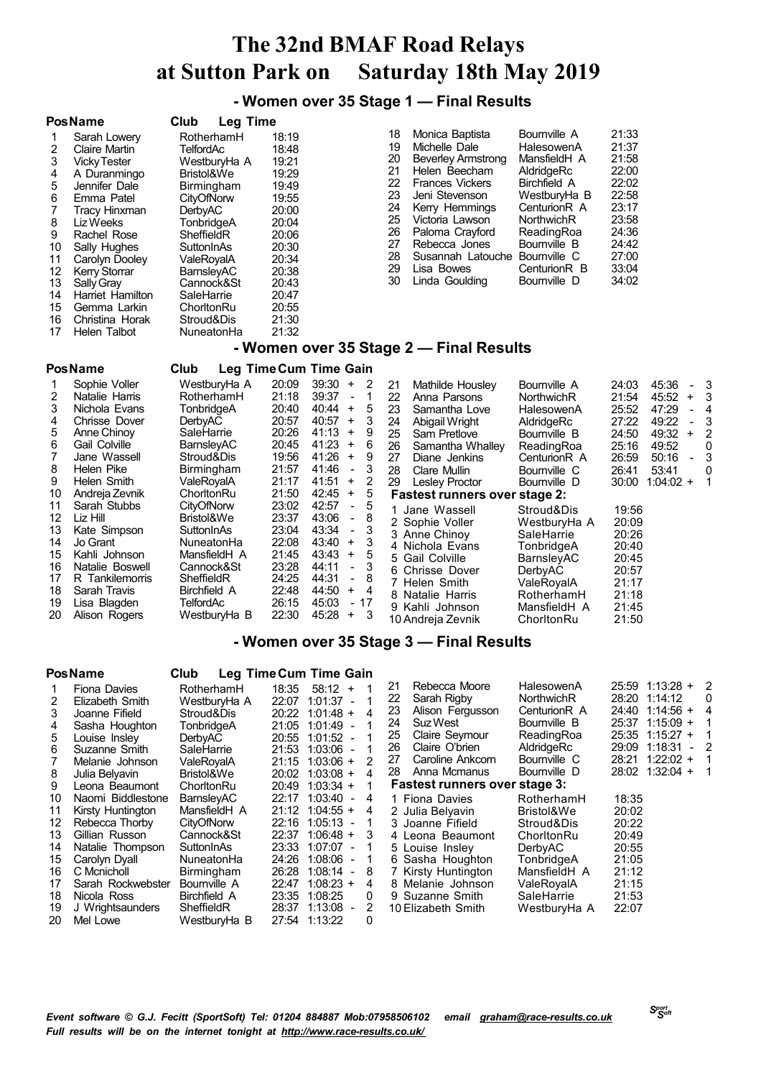**- Women over 35 Stage 1 — Final Results**

#### **PosName Club Leg Time** 18:19 Sarah Lowery<br>Claire Martin 19:48<br>TelfordAc 18:48 Claire Martin TelfordAc 18:48 VickyTester WestburyHa A 19:21 A Duranmingo 5 Jennifer Dale Birmingham 19:49<br>6 Emma Patel CityOfNorw 19:55 6 Emma Patel CityOfNo<br>7 Tracy Hinxman DerbyAC 7 Tracy Hinxman DerbyAC 20:00<br>8 Liz Weeks TonbridgeA 20:04 TonbridgeA<br>SheffieldR 9 Rachel Rose SheffieldR 20:06 10 Sally Hughes SuttonInAs 20:30<br>11 Carolyn Dooley ValeRoyalA 20:34 11 Carolyn Dooley Carolyn Dooley<br>11 Carolyn BarnsleyAC 20:38 KerryStorrar BarnsleyAC 20:38 SallyGray Cannock&St 20:43 Harriet Hamilton SaleHarrie<br>Gemma Larkin ChorltonRu Gemma Larkin ChorltonRu 20:55 16 Christina Horak Stroud&Dis<br>17 Helen Talbot NuneatonHa Helen Talbot NuneatonHa 21:32 Monica Baptista Bournville A 21:33 19 Michelle Dale HalesowenA 21:37<br>20 Beverley Armstrong MansfieldH A 21:58 Beverley Armstrong Helen Beecham AldridgeRc 22:00 Frances Vickers Birchfield A 22:02 23 Jeni Stevenson WestburyHa B 22:58<br>24 Kerry Hemmings CenturionR A 23:17 24 Kerry Hemmings CenturionR A 23:17<br>25 Victoria Lawson NorthwichR 23:58 25 Victoria Lawson<br>26 Paloma Crayford Paloma Crayford ReadingRoa 24:36 27 Rebecca Jones<br>28 Susannah Latou Susannah Latouche Bournville C 27:00 29 Lisa Bowes CenturionR B 33:04<br>30 Linda Goulding Bournville D 34:02 Linda Goulding

## **- Women over 35 Stage 2 — Final Results**

|                | <b>PosName</b>                                     | Club                                       |                         | Leg Time Cum Time Gain                                                             |                |                                                                        |                                                          |                                  |                                      |                        |
|----------------|----------------------------------------------------|--------------------------------------------|-------------------------|------------------------------------------------------------------------------------|----------------|------------------------------------------------------------------------|----------------------------------------------------------|----------------------------------|--------------------------------------|------------------------|
| 2<br>3         | Sophie Voller<br>Natalie Harris<br>Nichola Evans   | WestburyHa A<br>RotherhamH<br>TonbridgeA   | 20:09<br>21:18<br>20:40 | 39:30<br>-2<br>$+$<br>39:37<br>$\overline{\phantom{a}}$<br>40:44<br>5<br>$+$       | 21<br>22<br>23 | Mathilde Housley<br>Anna Parsons<br>Samantha Love                      | Bournville A<br>NorthwichR<br>HalesowenA                 | 24:03<br>21:54<br>25:52          | 45:36<br>45:52<br>$+$<br>47:29       | - 3<br>-3<br>- 4       |
| 4<br>5.<br>6   | Chrisse Dover<br>Anne Chinoy<br>Gail Colville      | <b>DerbyAC</b><br>SaleHarrie<br>BarnsleyAC | 20:57<br>20:26<br>20:45 | 40:57<br>3<br>$+$<br>41:13<br>9<br>$\ddot{}$<br>41:23<br>6<br>$+$                  | 24<br>25<br>26 | Abigail Wright<br>Sam Pretlove<br>Samantha Whalley                     | AldridgeRc<br>Bournville B<br>ReadingRoa                 | 27:22<br>24:50<br>25:16          | 49:22<br>49:32<br>$\ddot{}$<br>49:52 | 3<br>2<br>0            |
| 8<br>9         | Jane Wassell<br>Helen Pike<br>Helen Smith          | Stroud&Dis<br>Birmingham<br>ValeRovalA     | 19:56<br>21:57<br>21:17 | 41:26<br>9<br>$\ddot{}$<br>41:46<br>3<br>$\blacksquare$<br>41:51<br>2<br>$\ddot{}$ | 27<br>28<br>29 | Diane Jenkins<br>Clare Mullin<br><b>Lesley Proctor</b>                 | Centurion <sub>R</sub> A<br>Bournville C<br>Bournville D | 26:59<br>26:41<br>30:00          | 50:16<br>53:41<br>$1:04:02 +$        | 3<br>$\mathbf{0}$<br>1 |
| 10<br>11<br>12 | Andreja Zevnik<br>Sarah Stubbs<br>Liz Hill         | ChorltonRu<br>CityOfNorw<br>Bristol&We     | 21:50<br>23:02<br>23:37 | 42:45<br>5<br>$^{+}$<br>42:57<br>5<br>$\sim$<br>43:06<br>8<br>$\sim$               |                | <b>Fastest runners over stage 2:</b><br>1 Jane Wassell                 | Stroud&Dis                                               | 19:56                            |                                      |                        |
| 13<br>14<br>15 | Kate Simpson<br>Jo Grant<br>Kahli Johnson          | SuttonInAs<br>NuneatonHa<br>MansfieldH A   | 23:04<br>22:08<br>21:45 | 43:34<br>3<br>$\sim$<br>43:40<br>3<br>$^{+}$<br>43:43<br>5<br>$\ddot{}$            |                | 2 Sophie Voller<br>3 Anne Chinov<br>4 Nichola Evans<br>5 Gail Colville | WestburyHa A<br>SaleHarrie<br>TonbridgeA                 | 20:09<br>20:26<br>20:40<br>20:45 |                                      |                        |
| 16<br>17<br>18 | Natalie Boswell<br>R Tankilemorris<br>Sarah Travis | Cannock&St<br>SheffieldR<br>Birchfield A   | 23:28<br>24:25<br>22:48 | 44:11<br>-3<br>$\sim$<br>44:31<br>8<br>$\sim$<br>44:50<br>$+$<br>4                 |                | 6 Chrisse Dover<br>7 Helen Smith<br>Natalie Harris                     | BarnsleyAC<br>DerbyAC<br>ValeRovalA<br>RotherhamH        | 20:57<br>21:17<br>21:18          |                                      |                        |
| 19<br>20       | Lisa Blagden<br>Alison Rogers                      | TelfordAc<br>WestburyHa B                  | 26:15<br>22:30          | 45:03<br>- 17<br>45:28<br>3<br>$+$                                                 |                | 9 Kahli Johnson<br>10 Andreja Zevnik                                   | MansfieldH A<br>ChorltonRu                               | 21:45<br>21:50                   |                                      |                        |

## **- Women over 35 Stage 3 — Final Results**

#### **PosName Club Leg TimeCum Time Gain** Fiona Davies RotherhamH 18:35 58:12 + 1<br>
Elizabeth Smith WestburvHa A 22:07 1:01:37 - 1 Elizabeth Smith WestburyHa A 22:07 1:01:37 - 1 Joanne Fifield Stroud&Dis 20:22 1:01:48 + 4 Sasha Houghton TonbridgeA 21:05 1:01:49 - 1 Louise Insley DerbyAC 20:55 1:01:52 - 1 Suzanne Smith SaleHarrie 21:53 1:03:06 - 1 Melanie Johnson Julia Belyavin Bristol&We 20:02 1:03:08 + 4 Leona Beaumont ChorltonRu 20:49 1:03:34 + 1 Naomi Biddlestone Kirsty Huntington MansfieldH A 21:12 1:04:55 + 4 Rebecca Thorby CityOfNorw 22:16 1:05:13 - 1 Gillian Russon Cannock&St 22:37 1:06:48 + 3 Natalie Thompson SuttonInAs 23:33 1:07:07 - 1 15 Carolyn Dyall **15 NuneatonHa** 24:26 1:08:06 - 16 C Mcnicholl **15 B**irmingham 26:28 1:08:14 C Mcnicholl Birmingham 26:28 1:08:14 - 8 Sarah Rockwebster Bournville A 22:47 1:08:23 + 4 23:35 1:08:25 J Wrightsaunders SheffieldR 28:37 1:13:08 - 2 WestburyHa B Rebecca Moore HalesowenA 25:59 1:13:28 + 2 Sarah Rigby NorthwichR 28:20 1:14:12 0 Alison Fergusson CenturionR A 24:40 1:14:56 + 4 24 SuzWest Bournville B 25:37 1:15:09 + 125 Claire Seymour Reading Roa 25:35 1:15:27 + Claire Seymour ReadingRoa 25:35 1:15:27 + 1 Claire O'brien AldridgeRc 29:09 1:18:31 - 2 Caroline Ankcorn Bournville C Anna Mcmanus Bournville D 28:02 1:32:04 + 1  **Fastest runners over stage 3:** Fiona Davies RotherhamH 18:35 2 Julia Belyavin Bristol&We 20:02<br>3 Joanne Fifield Stroud&Dis 20:22 Joanne Fifield Stroud&Dis 20:22 4 Leona Beaumont ChorltonRu 20:49<br>5 Louise Insley DerbyAC 20:55 5 Louise Insley DerbyAC 20:55<br>6 Sasha Houghton TonbridgeA 21:05 6 Sasha Houghton Kirsty Huntington MansfieldH A 21:12 8 Melanie Johnson ValeRoyalA 21:15<br>9 Suzanne Smith SaleHarrie 21:53 9 Suzanne Smith SaleHarrie 21:53<br>10 Elizabeth Smith WestburyHa A 22:07 10 Elizabeth Smith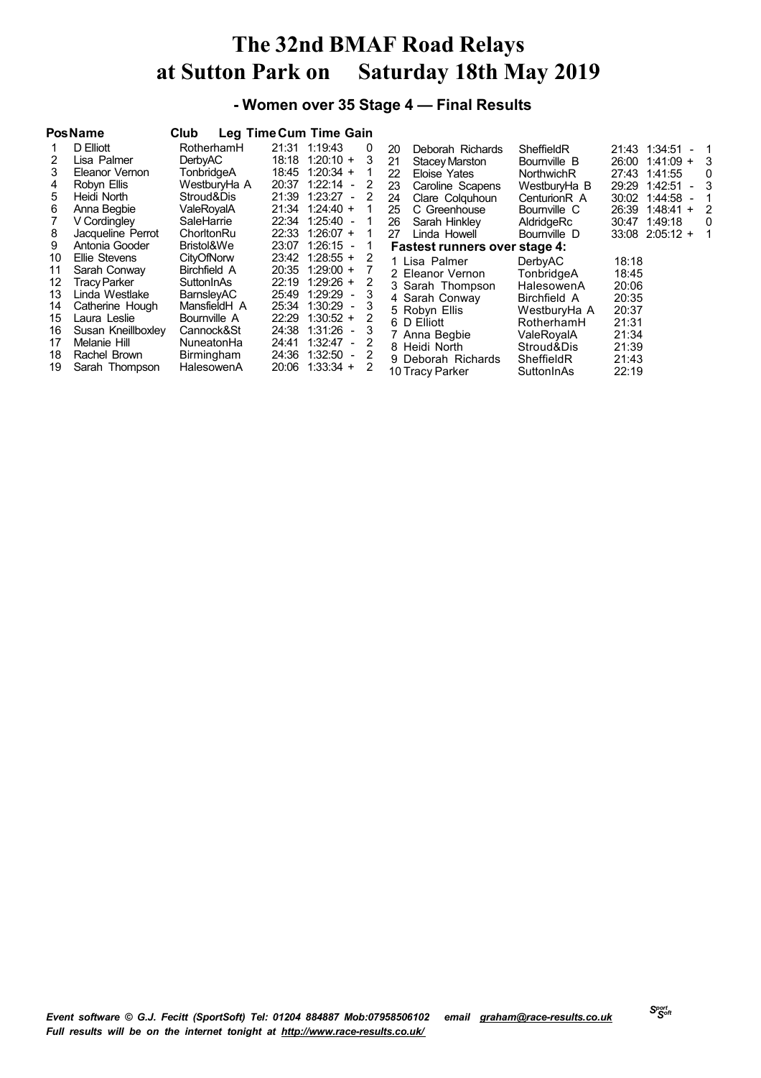## **- Women over 35 Stage 4 — Final Results**

|                      | <b>PosName</b>                                                         | Club                                                          | Leg Time Cum Time Gain                                                                                                                          |                    |                                                                                              |                                                                        |                                                                                                           |
|----------------------|------------------------------------------------------------------------|---------------------------------------------------------------|-------------------------------------------------------------------------------------------------------------------------------------------------|--------------------|----------------------------------------------------------------------------------------------|------------------------------------------------------------------------|-----------------------------------------------------------------------------------------------------------|
| 2                    | D Elliott<br>Lisa Palmer<br>Eleanor Vernon                             | RotherhamH<br><b>DerbyAC</b><br>TonbridgeA                    | 21:31 1:19:43<br>18:18 1:20:10 +<br>18:45 1:20:34 +                                                                                             | 0<br>3             | 20<br>Deborah Richards<br><b>Stacey Marston</b><br>21<br>22<br>Eloise Yates                  | SheffieldR<br>Bournville B<br>NorthwichR                               | 21:43 1:34:51<br>$-1$<br>26:00 1:41:09 +<br>3<br>27:43 1:41:55<br>0                                       |
| 4<br>5.<br>6         | Robyn Ellis<br>Heidi North<br>Anna Begbie<br>V Cordingley              | WestburyHa A<br>Stroud&Dis<br>ValeRovalA<br>SaleHarrie        | 1:22:14<br>20:37<br>$\overline{\phantom{a}}$<br>1:23:27<br>21:39<br>$\sim$<br>$1:24:40 +$<br>21:34<br>22:34 1:25:40<br>$\overline{\phantom{a}}$ | 2<br>2             | Caroline Scapens<br>23<br>Clare Colquhoun<br>24<br>C Greenhouse<br>25<br>Sarah Hinkley<br>26 | WestburyHa B<br>Centurion <sub>R</sub> A<br>Bournville C<br>AldridgeRc | 29:29<br>1:42:51<br>3<br>$\sim$<br>30:02<br>1:44:58<br>26:39<br>$1:48:41 +$<br>2<br>1:49:18<br>30:47<br>0 |
| 8<br>9               | Jacqueline Perrot<br>Antonia Gooder                                    | ChorltonRu<br>Bristol&We                                      | 22:33 1:26:07 +<br>1:26:15<br>23:07<br>$\overline{\phantom{a}}$                                                                                 | 1                  | Linda Howell<br>27<br>Fastest runners over stage 4:                                          | Bournville D                                                           | $33:08$ $2:05:12 +$<br>1                                                                                  |
| 10<br>11<br>12<br>13 | Ellie Stevens<br>Sarah Conway<br><b>Tracy Parker</b><br>Linda Westlake | CityOfNorw<br>Birchfield A<br>SuttonInAs<br><b>BarnslevAC</b> | 23:42 1:28:55 +<br>$20:35$ 1:29:00 +<br>$1:29:26 +$<br>22:19<br>1:29:29<br>25:49<br>$\sim$ $-$                                                  | 2<br>2<br>-3       | 1 Lisa Palmer<br>2 Eleanor Vernon<br>3 Sarah Thompson                                        | DerbyAC<br>TonbridgeA<br>HalesowenA                                    | 18:18<br>18:45<br>20:06                                                                                   |
| 14<br>15<br>16<br>17 | Catherine Hough<br>Laura Leslie<br>Susan Kneillboxley<br>Melanie Hill  | MansfieldH A<br>Bournville A<br>Cannock&St<br>NuneatonHa      | 1:30:29<br>25:34<br>$\sim$<br>$1:30:52 +$<br>22:29<br>1:31:26<br>24:38<br>$\sim$<br>1:32:47 -<br>24:41                                          | 3<br>2<br>-3<br>-2 | 4 Sarah Conway<br>5 Robyn Ellis<br>6 D Elliott<br>7 Anna Begbie<br>8 Heidi North             | Birchfield A<br>WestburyHa A<br>RotherhamH<br>ValeRovalA<br>Stroud&Dis | 20:35<br>20:37<br>21:31<br>21:34<br>21:39                                                                 |
| 18<br>19             | Rachel Brown<br>Sarah Thompson                                         | Birmingham<br>HalesowenA                                      | 24:36<br>1:32:50<br>$\overline{\phantom{a}}$<br>$1:33:34 +$<br>20:06                                                                            | -2<br>2            | 9 Deborah Richards<br>10 Tracy Parker                                                        | SheffieldR<br>SuttonInAs                                               | 21:43<br>22:19                                                                                            |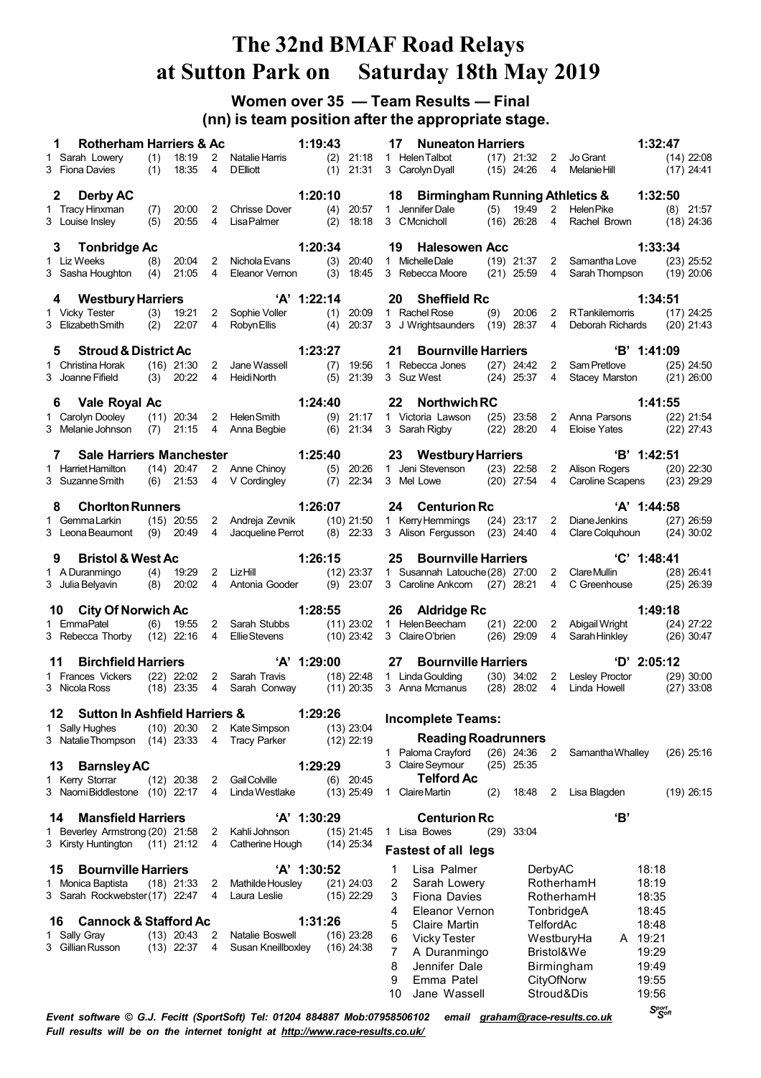## **Women over 35 — Team Results — Final (nn) is team position after the appropriate stage.**

| <b>Rotherham Harriers &amp; Ac</b>                                               |                                                                          | 1:19:43                      | <b>Nuneaton Harriers</b><br>17                                                                |                                           | 1:32:47                                                                 |  |
|----------------------------------------------------------------------------------|--------------------------------------------------------------------------|------------------------------|-----------------------------------------------------------------------------------------------|-------------------------------------------|-------------------------------------------------------------------------|--|
| (1)<br>18:19<br>1 Sarah Lowery<br>3 Fiona Davies<br>(1)<br>18:35                 | 2 Natalie Harris<br>$\overline{4}$<br><b>DElliott</b>                    | $(2)$ 21:18<br>$(1)$ 21:31   | 1 Helen Talbot<br>3 Carolyn Dyall                                                             | $(17)$ 21:32 2 Jo Grant<br>$(15)$ 24:26 4 | $(14)$ 22:08<br>$(17)$ 24:41<br>Melanie Hill                            |  |
| $\mathbf{2}$<br><b>Derby AC</b>                                                  |                                                                          | 1:20:10                      | 18 Birmingham Running Athletics & 1:32:50                                                     |                                           |                                                                         |  |
| (7)<br>20:00<br>1 Tracy Hinxman<br>3 Louise Inslev<br>(5)<br>20:55               | $2^{\circ}$<br>Chrisse Dover<br>$\overline{4}$<br><b>Lisa Palmer</b>     | $(2)$ 18:18                  | (4) 20:57 1 Jennifer Dale<br>3 CMcnicholl                                                     | $(16)$ 26:28                              | (5) 19:49 2 Helen Pike<br>$(8)$ 21:57<br>4 Rachel Brown<br>$(18)$ 24:36 |  |
|                                                                                  |                                                                          | 1:20:34                      | 19 Halesowen Acc                                                                              |                                           | 1:33:34                                                                 |  |
| 3 Tonbridge Ac<br>1 Liz Weeks<br>(8)<br>20:04                                    | 2 Nichola Evans                                                          | $(3)$ 20:40                  | 1 Michelle Dale                                                                               |                                           | $(19)$ 21:37 2 Samantha Love<br>$(23)$ 25:52                            |  |
| (4)<br>21:05<br>3 Sasha Houghton                                                 | 4<br>Eleanor Vernon                                                      | $(3)$ 18:45                  | 3 Rebecca Moore (21) 25:59 4                                                                  |                                           | Sarah Thompson (19) 20:06                                               |  |
| 4 Westbury Harriers                                                              |                                                                          | $'A'$ 1:22:14                | 20<br><b>Sheffield Rc</b>                                                                     |                                           | 1:34:51                                                                 |  |
| $(3)$ 19:21<br>1 Vicky Tester                                                    | 2 Sophie Voller                                                          | $(1)$ 20:09                  | 1 Rachel Rose                                                                                 |                                           | (9) 20:06 2 RTankilemorris<br>$(17)$ 24:25                              |  |
| 3 Elizabeth Smith<br>$(2)$ 22:07                                                 | Robyn Ellis<br>$\overline{4}$                                            | $(4)$ 20:37                  | 3 J Wrightsaunders (19) 28:37 4                                                               |                                           | Deborah Richards (20) 21:43                                             |  |
| <b>Stroud &amp; District Ac</b><br>5                                             |                                                                          | 1:23:27                      | $21 \,$<br><b>Bournville Harriers</b>                                                         |                                           | 'B' 1:41:09                                                             |  |
| 1 Christina Horak<br>3 Joanne Fifield                                            | (16) 21:30 2 Jane Wassell<br>(3) 20:22 4 HeidiNorth                      | $(7)$ 19:56<br>$(5)$ 21:39   | 1 Rebecca Jones (27) 24:42<br>3 Suz West                                                      | $(24)$ 25:37<br>$\overline{4}$            | 2 Sam Pretlove<br>$(25)$ 24:50<br>Stacey Marston<br>$(21)$ 26:00        |  |
|                                                                                  |                                                                          |                              |                                                                                               |                                           |                                                                         |  |
| Vale Royal Ac<br>6.                                                              |                                                                          | 1:24:40                      | 22 Northwich RC                                                                               |                                           | 1:41:55                                                                 |  |
| 1 Carolyn Dooley<br>3 Melanie Johnson                                            | (11) 20:34 2 Helen Smith<br>(7) 21:15 4 Anna Begbie                      | $(6)$ 21:34                  | (9) 21:17 1 Victoria Lawson (25) 23:58 2 Anna Parsons<br>3 Sarah Rigby                        | $(22)$ 28:20                              | $(22)$ 21:54<br>4 Eloise Yates<br>$(22)$ 27:43                          |  |
|                                                                                  |                                                                          |                              |                                                                                               |                                           |                                                                         |  |
| <b>Sale Harriers Manchester</b>                                                  |                                                                          | 1:25:40                      | 23 Westbury Harriers                                                                          |                                           | 'B' 1:42:51                                                             |  |
| 1 Harriet Hamilton<br>3 Suzanne Smith                                            | (14) 20:47 2 Anne Chinoy (5) 20:26<br>(6) 21:53 4 V Cordingley (7) 22:34 |                              | 1 Jeni Stevenson (23) 22:58 2 Alison Rogers<br>3 Mel Lowe (20) 27:54                          | 4                                         | $(20)$ 22:30<br><b>Caroline Scapens</b><br>$(23)$ 29:29                 |  |
|                                                                                  |                                                                          |                              |                                                                                               |                                           |                                                                         |  |
| <b>Chorlton Runners</b><br>8.                                                    |                                                                          | 1:26:07                      | 24 Centurion Rc                                                                               |                                           | 'A' 1:44:58                                                             |  |
| $(15)$ 20:55<br>1 Gemma Larkin<br>$(9)$ 20:49<br>3 Leona Beaumont                | 2 Andreja Zevnik<br>Jacqueline Perrot<br>$\overline{4}$                  | $(10)$ 21:50<br>$(8)$ 22:33  | 1 Kerry Hemmings<br>3 Alison Fergusson (23) 24:40 4 Clare Colquhoun                           | $(24)$ 23:17 2                            | Diane Jenkins<br>$(27)$ 26:59<br>$(24)$ 30:02                           |  |
|                                                                                  |                                                                          |                              |                                                                                               |                                           |                                                                         |  |
| <b>Bristol &amp; West Ac</b>                                                     |                                                                          | 1:26:15                      | 25<br><b>Bournville Harriers</b>                                                              |                                           | $°C'$ 1:48:41                                                           |  |
| (4)<br>19:29<br>1 A Duranmingo<br>3 Julia Belyavin<br>$(8)$ 20:02                | 2 LizHill<br>4 Antonia Gooder                                            | $(12)$ 23:37<br>$(9)$ 23:07  | 1 Susannah Latouche (28) 27:00 2 Clare Mullin<br>3 Caroline Ankcorn (27) 28:21 4 C Greenhouse |                                           | $(28)$ 26:41<br>$(25)$ 26:39                                            |  |
|                                                                                  |                                                                          |                              |                                                                                               |                                           |                                                                         |  |
| 10 City Of Norwich Ac                                                            |                                                                          |                              | 1:28:55 26 Aldridge Rc                                                                        |                                           | 1:49:18                                                                 |  |
| $(6)$ 19:55<br>1 EmmaPatel<br>3 Rebecca Thorby (12) 22:16 4 EllieStevens         | 2 Sarah Stubbs                                                           | $(10)$ 23:42                 | (11) 23:02 1 Helen Beecham (21) 22:00<br>3 Claire O'brien                                     | $(26)$ 29:09<br>$\overline{4}$            | 2 Abigail Wright<br>$(24)$ 27:22<br>Sarah Hinkley<br>$(26)$ 30:47       |  |
|                                                                                  |                                                                          |                              |                                                                                               |                                           |                                                                         |  |
| <b>Birchfield Harriers</b><br>11<br>$(22)$ 22:02                                 | 2 Sarah Travis                                                           | 'A' 1:29:00                  | 27 Bournville Harriers<br>(18) 22:48 1 Linda Goulding                                         |                                           | $D'$ 2:05:12<br>(30) 34:02 2 Lesley Proctor<br>$(29)$ 30:00             |  |
| 1 Frances Vickers<br>3 Nicola Ross<br>$(18)$ 23:35                               | 4 Sarah Conway                                                           | (11) 20:35                   | 3 Anna Mcmanus                                                                                | $(28)$ 28:02<br>$\overline{4}$            | Linda Howell<br>$(27)$ 33:08                                            |  |
|                                                                                  |                                                                          |                              |                                                                                               |                                           |                                                                         |  |
| <b>Sutton In Ashfield Harriers &amp;</b><br>12<br>1 Sally Hughes<br>$(10)$ 20:30 | $\mathbf{2}$<br>Kate Simpson                                             | 1:29:26<br>$(13)$ 23:04      | <b>Incomplete Teams:</b>                                                                      |                                           |                                                                         |  |
| 3 Natalie Thompson<br>$(14)$ 23:33                                               | <b>Tracy Parker</b><br>4                                                 | $(12)$ 22:19                 | <b>Reading Roadrunners</b>                                                                    |                                           |                                                                         |  |
|                                                                                  |                                                                          |                              | Paloma Crayford<br>1.                                                                         | $(26)$ 24:36<br>$\overline{2}$            | Samantha Whalley<br>$(26)$ 25:16                                        |  |
| <b>Barnsley AC</b><br>13<br>1 Kerry Storrar<br>$(12)$ 20:38                      | Gail Colville<br>2                                                       | 1:29:29<br>$(6)$ 20:45       | 3 Claire Seymour<br><b>Telford Ac</b>                                                         | $(25)$ 25:35                              |                                                                         |  |
| 3 NaomiBiddlestone<br>$(10)$ 22:17                                               | Linda Westlake<br>4                                                      | $(13)$ 25:49                 | 1 Claire Martin<br>(2)                                                                        | 18:48<br>2                                | Lisa Blagden<br>$(19)$ 26:15                                            |  |
|                                                                                  |                                                                          |                              |                                                                                               |                                           |                                                                         |  |
| <b>Mansfield Harriers</b><br>14<br>1 Beverley Armstrong (20) 21:58               | Kahli Johnson<br>2                                                       | 'A' 1:30:29<br>$(15)$ 21:45  | <b>Centurion Rc</b><br>1 Lisa Bowes                                                           | $(29)$ 33:04                              | 'В'                                                                     |  |
| 3 Kirsty Huntington<br>(11) 21:12                                                | Catherine Hough<br>4                                                     | $(14)$ 25:34                 |                                                                                               |                                           |                                                                         |  |
|                                                                                  |                                                                          |                              | <b>Fastest of all legs</b>                                                                    |                                           |                                                                         |  |
| <b>Bournville Harriers</b><br>15                                                 |                                                                          | 'A' 1:30:52                  | Lisa Palmer<br>1                                                                              | DerbyAC                                   | 18:18                                                                   |  |
| $(18)$ 21:33<br>1 Monica Baptista<br>3 Sarah Rockwebster (17) 22:47              | 2<br>Mathilde Housley<br>Laura Leslie<br>4                               | $(21)$ 24:03<br>$(15)$ 22:29 | 2<br>Sarah Lowery<br>3<br><b>Fiona Davies</b>                                                 | RotherhamH<br>RotherhamH                  | 18:19<br>18:35                                                          |  |
|                                                                                  |                                                                          |                              | Eleanor Vernon<br>4                                                                           | TonbridgeA                                | 18:45                                                                   |  |
| <b>Cannock &amp; Stafford Ac</b><br>16                                           |                                                                          | 1:31:26                      | 5<br>Claire Martin                                                                            | TelfordAc                                 | 18:48                                                                   |  |
| 1 Sally Gray<br>$(13)$ 20:43<br>3 Gillian Russon<br>$(13)$ 22:37                 | 2<br>Natalie Boswell<br>Susan Kneillboxley<br>4                          | $(16)$ 23:28<br>$(16)$ 24:38 | 6<br><b>Vicky Tester</b>                                                                      | WestburyHa                                | A 19:21                                                                 |  |
|                                                                                  |                                                                          |                              | 7<br>A Duranmingo                                                                             | Bristol&We                                | 19:29                                                                   |  |
|                                                                                  |                                                                          |                              | 8<br>Jennifer Dale<br>9<br>Emma Patel                                                         | Birmingham<br>CityOfNorw                  | 19:49<br>19:55                                                          |  |
|                                                                                  |                                                                          |                              | Jane Wassell<br>10                                                                            | Stroud&Dis                                | 19:56                                                                   |  |
|                                                                                  |                                                                          |                              |                                                                                               |                                           |                                                                         |  |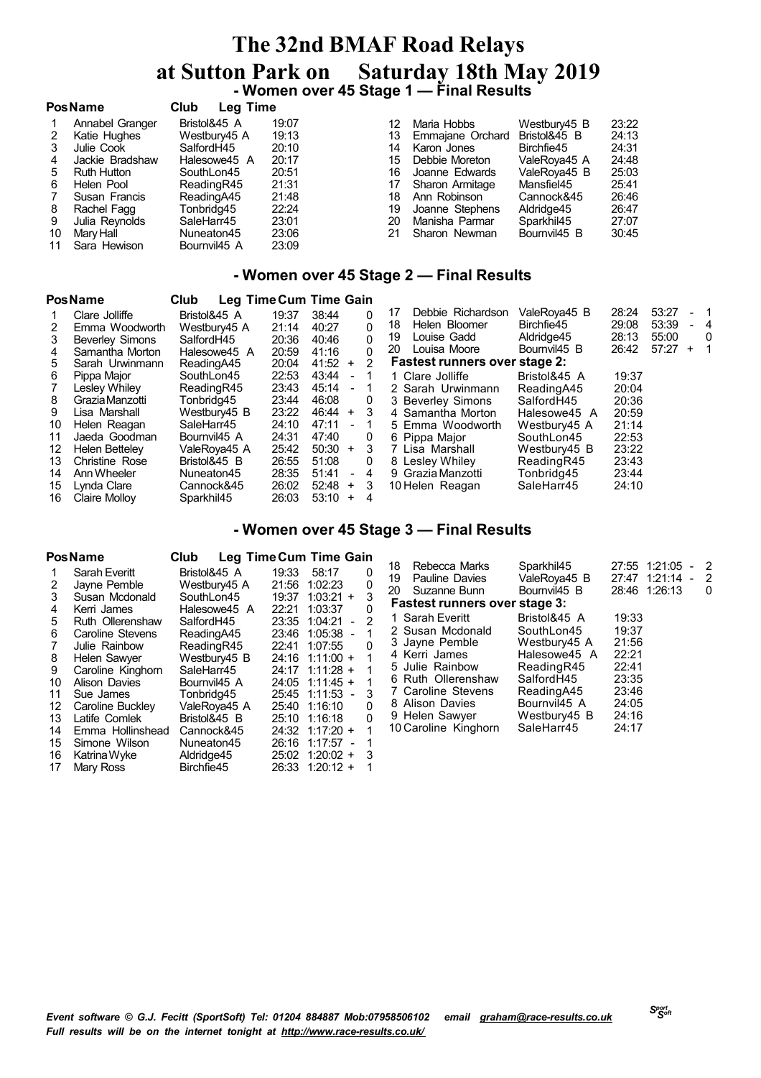# **The 32nd BMAF Road Relays at Sutton Park on Saturday 18th May <sup>2019</sup> - Women over <sup>45</sup> Stage <sup>1</sup> — Final Results**

|    | <b>PosName</b>     | <b>Club</b><br>Leg Time |       |    |                  |              |       |
|----|--------------------|-------------------------|-------|----|------------------|--------------|-------|
|    | Annabel Granger    | Bristol&45 A            | 19:07 | 12 | Maria Hobbs      | Westbury45 B | 23:22 |
|    | Katie Hughes       | Westbury45 A            | 19:13 | 13 | Emmajane Orchard | Bristol&45 B | 24:13 |
| 3  | Julie Cook         | SalfordH45              | 20:10 | 14 | Karon Jones      | Birchfie45   | 24:31 |
|    | Jackie Bradshaw    | Halesowe45 A            | 20:17 | 15 | Debbie Moreton   | ValeRova45 A | 24:48 |
| 5  | <b>Ruth Hutton</b> | SouthLon45              | 20:51 | 16 | Joanne Edwards   | ValeRoya45 B | 25:03 |
| 6  | Helen Pool         | ReadingR45              | 21:31 | 17 | Sharon Armitage  | Mansfiel45   | 25:41 |
|    | Susan Francis      | ReadingA45              | 21:48 | 18 | Ann Robinson     | Cannock&45   | 26:46 |
| 8  | Rachel Fagg        | Tonbridg45              | 22:24 | 19 | Joanne Stephens  | Aldridge45   | 26:47 |
| 9  | Julia Reynolds     | SaleHarr45              | 23:01 | 20 | Manisha Parmar   | Sparkhil45   | 27:07 |
| 10 | Mary Hall          | Nuneaton45              | 23:06 | 21 | Sharon Newman    | Bournvil45 B | 30:45 |
| 11 | Sara Hewison       | Bournvil45 A            | 23:09 |    |                  |              |       |

## **- Women over 45 Stage 2 — Final Results**

|    | <b>PosName</b>         | <b>Club</b><br>Leg Time Cum Time Gain |       |                         |              |                                      |              |       |       |           |                |
|----|------------------------|---------------------------------------|-------|-------------------------|--------------|--------------------------------------|--------------|-------|-------|-----------|----------------|
|    | Clare Jolliffe         | Bristol&45 A                          | 19:37 | 38:44                   | 0            | Debbie Richardson<br>17              | ValeRoya45 B | 28:24 | 53:27 |           | - 1            |
|    | Emma Woodworth         | Westbury45 A                          | 21:14 | 40:27                   | 0            | Helen Bloomer<br>18                  | Birchfie45   | 29:08 | 53:39 |           | - 4            |
| 3  | <b>Beverley Simons</b> | SalfordH45                            | 20:36 | 40:46                   | 0            | Louise Gadd<br>19                    | Aldridge45   | 28:13 | 55:00 |           | $\Omega$       |
|    | Samantha Morton        | Halesowe45 A                          | 20:59 | 41:16                   | 0            | Louisa Moore<br>20                   | Bournvil45 B | 26:42 | 57:27 | $\ddot{}$ | $\overline{1}$ |
| 5. | Sarah Urwinmann        | ReadingA45                            | 20:04 | 41:52<br>$\ddot{}$      | 2            | <b>Fastest runners over stage 2:</b> |              |       |       |           |                |
| 6  | Pippa Maior            | SouthLon45                            | 22:53 | 43:44                   |              | 1 Clare Jolliffe                     | Bristol&45 A | 19:37 |       |           |                |
|    | Lesley Whiley          | ReadingR45                            | 23:43 | 45:14<br>$\blacksquare$ |              | 2 Sarah Urwinmann                    | ReadingA45   | 20:04 |       |           |                |
| 8  | Grazia Manzotti        | Tonbridg45                            | 23:44 | 46:08                   | 0            | 3 Beverley Simons                    | SalfordH45   | 20:36 |       |           |                |
| 9  | Lisa Marshall          | Westbury45 B                          | 23:22 | 46:44<br>$+$            | -3           | 4 Samantha Morton                    | Halesowe45 A | 20:59 |       |           |                |
| 10 | Helen Reagan           | SaleHarr45                            | 24:10 | 47:11<br>$\blacksquare$ |              | 5 Emma Woodworth                     | Westbury45 A | 21:14 |       |           |                |
| 11 | Jaeda Goodman          | Bournvil45 A                          | 24:31 | 47:40                   | 0            | 6 Pippa Major                        | SouthLon45   | 22:53 |       |           |                |
| 12 | <b>Helen Betteley</b>  | ValeRoya45 A                          | 25:42 | 50:30<br>$^{+}$         | 3            | 7 Lisa Marshall                      | Westbury45 B | 23:22 |       |           |                |
| 13 | <b>Christine Rose</b>  | Bristol&45 B                          | 26:55 | 51:08                   | 0            | 8 Lesley Whiley                      | ReadingR45   | 23:43 |       |           |                |
| 14 | Ann Wheeler            | Nuneaton45                            | 28:35 | 51:41                   | -4<br>$\sim$ | 9 Grazia Manzotti                    | Tonbridg45   | 23:44 |       |           |                |
| 15 | Lynda Clare            | Cannock&45                            | 26:02 | 52:48<br>$\ddot{}$      | 3            | 10 Helen Reagan                      | SaleHarr45   | 24:10 |       |           |                |
| 16 | Claire Mollov          | Sparkhil45                            | 26:03 | 53:10<br>$\ddot{}$      | 4            |                                      |              |       |       |           |                |

### **- Women over 45 Stage 3 — Final Results**

## **PosName Club Leg TimeCum Time Gain**

| 1  | Sarah Everitt     | Bristol&45 A | 19:33 | 58:17       | 0 |
|----|-------------------|--------------|-------|-------------|---|
| 2  | Jayne Pemble      | Westbury45 A | 21:56 | 1:02:23     | 0 |
| 3  | Susan Mcdonald    | SouthLon45   | 19:37 | $1:03:21 +$ | 3 |
| 4  | Kerri James       | Halesowe45 A | 22:21 | 1:03:37     | 0 |
| 5  | Ruth Ollerenshaw  | SalfordH45   | 23:35 | $1:04:21 -$ | 2 |
| 6  | Caroline Stevens  | ReadingA45   | 23:46 | $1:05:38 -$ | 1 |
| 7  | Julie Rainbow     | ReadingR45   | 22.41 | 1:07:55     | 0 |
| 8  | Helen Sawyer      | Westbury45 B | 24:16 | $1:11:00 +$ |   |
| 9  | Caroline Kinghorn | SaleHarr45   | 24:17 | $1:11:28 +$ | 1 |
| 10 | Alison Davies     | Bournvil45 A | 24:05 | $1:11:45 +$ | 1 |
| 11 | Sue James         | Tonbridg45   | 25:45 | $1:11:53 -$ | 3 |
| 12 | Caroline Buckley  | ValeRoya45 A | 25:40 | 1:16:10     | U |
| 13 | Latife Comlek     | Bristol&45 B | 25:10 | 1:16:18     | ŋ |
| 14 | Emma Hollinshead  | Cannock&45   | 24:32 | $1:17:20 +$ | 1 |
| 15 | Simone Wilson     | Nuneaton45   | 26:16 | $1:17:57 -$ | 1 |
| 16 | Katrina Wyke      | Aldridge45   | 25:02 | $1:20:02 +$ | 3 |
| 17 | Mary Ross         | Birchfie45   | 26:33 | $1:20:12 +$ |   |

| 20 | 18 Rebecca Marks<br>19 Pauline Davies<br>Suzanne Bunn<br><b>Fastest runners over stage 3:</b>                                                                                                      | Sparkhil45<br>ValeRoya45 B<br>Bournvil45 B                                                                                                         | 27:47                                                                                  | 27:55 1:21:05<br>1:21:14<br>28:46 1:26:13 | 2<br>2<br>O |
|----|----------------------------------------------------------------------------------------------------------------------------------------------------------------------------------------------------|----------------------------------------------------------------------------------------------------------------------------------------------------|----------------------------------------------------------------------------------------|-------------------------------------------|-------------|
|    | 1 Sarah Everitt<br>2 Susan Mcdonald<br>3 Jayne Pemble<br>4 Kerri James<br>5 Julie Rainbow<br>6 Ruth Ollerenshaw<br>7 Caroline Stevens<br>8 Alison Davies<br>9 Helen Sawyer<br>10 Caroline Kinghorn | Bristol&45 A<br>SouthLon45<br>Westbury45 A<br>Halesowe45 A<br>ReadingR45<br>SalfordH45<br>ReadingA45<br>Bournvil45 A<br>Westbury45 B<br>SaleHarr45 | 19:33<br>19:37<br>21:56<br>22.21<br>22:41<br>23:35<br>23:46<br>24:05<br>24:16<br>24:17 |                                           |             |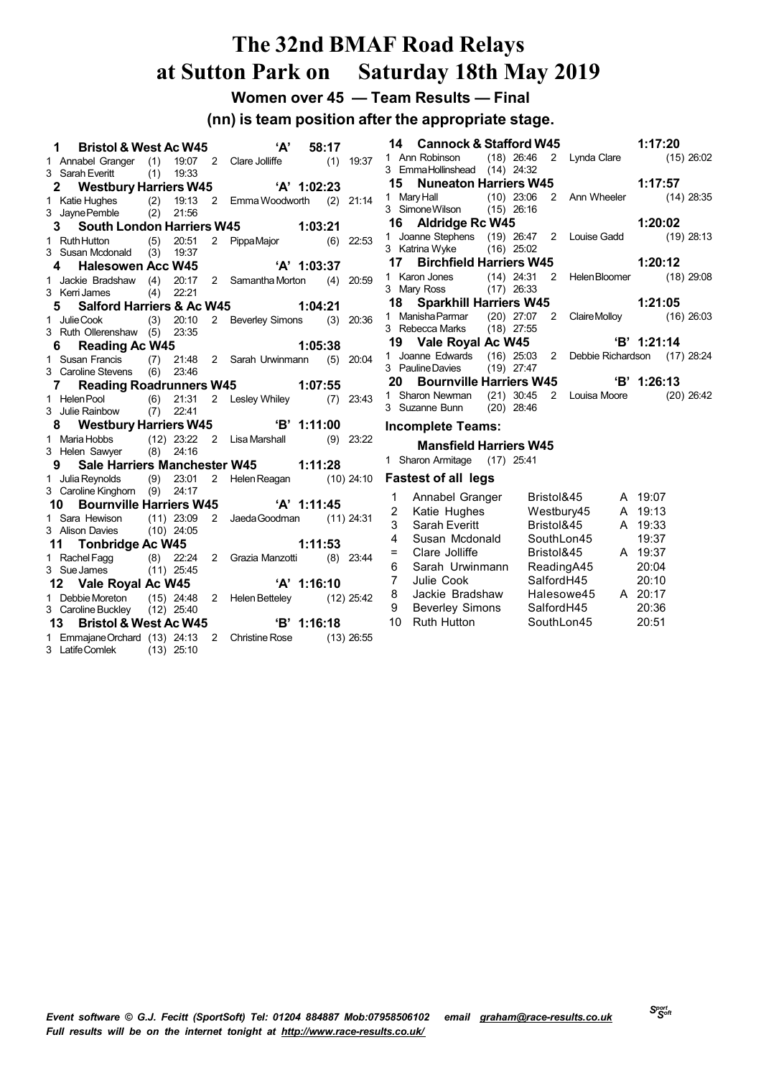**Women over 45 — Team Results — Final**

### **(nn) is team position after the appropriate stage.**

|    | 1<br><b>Bristol &amp; West Ac W45</b>                                          |     |             |              | <b>'A'</b>                                                                           |               | 58:17 |             |
|----|--------------------------------------------------------------------------------|-----|-------------|--------------|--------------------------------------------------------------------------------------|---------------|-------|-------------|
|    | 1 Annabel Granger (1)                                                          |     | 19:07       |              | 2 Clare Jolliffe                                                                     |               |       | $(1)$ 19:37 |
|    | 3 Sarah Everitt                                                                |     | $(1)$ 19:33 |              |                                                                                      |               |       |             |
|    | 2 Westbury Harriers W45                                                        |     |             |              | $'A'$ 1:02:23                                                                        |               |       |             |
|    | 1 Katie Hughes (2) 19:13<br>3 Jayne Pemble (2) 21:56                           |     |             |              | 2 Emma Woodworth (2) 21:14                                                           |               |       |             |
|    |                                                                                | (2) |             |              |                                                                                      |               |       |             |
|    | 3 South London Harriers W45 1:03:21<br>Ruth Hutton (5) 20:51 2 Pippa Major (6) |     |             |              |                                                                                      |               |       |             |
|    | 1 Ruth Hutton (5) 20:51                                                        |     |             |              |                                                                                      |               |       | $(6)$ 22:53 |
|    | 3 Susan Mcdonald (3) 19:37                                                     |     |             |              |                                                                                      |               |       |             |
|    | <b>Halesowen Acc W45</b><br>4                                                  |     |             |              |                                                                                      | $'A'$ 1:03:37 |       |             |
|    | 1 Jackie Bradshaw (4) 20:17 2 Samantha Morton (4)                              |     |             |              |                                                                                      |               |       | 20:59       |
|    | 3 Kerri James (4) 22:21                                                        |     |             |              |                                                                                      |               |       |             |
|    | 5 Salford Harriers & Ac W45 1:04:21                                            |     |             |              |                                                                                      |               |       |             |
| 1. | Julie Cook                                                                     |     |             |              | (3) 20:10 2 Beverley Simons (3)                                                      |               |       | 20:36       |
|    | 3 Ruth Ollerenshaw (5) 23:35                                                   |     |             |              |                                                                                      |               |       |             |
|    | 6 Reading Ac W45                                                               |     |             |              |                                                                                      | 1:05:38       |       |             |
|    | 1 Susan Francis (7) 21:48 2 Sarah Urwinmann (5)                                |     |             |              |                                                                                      |               |       | 20:04       |
|    | 3 Caroline Stevens (6) 23:46                                                   |     |             |              |                                                                                      |               |       |             |
|    | 7 Reading Roadrunners W45 1:07:55                                              |     |             |              |                                                                                      |               |       |             |
|    | 1 Helen Pool (6) 21:31                                                         |     |             |              | 2 Lesley Whiley (7)                                                                  |               |       | 23:43       |
|    | 3 Julie Rainbow (7) 22:41                                                      |     |             |              |                                                                                      |               |       |             |
|    | $8$ Westbury Harriers W45 (111:00                                              |     |             |              |                                                                                      |               |       |             |
| 1. | Maria Hobbs (12) 23:22                                                         |     |             |              | 2 Lisa Marshall (9) 23:22                                                            |               |       |             |
|    | 3 Helen Sawyer (8) 24:16                                                       |     |             |              |                                                                                      |               |       |             |
|    | 9                                                                              |     |             |              | Sale Harriers Manchester W45 1:11:28<br>Reynolds (9) 23:01 2 Helen Reagan (10) 24:10 |               |       |             |
|    | 1 Julia Reynolds (9) 23:01<br>3 Caroline Kinghorn (9) 24:17                    |     |             |              |                                                                                      |               |       |             |
|    | $\frac{1}{2}$ Bournville Harriers W45 $\frac{1}{2}$ 'A' 1:11:45                |     |             |              |                                                                                      |               |       |             |
|    |                                                                                |     |             |              |                                                                                      |               |       |             |
|    | 1 Sara Hewison (11) 23:09 2 Jaeda Goodman (11) 24:31                           |     |             |              |                                                                                      |               |       |             |
|    | 3 Alison Davies $(10)$ 24:05                                                   |     |             |              |                                                                                      |               |       |             |
|    | 11 Tonbridge Ac W45                                                            |     |             |              |                                                                                      | 1:11:53       |       |             |
|    | 1 Rachel Fagg (8) 22:24<br>3 Sue James (11) 25:45                              |     |             |              | 2 Grazia Manzotti (8) 23:44                                                          |               |       |             |
|    |                                                                                |     |             |              |                                                                                      |               |       |             |
|    |                                                                                |     |             |              |                                                                                      |               |       |             |
|    | 12 Vale Royal Ac W45                                                           |     |             |              |                                                                                      | 'A' 1:16:10   |       |             |
|    | 1 Debbie Moreton (15) 24:48                                                    |     |             | $\mathbf{2}$ | Helen Betteley (12) 25:42                                                            |               |       |             |
|    | 3 Caroline Buckley (12) 25:40                                                  |     |             |              |                                                                                      |               |       |             |
|    | 13 Bristol & West Ac W45                                                       |     |             |              |                                                                                      | $B'$ 1:16:18  |       |             |
|    | 1 Emmajane Orchard (13) 24:13<br>3 Latife Comlek (13) 25:10                    |     |             |              | 2 Christine Rose (13) 26:55                                                          |               |       |             |

|  | 3 EmmaHollinshead (14) 24:32<br>3 Simone Wilson (15) 26:16<br>16 Aldridge Rc W45<br>3 Katrina Wyke (16) 25:02<br>3 Mary Ross (17) 26:33<br>3 Rebecca Marks (18) 27:55<br>19 Vale Royal Ac W45<br>3 Pauline Davies (19) 27:47<br>3 Suzanne Bunn (20) 28:46 | 14 Cannock & Stafford W45<br>15 Nuneaton Harriers W45<br>18 Sparkhill Harriers W45 |  | 1:17:20<br>1 Ann Robinson (18) 26:46 2 Lynda Clare (15) 26:02<br>1:17:57<br>1 Mary Hall (10) 23:06 2 Ann Wheeler (14) 28:35<br>1:20:02<br>1 Joanne Stephens (19) 26:47 2 Louise Gadd (19) 28:13<br>17 Birchfield Harriers W45 1:20:12<br>1 Karon Jones (14) 24:31 2 Helen Bloomer (18) 29:08<br>1:21:05<br>1 Manisha Parmar (20) 27:07 2 Claire Molloy (16) 26:03<br>$\bullet$ 'B' 1:21:14<br>1 Joanne Edwards (16) 25:03 2 Debbie Richardson (17) 28:24<br>20 Bournville Harriers W45 'B' 1:26:13<br>1 Sharon Newman (21) 30:45 2 Louisa Moore (20) 26:42 |
|--|-----------------------------------------------------------------------------------------------------------------------------------------------------------------------------------------------------------------------------------------------------------|------------------------------------------------------------------------------------|--|------------------------------------------------------------------------------------------------------------------------------------------------------------------------------------------------------------------------------------------------------------------------------------------------------------------------------------------------------------------------------------------------------------------------------------------------------------------------------------------------------------------------------------------------------------|

### **Incomplete Teams:**

**Mansfield Harriers W45**

Sharon Armitage (17) 25:41

### **Fastest of all legs**

| 1              | Annabel Granger        | Bristol&45 |   | 19:07 |
|----------------|------------------------|------------|---|-------|
| $\overline{2}$ | Katie Hughes           | Westbury45 | A | 19:13 |
| 3              | <b>Sarah Everitt</b>   | Bristol&45 | A | 19:33 |
| 4              | Susan Mcdonald         | SouthLon45 |   | 19:37 |
| $=$            | Clare Jolliffe         | Bristol&45 | А | 19:37 |
| 6              | Sarah Urwinmann        | ReadingA45 |   | 20:04 |
| 7              | Julie Cook             | SalfordH45 |   | 20:10 |
| 8              | Jackie Bradshaw        | Halesowe45 | A | 20:17 |
| 9              | <b>Beverley Simons</b> | SalfordH45 |   | 20:36 |
| 10             | <b>Ruth Hutton</b>     | SouthLon45 |   | 20:51 |
|                |                        |            |   |       |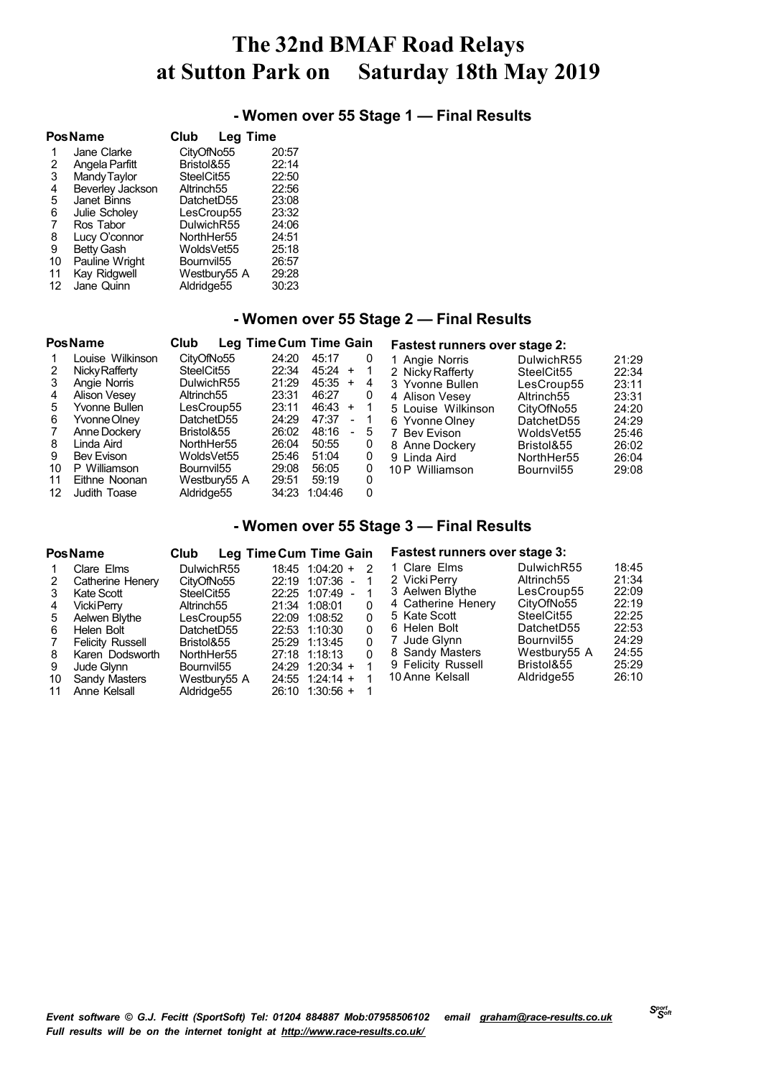## **- Women over 55 Stage 1 — Final Results**

|    | Pos Name          | Club<br><b>Leg Time</b> |       |
|----|-------------------|-------------------------|-------|
| 1  | Jane Clarke       | CityOfNo55              | 20:57 |
| 2  | Angela Parfitt    | Bristol&55              | 22:14 |
| 3  | Mandy Taylor      | SteelCit55              | 22:50 |
| 4  | Beverley Jackson  | Altrinch <sub>55</sub>  | 22:56 |
| 5  | Janet Binns       | DatchetD55              | 23:08 |
| 6  | Julie Scholev     | LesCroup55              | 23:32 |
| 7  | Ros Tabor         | DulwichR55              | 24:06 |
| 8  | Lucy O'connor     | NorthHer55              | 24:51 |
| 9  | <b>Betty Gash</b> | WoldsVet55              | 25:18 |
| 10 | Pauline Wright    | Bournvil <sub>55</sub>  | 26:57 |
| 11 | Kay Ridgwell      | Westbury55 A            | 29:28 |
| 12 | Jane Quinn        | Aldridge55              | 30:23 |

## **- Women over 55 Stage 2 — Final Results**

|                                             | <b>PosName</b>                                                                                                                                                         | Club                                                                                                                                                                         | Leg Time Cum Time Gain                                                                 |                                                                                                    |                          |                                      | <b>Fastest runners over stage 2:</b>                                                                                                                                                      |                                                                                                                                                                  |                                                                                        |
|---------------------------------------------|------------------------------------------------------------------------------------------------------------------------------------------------------------------------|------------------------------------------------------------------------------------------------------------------------------------------------------------------------------|----------------------------------------------------------------------------------------|----------------------------------------------------------------------------------------------------|--------------------------|--------------------------------------|-------------------------------------------------------------------------------------------------------------------------------------------------------------------------------------------|------------------------------------------------------------------------------------------------------------------------------------------------------------------|----------------------------------------------------------------------------------------|
| 2<br>3<br>4<br>5.<br>6<br>7<br>8<br>9<br>10 | Louise Wilkinson<br>Nicky Rafferty<br>Angie Norris<br><b>Alison Vesey</b><br>Yvonne Bullen<br>Yvonne Olney<br>Anne Dockery<br>Linda Aird<br>Bev Evison<br>P Williamson | CityOfNo55<br>SteelCit <sub>55</sub><br>DulwichR55<br>Altrinch <sub>55</sub><br>LesCroup55<br>DatchetD55<br>Bristol&55<br>NorthHer55<br>WoldsVet55<br>Bournvil <sub>55</sub> | 24:20<br>22:34<br>21:29<br>23:31<br>23:11<br>24:29<br>26:02<br>26:04<br>25:46<br>29:08 | 45:17<br>$45:24 +$<br>$45:35 +$<br>46:27<br>$46:43 +$<br>47:37<br>48:16<br>50:55<br>51:04<br>56:05 | $\overline{a}$<br>$\sim$ | 0<br>4<br>0<br>1<br>5<br>0<br>0<br>0 | 1 Angie Norris<br>2 Nicky Rafferty<br>3 Yvonne Bullen<br>4 Alison Vesey<br>5 Louise Wilkinson<br>6 Yvonne Olney<br><b>Bev Evison</b><br>8 Anne Dockery<br>9 Linda Aird<br>10 P Williamson | DulwichR55<br>SteelCit55<br>LesCroup55<br>Altrinch <sub>55</sub><br>CityOfNo55<br>DatchetD55<br>WoldsVet55<br>Bristol&55<br>NorthHer55<br>Bournvil <sub>55</sub> | 21:29<br>22:34<br>23:11<br>23:31<br>24:20<br>24:29<br>25:46<br>26:02<br>26:04<br>29:08 |
| 11<br>12                                    | Eithne Noonan<br>Judith Toase                                                                                                                                          | Westbury55 A<br>Aldridge55                                                                                                                                                   | 29:51<br>34:23                                                                         | 59:19<br>1:04:46                                                                                   |                          | 0<br>0                               |                                                                                                                                                                                           |                                                                                                                                                                  |                                                                                        |

### **- Women over 55 Stage 3 — Final Results**

| <b>PosName</b>                                                                                                                                                                                                                             | <b>Club</b>                                                                                                                                                                                  | Leg Time Cum Time Gain                                                                                                                                                                                           |                            | <b>Fastest runners over stage 3:</b>                                                                                                                                               |                                                                                                                                                                    |                                                                                        |
|--------------------------------------------------------------------------------------------------------------------------------------------------------------------------------------------------------------------------------------------|----------------------------------------------------------------------------------------------------------------------------------------------------------------------------------------------|------------------------------------------------------------------------------------------------------------------------------------------------------------------------------------------------------------------|----------------------------|------------------------------------------------------------------------------------------------------------------------------------------------------------------------------------|--------------------------------------------------------------------------------------------------------------------------------------------------------------------|----------------------------------------------------------------------------------------|
| Clare Elms<br>Catherine Henery<br>2<br>Kate Scott<br>3<br><b>VickiPerrv</b><br>4<br>Aelwen Blythe<br>5<br>Helen Bolt<br>6<br>Felicity Russell<br>7<br>Karen Dodsworth<br>8<br>9<br>Jude Glynn<br>Sandy Masters<br>10<br>Anne Kelsall<br>11 | DulwichR55<br>CityOfNo55<br>SteelCit <sub>55</sub><br>Altrinch <sub>55</sub><br>LesCroup55<br>DatchetD55<br>Bristol&55<br>NorthHer55<br>Bournvil <sub>55</sub><br>Westbury55 A<br>Aldridge55 | 18:45 1:04:20 +<br>22:19 1:07:36 -<br>22:25 1:07:49<br>$\sim$<br>21:34 1:08:01<br>22:09<br>1:08:52<br>22:53 1:10:30<br>25:29 1:13:45<br>27:18 1:18:13<br>24:29 1:20:34 +<br>$24:55$ 1:24:14 +<br>26:10 1:30:56 + | 2<br>0<br>0<br>0<br>0<br>0 | 1 Clare Elms<br>2 Vicki Perry<br>3 Aelwen Blythe<br>4 Catherine Henery<br>5 Kate Scott<br>6 Helen Bolt<br>7 Jude Glynn<br>8 Sandy Masters<br>9 Felicity Russell<br>10 Anne Kelsall | DulwichR55<br>Altrinch <sub>55</sub><br>LesCroup55<br>CityOfNo55<br>SteelCit55<br>DatchetD55<br>Bournvil <sub>55</sub><br>Westbury55 A<br>Bristol&55<br>Aldridge55 | 18:45<br>21:34<br>22:09<br>22:19<br>22:25<br>22:53<br>24:29<br>24:55<br>25:29<br>26:10 |
|                                                                                                                                                                                                                                            |                                                                                                                                                                                              |                                                                                                                                                                                                                  |                            |                                                                                                                                                                                    |                                                                                                                                                                    |                                                                                        |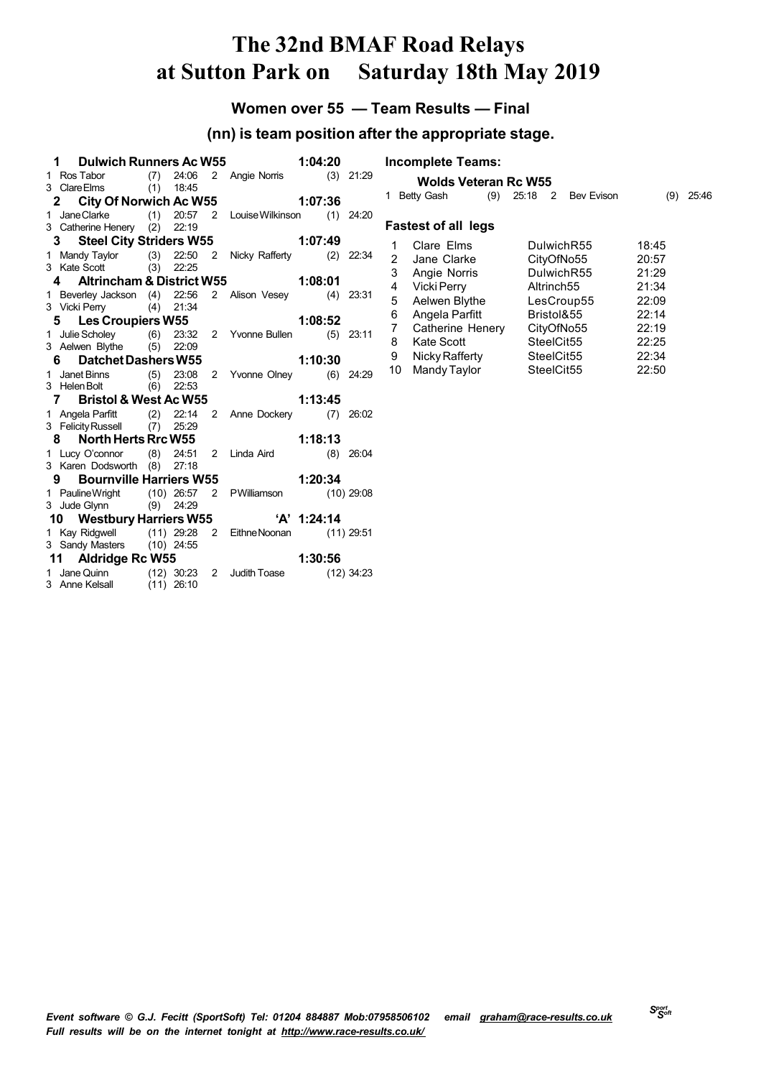## **Women over 55 — Team Results — Final**

## **(nn) is team position after the appropriate stage.**

| 1 Dulwich Runners Ac W55                                                            |  | 1:04:20                   |  |       |
|-------------------------------------------------------------------------------------|--|---------------------------|--|-------|
| 1 Ros Tabor (7) 24:06 2 Angie Norris (3)<br>3 Clare Elms (1) 18:45                  |  |                           |  | 21:29 |
|                                                                                     |  |                           |  |       |
| 2 City Of Norwich Ac W55 1:07:36                                                    |  |                           |  |       |
| 1 JaneClarke (1) 20:57 2 Louise Wilkinson (1) 24:20                                 |  |                           |  |       |
| 3 Catherine Henery (2) 22:19                                                        |  |                           |  |       |
| 3 Steel City Striders W55 1:07:49                                                   |  |                           |  |       |
|                                                                                     |  |                           |  |       |
| 1 Mandy Taylor (3) 22:50 2 Nicky Rafferty (2) 22:34<br>3 Kate Scott (3) 22:25       |  |                           |  |       |
| 4 Altrincham & District W55 1:08:01                                                 |  |                           |  |       |
| 1 Beverley Jackson (4) 22:56 2 Alison Vesey (4) 23:31                               |  |                           |  |       |
| 3 Vicki Perry (4) 21:34                                                             |  |                           |  |       |
| 5 Les Croupiers W55                                                                 |  | 1:08:52                   |  |       |
| 1 Julie Scholey (6) 23:32<br>3 Aelwen Blythe (5) 22:09                              |  | 2 Yvonne Bullen (5) 23:11 |  |       |
|                                                                                     |  |                           |  |       |
| 6 Datchet Dashers W55                                                               |  | 1:10:30                   |  |       |
| 1 Janet Binns (5) 23:08                                                             |  | 2 Yvonne Olney (6)        |  | 24:29 |
| 3 Helen Bolt (6) 22:53                                                              |  |                           |  |       |
| 7 Bristol & West Ac W55                                                             |  | 1:13:45                   |  |       |
| 1 Angela Parfitt (2) 22:14 2 Anne Dockery (7) 26:02<br>3 Felicity Russell (7) 25:29 |  |                           |  |       |
|                                                                                     |  |                           |  |       |
| 8 North Herts Rrc W55                                                               |  | 1:18:13                   |  |       |
| 1 Lucy O'connor (8) 24:51 2 Linda Aird (8) 26:04                                    |  |                           |  |       |
| 3 Karen Dodsworth (8) 27:18                                                         |  |                           |  |       |
| 9 Bournville Harriers W55 1:20:34                                                   |  |                           |  |       |
| 1 Pauline Wright (10) 26:57 2 PWilliamson (10) 29:08                                |  |                           |  |       |
| 3 Jude Glynn (9) 24:29                                                              |  |                           |  |       |
| 10 Westbury Harriers W55 'A' 1:24:14                                                |  |                           |  |       |
| 1 Kay Ridgwell (11) 29:28 2 Eithne Noonan (11) 29:51                                |  |                           |  |       |
| 3 Sandy Masters (10) 24:55                                                          |  |                           |  |       |
| 11 Aldridge Rc W55                                                                  |  | $-$ 1:30:56               |  |       |
| 1 Jane Quinn (12) 30:23 2 Judith Toase (12) 34:23<br>3 Anne Kelsall (11) 26:10      |  |                           |  |       |
|                                                                                     |  |                           |  |       |

|    | <b>Incomplete Teams:</b>    |                        |                   |       |       |
|----|-----------------------------|------------------------|-------------------|-------|-------|
|    | <b>Wolds Veteran Rc W55</b> |                        |                   |       |       |
| 1  | (9)<br>Betty Gash           | 2<br>25:18             | <b>Bev Evison</b> | (9)   | 25:46 |
|    | <b>Fastest of all legs</b>  |                        |                   |       |       |
| 1  | Clare Elms                  | DulwichR55             |                   | 18:45 |       |
| 2  | Jane Clarke                 | CityOfNo55             |                   | 20:57 |       |
| 3  | Angie Norris                | DulwichR55             |                   | 21:29 |       |
| 4  | Vicki Perry                 | Altrinch <sub>55</sub> |                   | 21:34 |       |
| 5  | Aelwen Blythe               | LesCroup55             |                   | 22:09 |       |
| 6  | Angela Parfitt              | Bristol&55             |                   | 22:14 |       |
| 7  | Catherine Henery            | CityOfNo55             |                   | 22:19 |       |
| 8  | Kate Scott                  | SteelCit55             |                   | 22:25 |       |
| 9  | Nicky Rafferty              | SteelCit55             |                   | 22:34 |       |
| 10 | Mandy Taylor                | SteelCit55             |                   | 22:50 |       |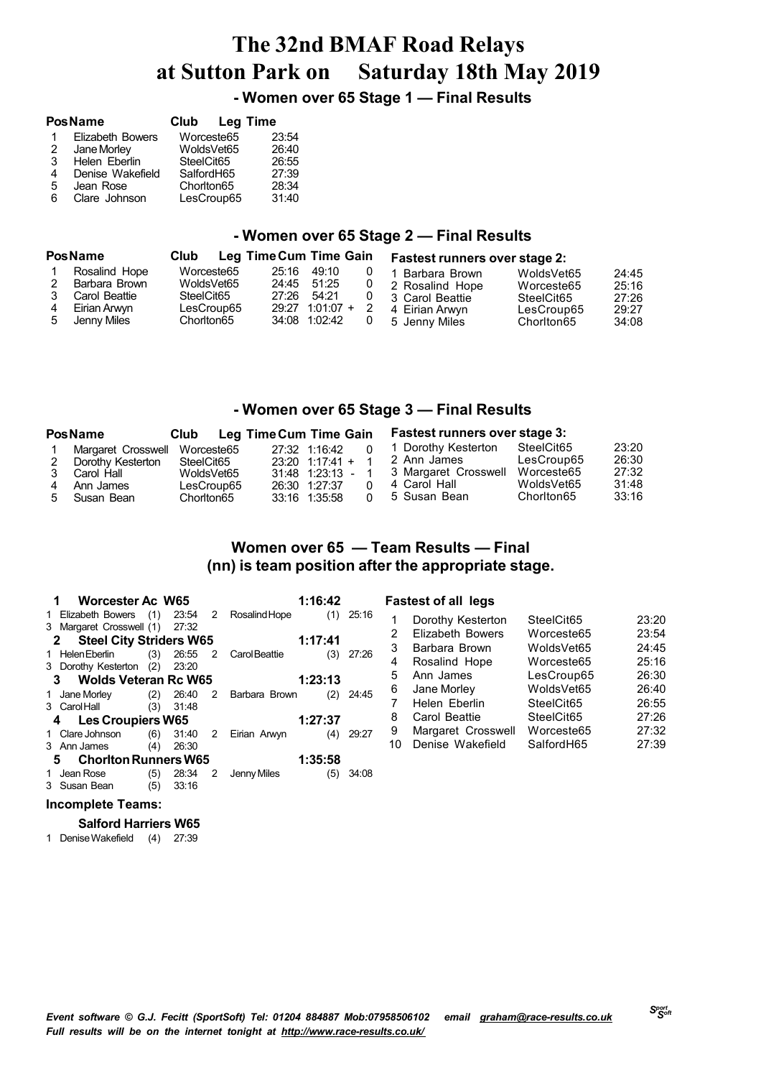**- Women over 65 Stage 1 — Final Results**

|   | <b>PosName</b>          | Club       | <b>Leg Time</b> |
|---|-------------------------|------------|-----------------|
| 1 | <b>Elizabeth Bowers</b> | Worceste65 | 23:54           |
| 2 | Jane Morley             | WoldsVet65 | 26:40           |
| 3 | Helen Eberlin           | SteelCit65 | 26:55           |
| 4 | Denise Wakefield        | SalfordH65 | 27:39           |
| 5 | Jean Rose               | Chorlton65 | 28:34           |
| 6 | Clare Johnson           | LesCroup65 | 31:40           |

## **- Women over 65 Stage 2 — Final Results**

|             | <b>PosName</b>                                                  | Club       |                                        | <b>Leg Time Cum Time Gain</b> |                                              |   | <b>Fastest runners over stage 2:</b>                                    |                                                      |                                  |
|-------------|-----------------------------------------------------------------|------------|----------------------------------------|-------------------------------|----------------------------------------------|---|-------------------------------------------------------------------------|------------------------------------------------------|----------------------------------|
| 2<br>3<br>4 | Rosalind Hope<br>Barbara Brown<br>Carol Beattie<br>Eirian Arwyn | SteelCit65 | Worceste65<br>WoldsVet65<br>LesCroup65 | 25:16<br>24:45<br>27:26       | 49:10<br>51:25<br>54:21<br>$29:27$ 1:01:07 + | 0 | 1 Barbara Brown<br>2 Rosalind Hope<br>3 Carol Beattie<br>4 Eirian Arwyn | WoldsVet65<br>Worceste65<br>SteelCit65<br>LesCroup65 | 24:45<br>25:16<br>27:26<br>29:27 |
| -5          | Jenny Miles                                                     | Chorlton65 |                                        |                               | 34:08 1:02:42                                | 0 | 5 Jenny Miles                                                           | Chorlton65                                           | 34:08                            |

### **- Women over 65 Stage 3 — Final Results**

|   | <b>PosName</b>                | Club       | Leg Time Cum Time Gain |                   |  | <b>Fastest runners over stage 3:</b> |            |       |
|---|-------------------------------|------------|------------------------|-------------------|--|--------------------------------------|------------|-------|
|   | Margaret Crosswell Worceste65 |            |                        | 27:32 1:16:42     |  | 1 Dorothy Kesterton                  | SteelCit65 | 23:20 |
| 2 | Dorothy Kesterton             | SteelCit65 |                        | $23:20$ 1:17:41 + |  | 2 Ann James                          | LesCroup65 | 26:30 |
| 3 | Carol Hall                    | WoldsVet65 |                        | 31:48 1:23:13     |  | 3 Margaret Crosswell                 | Worceste65 | 27:32 |
| 4 | Ann James                     | LesCroup65 |                        | 26:30 1:27:37     |  | 4 Carol Hall                         | WoldsVet65 | 31:48 |
|   | 5 Susan Bean                  | Chorlton65 |                        | 33:16 1:35:58     |  | 5 Susan Bean                         | Chorlton65 | 33:16 |

## **Women over 65 — Team Results — Final (nn) is team position after the appropriate stage.**

|    | <b>Worcester Ac W65</b>                    |     |       |   |                 | 1:16:42 |       |
|----|--------------------------------------------|-----|-------|---|-----------------|---------|-------|
| 1  | Elizabeth Bowers (1) 23:54 2 Rosalind Hope |     |       |   |                 | (1)     | 25:16 |
|    | 3 Margaret Crosswell (1) 27:32             |     |       |   |                 |         |       |
|    | 2 Steel City Striders W65                  |     |       |   |                 | 1:17:41 |       |
|    | 1 Helen Eberlin (3) 26:55 2 Carol Beattie  |     |       |   |                 | (3)     | 27:26 |
|    | 3 Dorothy Kesterton (2)                    |     | 23:20 |   |                 |         |       |
|    | 3 Wolds Veteran Rc W65                     |     |       |   |                 | 1:23:13 |       |
|    | 1 Jane Morley (2) 26:40                    |     |       |   | 2 Barbara Brown | (2)     | 24:45 |
|    | 3 Carol Hall (3)                           |     | 31:48 |   |                 |         |       |
|    | 4 Les Croupiers W65                        |     |       |   |                 | 1:27:37 |       |
|    | Clare Johnson (6) 31:40 2 Eirian Arwyn     |     |       |   |                 | (4)     | 29:27 |
|    | 3 Ann James (4)                            |     | 26:30 |   |                 |         |       |
|    | <b>Choriton Runners W65</b><br>5.          |     |       |   | 1:35:58         |         |       |
|    | Jean Rose                                  | (5) | 28:34 | 2 | Jenny Miles     | (5)     | 34:08 |
| 3. | Susan Bean                                 | (5) | 33:16 |   |                 |         |       |

### **Fastest of all legs**

| 1  | Dorothy Kesterton       | SteelCit65 | 23:20 |
|----|-------------------------|------------|-------|
| 2  | <b>Elizabeth Bowers</b> | Worceste65 | 23:54 |
| 3  | Barbara Brown           | WoldsVet65 | 24:45 |
| 4  | Rosalind Hope           | Worceste65 | 25:16 |
| 5  | Ann James               | LesCroup65 | 26:30 |
| 6  | Jane Morley             | WoldsVet65 | 26:40 |
| -7 | Helen Eberlin           | SteelCit65 | 26:55 |
| 8  | Carol Beattie           | SteelCit65 | 27:26 |
| 9  | Margaret Crosswell      | Worceste65 | 27:32 |
| 10 | Denise Wakefield        | SalfordH65 | 27:39 |
|    |                         |            |       |

### **Incomplete Teams:**

### **Salford Harriers W65**

DeniseWakefield (4) 27:39